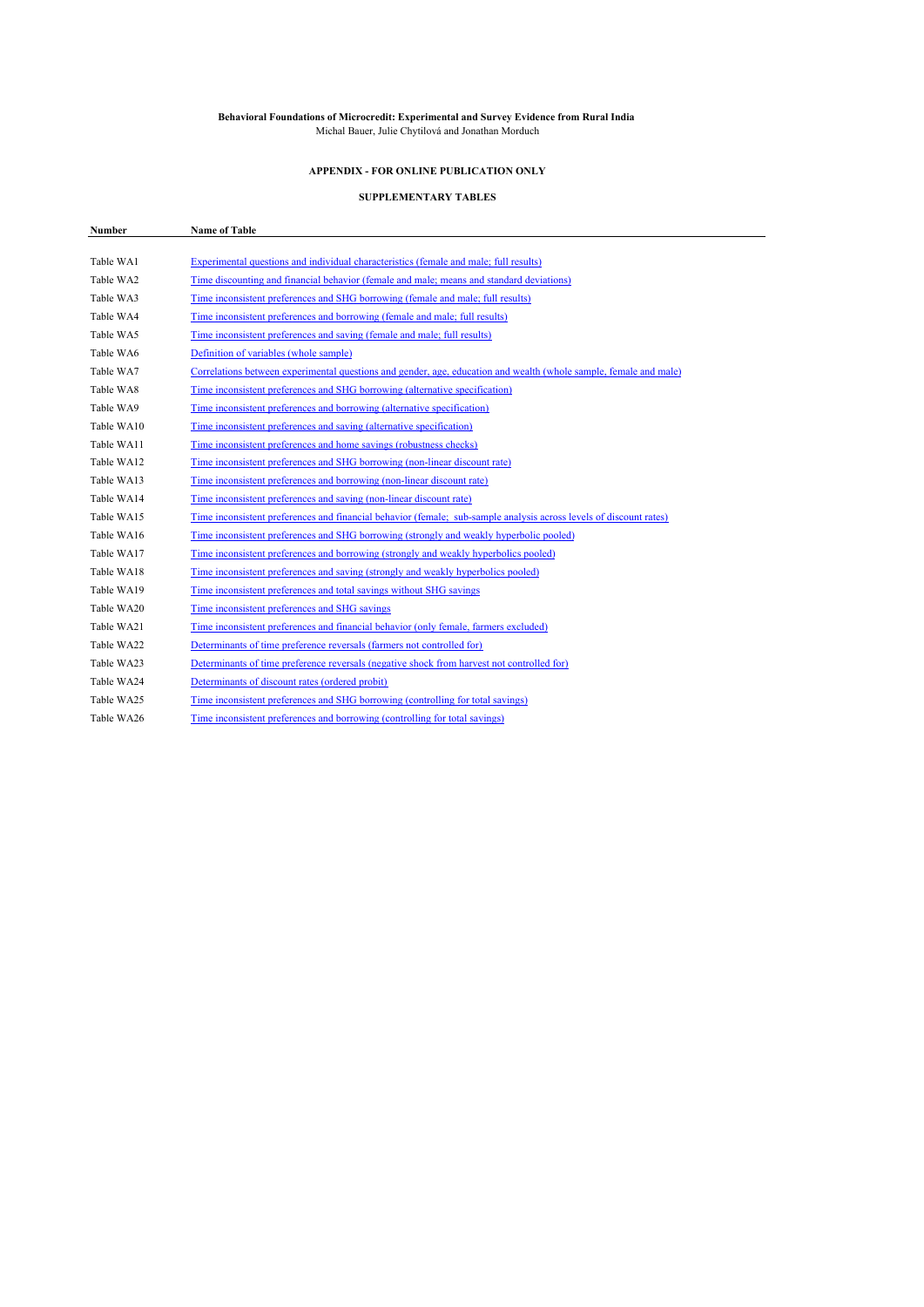#### **Behavioral Foundations of Microcredit: Experimental and Survey Evidence from Rural India** Michal Bauer, Julie Chytilová and Jonathan Morduch

### **APPENDIX - FOR ONLINE PUBLICATION ONLY**

### **SUPPLEMENTARY TABLES**

| Number     | <b>Name of Table</b>                                                                                               |
|------------|--------------------------------------------------------------------------------------------------------------------|
|            |                                                                                                                    |
| Table WA1  | Experimental questions and individual characteristics (female and male; full results)                              |
| Table WA2  | Time discounting and financial behavior (female and male; means and standard deviations)                           |
| Table WA3  | Time inconsistent preferences and SHG borrowing (female and male; full results)                                    |
| Table WA4  | Time inconsistent preferences and borrowing (female and male; full results)                                        |
| Table WA5  | Time inconsistent preferences and saving (female and male; full results)                                           |
| Table WA6  | Definition of variables (whole sample)                                                                             |
| Table WA7  | Correlations between experimental questions and gender, age, education and wealth (whole sample, female and male)  |
| Table WA8  | Time inconsistent preferences and SHG borrowing (alternative specification)                                        |
| Table WA9  | Time inconsistent preferences and borrowing (alternative specification)                                            |
| Table WA10 | Time inconsistent preferences and saving (alternative specification)                                               |
| Table WA11 | Time inconsistent preferences and home savings (robustness checks)                                                 |
| Table WA12 | Time inconsistent preferences and SHG borrowing (non-linear discount rate)                                         |
| Table WA13 | Time inconsistent preferences and borrowing (non-linear discount rate)                                             |
| Table WA14 | Time inconsistent preferences and saving (non-linear discount rate)                                                |
| Table WA15 | Time inconsistent preferences and financial behavior (female; sub-sample analysis across levels of discount rates) |
| Table WA16 | Time inconsistent preferences and SHG borrowing (strongly and weakly hyperbolic pooled)                            |
| Table WA17 | Time inconsistent preferences and borrowing (strongly and weakly hyperbolics pooled)                               |
| Table WA18 | Time inconsistent preferences and saving (strongly and weakly hyperbolics pooled)                                  |
| Table WA19 | Time inconsistent preferences and total savings without SHG savings                                                |
| Table WA20 | Time inconsistent preferences and SHG savings                                                                      |
| Table WA21 | Time inconsistent preferences and financial behavior (only female, farmers excluded)                               |
| Table WA22 | Determinants of time preference reversals (farmers not controlled for)                                             |
| Table WA23 | Determinants of time preference reversals (negative shock from harvest not controlled for)                         |
| Table WA24 | Determinants of discount rates (ordered probit)                                                                    |
| Table WA25 | Time inconsistent preferences and SHG borrowing (controlling for total savings)                                    |
| Table WA26 | Time inconsistent preferences and borrowing (controlling for total savings)                                        |
|            |                                                                                                                    |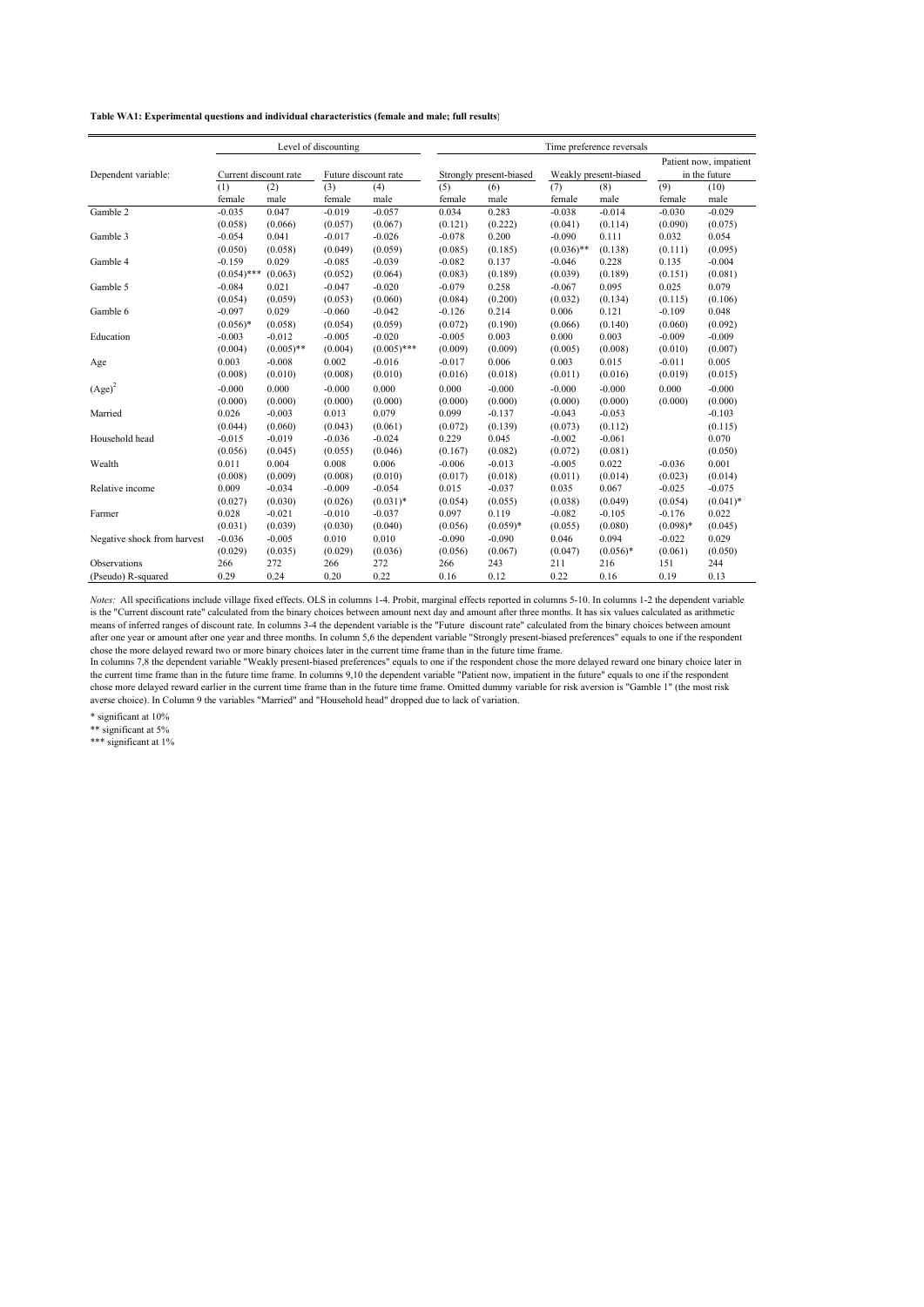|                             |                       |              | Level of discounting |               | Time preference reversals |            |              |                       |                                         |             |
|-----------------------------|-----------------------|--------------|----------------------|---------------|---------------------------|------------|--------------|-----------------------|-----------------------------------------|-------------|
| Dependent variable:         | Current discount rate |              | Future discount rate |               | Strongly present-biased   |            |              | Weakly present-biased | Patient now, impatient<br>in the future |             |
|                             | (1)                   | (2)          | (3)                  | (4)           | (5)                       | (6)        | (7)          | (8)                   | (9)                                     | (10)        |
|                             | female                | male         | female               | male          | female                    | male       | female       | male                  | female                                  | male        |
| Gamble 2                    | $-0.035$              | 0.047        | $-0.019$             | $-0.057$      | 0.034                     | 0.283      | $-0.038$     | $-0.014$              | $-0.030$                                | $-0.029$    |
|                             | (0.058)               | (0.066)      | (0.057)              | (0.067)       | (0.121)                   | (0.222)    | (0.041)      | (0.114)               | (0.090)                                 | (0.075)     |
| Gamble 3                    | $-0.054$              | 0.041        | $-0.017$             | $-0.026$      | $-0.078$                  | 0.200      | $-0.090$     | 0.111                 | 0.032                                   | 0.054       |
|                             | (0.050)               | (0.058)      | (0.049)              | (0.059)       | (0.085)                   | (0.185)    | $(0.036)$ ** | (0.138)               | (0.111)                                 | (0.095)     |
| Gamble 4                    | $-0.159$              | 0.029        | $-0.085$             | $-0.039$      | $-0.082$                  | 0.137      | $-0.046$     | 0.228                 | 0.135                                   | $-0.004$    |
|                             | $(0.054)$ ***         | (0.063)      | (0.052)              | (0.064)       | (0.083)                   | (0.189)    | (0.039)      | (0.189)               | (0.151)                                 | (0.081)     |
| Gamble 5                    | $-0.084$              | 0.021        | $-0.047$             | $-0.020$      | $-0.079$                  | 0.258      | $-0.067$     | 0.095                 | 0.025                                   | 0.079       |
|                             | (0.054)               | (0.059)      | (0.053)              | (0.060)       | (0.084)                   | (0.200)    | (0.032)      | (0.134)               | (0.115)                                 | (0.106)     |
| Gamble 6                    | $-0.097$              | 0.029        | $-0.060$             | $-0.042$      | $-0.126$                  | 0.214      | 0.006        | 0.121                 | $-0.109$                                | 0.048       |
|                             | $(0.056)*$            | (0.058)      | (0.054)              | (0.059)       | (0.072)                   | (0.190)    | (0.066)      | (0.140)               | (0.060)                                 | (0.092)     |
| Education                   | $-0.003$              | $-0.012$     | $-0.005$             | $-0.020$      | $-0.005$                  | 0.003      | 0.000        | 0.003                 | $-0.009$                                | $-0.009$    |
|                             | (0.004)               | $(0.005)$ ** | (0.004)              | $(0.005)$ *** | (0.009)                   | (0.009)    | (0.005)      | (0.008)               | (0.010)                                 | (0.007)     |
| Age                         | 0.003                 | $-0.008$     | 0.002                | $-0.016$      | $-0.017$                  | 0.006      | 0.003        | 0.015                 | $-0.011$                                | 0.005       |
|                             | (0.008)               | (0.010)      | (0.008)              | (0.010)       | (0.016)                   | (0.018)    | (0.011)      | (0.016)               | (0.019)                                 | (0.015)     |
| $(Age)^2$                   | $-0.000$              | 0.000        | $-0.000$             | 0.000         | 0.000                     | $-0.000$   | $-0.000$     | $-0.000$              | 0.000                                   | $-0.000$    |
|                             | (0.000)               | (0.000)      | (0.000)              | (0.000)       | (0.000)                   | (0.000)    | (0.000)      | (0.000)               | (0.000)                                 | (0.000)     |
| Married                     | 0.026                 | $-0.003$     | 0.013                | 0.079         | 0.099                     | $-0.137$   | $-0.043$     | $-0.053$              |                                         | $-0.103$    |
|                             | (0.044)               | (0.060)      | (0.043)              | (0.061)       | (0.072)                   | (0.139)    | (0.073)      | (0.112)               |                                         | (0.115)     |
| Household head              | $-0.015$              | $-0.019$     | $-0.036$             | $-0.024$      | 0.229                     | 0.045      | $-0.002$     | $-0.061$              |                                         | 0.070       |
|                             | (0.056)               | (0.045)      | (0.055)              | (0.046)       | (0.167)                   | (0.082)    | (0.072)      | (0.081)               |                                         | (0.050)     |
| Wealth                      | 0.011                 | 0.004        | 0.008                | 0.006         | $-0.006$                  | $-0.013$   | $-0.005$     | 0.022                 | $-0.036$                                | 0.001       |
|                             | (0.008)               | (0.009)      | (0.008)              | (0.010)       | (0.017)                   | (0.018)    | (0.011)      | (0.014)               | (0.023)                                 | (0.014)     |
| Relative income             | 0.009                 | $-0.034$     | $-0.009$             | $-0.054$      | 0.015                     | $-0.037$   | 0.035        | 0.067                 | $-0.025$                                | $-0.075$    |
|                             | (0.027)               | (0.030)      | (0.026)              | $(0.031)^*$   | (0.054)                   | (0.055)    | (0.038)      | (0.049)               | (0.054)                                 | $(0.041)^*$ |
| Farmer                      | 0.028                 | $-0.021$     | $-0.010$             | $-0.037$      | 0.097                     | 0.119      | $-0.082$     | $-0.105$              | $-0.176$                                | 0.022       |
|                             | (0.031)               | (0.039)      | (0.030)              | (0.040)       | (0.056)                   | $(0.059)*$ | (0.055)      | (0.080)               | $(0.098)*$                              | (0.045)     |
| Negative shock from harvest | $-0.036$              | $-0.005$     | 0.010                | 0.010         | $-0.090$                  | $-0.090$   | 0.046        | 0.094                 | $-0.022$                                | 0.029       |
|                             | (0.029)               | (0.035)      | (0.029)              | (0.036)       | (0.056)                   | (0.067)    | (0.047)      | $(0.056)*$            | (0.061)                                 | (0.050)     |
| Observations                | 266                   | 272          | 266                  | 272           | 266                       | 243        | 211          | 216                   | 151                                     | 244         |
| (Pseudo) R-squared          | 0.29                  | 0.24         | 0.20                 | 0.22          | 0.16                      | 0.12       | 0.22         | 0.16                  | 0.19                                    | 0.13        |

*Notes:* All specifications include village fixed effects. OLS in columns 1-4. Probit, marginal effects reported in columns 5-10. In columns 1-2 the dependent variable is the "Current discount rate" calculated from the binary choices between amount next day and amount after three months. It has six values calculated as arithmetic means of inferred ranges of discount rate. In columns 3-4 the dependent variable is the "Future discount rate" calculated from the binary choices between amount after one year or amount after one year and three months. In column 5,6 the dependent variable "Strongly present-biased preferences" equals to one if the respondent chose the more delayed reward two or more binary choices later in the current time frame than in the future time frame.

In columns 7,8 the dependent variable "Weakly present-biased preferences" equals to one if the respondent chose the more delayed reward one binary choice later in the current time frame than in the future time frame. In columns 9,10 the dependent variable "Patient now, impatient in the future" equals to one if the respondent chose more delayed reward earlier in the current time frame than in the future time frame. Omitted dummy variable for risk aversion is "Gamble 1" (the most risk averse choice). In Column 9 the variables "Married" and "Household head" dropped due to lack of variation.

\* significant at 10%

\*\* significant at 5%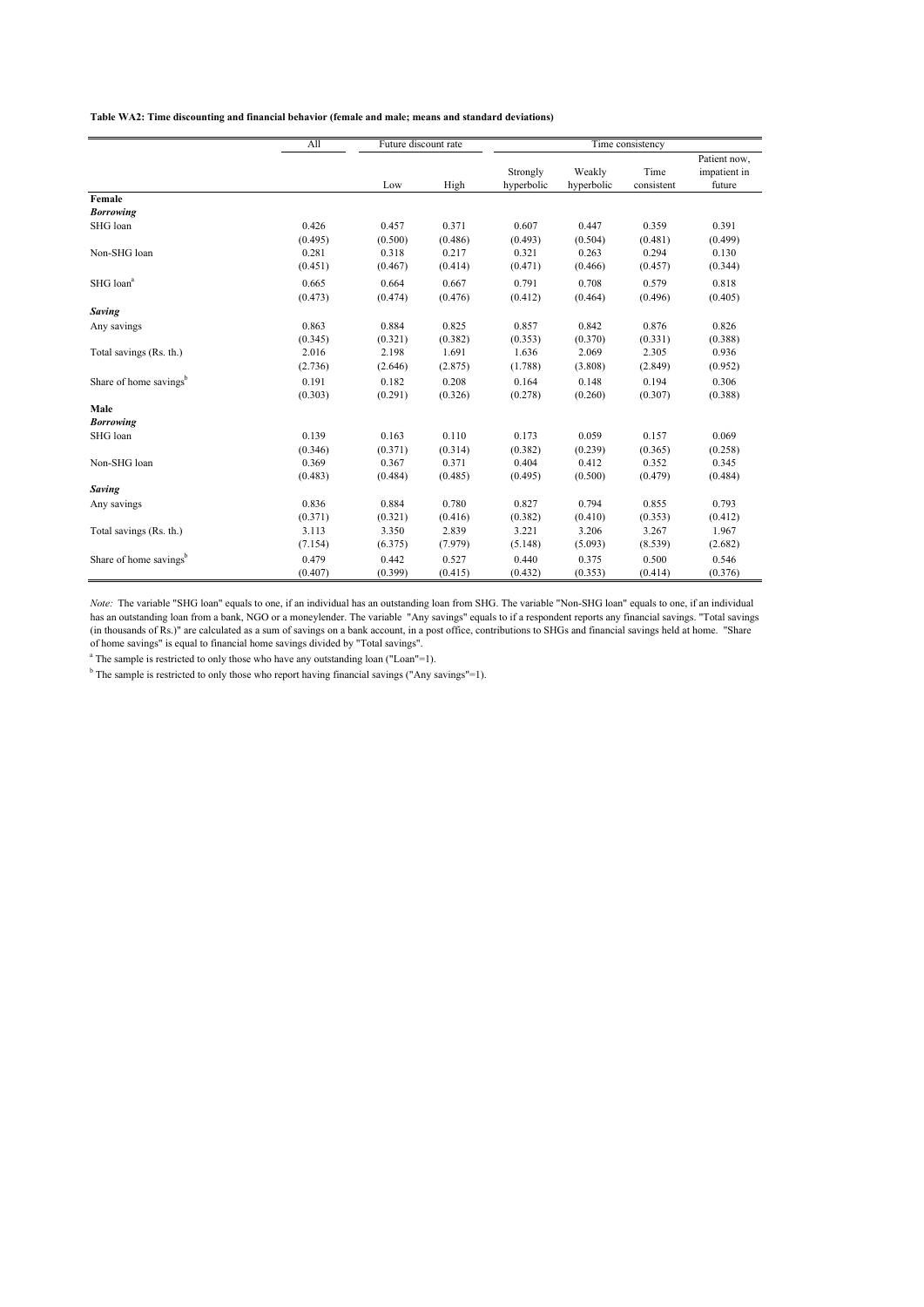**Table WA2: Time discounting and financial behavior (female and male; means and standard deviations)**

|                                    | A11     | Future discount rate |         |            |            | Time consistency |              |
|------------------------------------|---------|----------------------|---------|------------|------------|------------------|--------------|
|                                    |         |                      |         |            |            |                  | Patient now, |
|                                    |         |                      |         | Strongly   | Weakly     | Time             | impatient in |
|                                    |         | Low                  | High    | hyperbolic | hyperbolic | consistent       | future       |
| Female                             |         |                      |         |            |            |                  |              |
| <b>Borrowing</b>                   |         |                      |         |            |            |                  |              |
| SHG loan                           | 0.426   | 0.457                | 0.371   | 0.607      | 0.447      | 0.359            | 0.391        |
|                                    | (0.495) | (0.500)              | (0.486) | (0.493)    | (0.504)    | (0.481)          | (0.499)      |
| Non-SHG loan                       | 0.281   | 0.318                | 0.217   | 0.321      | 0.263      | 0.294            | 0.130        |
|                                    | (0.451) | (0.467)              | (0.414) | (0.471)    | (0.466)    | (0.457)          | (0.344)      |
| SHG loan <sup>a</sup>              | 0.665   | 0.664                | 0.667   | 0.791      | 0.708      | 0.579            | 0.818        |
|                                    | (0.473) | (0.474)              | (0.476) | (0.412)    | (0.464)    | (0.496)          | (0.405)      |
| <b>Saving</b>                      |         |                      |         |            |            |                  |              |
| Any savings                        | 0.863   | 0.884                | 0.825   | 0.857      | 0.842      | 0.876            | 0.826        |
|                                    | (0.345) | (0.321)              | (0.382) | (0.353)    | (0.370)    | (0.331)          | (0.388)      |
| Total savings (Rs. th.)            | 2.016   | 2.198                | 1.691   | 1.636      | 2.069      | 2.305            | 0.936        |
|                                    | (2.736) | (2.646)              | (2.875) | (1.788)    | (3.808)    | (2.849)          | (0.952)      |
| Share of home savings <sup>b</sup> | 0.191   | 0.182                | 0.208   | 0.164      | 0.148      | 0.194            | 0.306        |
|                                    | (0.303) | (0.291)              | (0.326) | (0.278)    | (0.260)    | (0.307)          | (0.388)      |
| Male                               |         |                      |         |            |            |                  |              |
| <b>Borrowing</b>                   |         |                      |         |            |            |                  |              |
| SHG loan                           | 0.139   | 0.163                | 0.110   | 0.173      | 0.059      | 0.157            | 0.069        |
|                                    | (0.346) | (0.371)              | (0.314) | (0.382)    | (0.239)    | (0.365)          | (0.258)      |
| Non-SHG loan                       | 0.369   | 0.367                | 0.371   | 0.404      | 0.412      | 0.352            | 0.345        |
|                                    | (0.483) | (0.484)              | (0.485) | (0.495)    | (0.500)    | (0.479)          | (0.484)      |
| Saving                             |         |                      |         |            |            |                  |              |
| Any savings                        | 0.836   | 0.884                | 0.780   | 0.827      | 0.794      | 0.855            | 0.793        |
|                                    | (0.371) | (0.321)              | (0.416) | (0.382)    | (0.410)    | (0.353)          | (0.412)      |
| Total savings (Rs. th.)            | 3.113   | 3.350                | 2.839   | 3.221      | 3.206      | 3.267            | 1.967        |
|                                    | (7.154) | (6.375)              | (7.979) | (5.148)    | (5.093)    | (8.539)          | (2.682)      |
| Share of home savings <sup>b</sup> | 0.479   | 0.442                | 0.527   | 0.440      | 0.375      | 0.500            | 0.546        |
|                                    | (0.407) | (0.399)              | (0.415) | (0.432)    | (0.353)    | (0.414)          | (0.376)      |

*Note:* The variable "SHG loan" equals to one, if an individual has an outstanding loan from SHG. The variable "Non-SHG loan" equals to one, if an individual has an outstanding loan from a bank, NGO or a moneylender. The variable "Any savings" equals to if a respondent reports any financial savings. "Total savings (in thousands of Rs.)" are calculated as a sum of savings on a bank account, in a post office, contributions to SHGs and financial savings held at home. "Share of home savings" is equal to financial home savings divided by "Total savings".

<sup>a</sup> The sample is restricted to only those who have any outstanding loan ("Loan"=1).

<sup>b</sup> The sample is restricted to only those who report having financial savings ("Any savings"=1).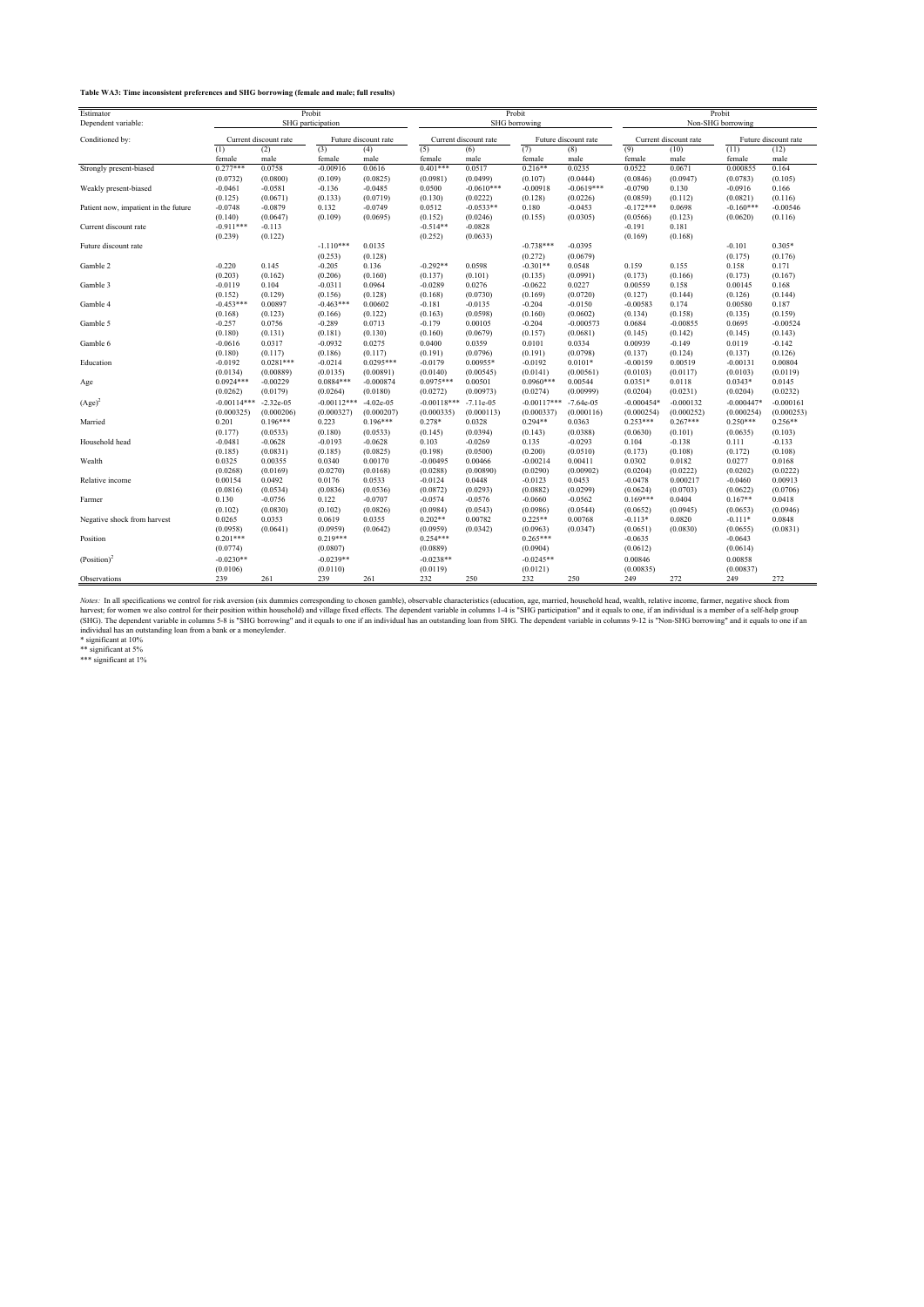**Table WA3: Time inconsistent preferences and SHG borrowing (female and male; full results)**

| Estimator                            |               | Probit                |               |                      |               |                       | Probit        |                      |                   | Probit                |                      |                      |
|--------------------------------------|---------------|-----------------------|---------------|----------------------|---------------|-----------------------|---------------|----------------------|-------------------|-----------------------|----------------------|----------------------|
| Dependent variable:                  |               | SHG participation     |               |                      |               |                       | SHG borrowing |                      | Non-SHG borrowing |                       |                      |                      |
| Conditioned by:                      |               | Current discount rate |               | Future discount rate |               | Current discount rate |               | Future discount rate |                   | Current discount rate |                      | Future discount rate |
|                                      | (1)           | (2)                   | (3)           | (4)                  | (5)           | (6)                   | (7)           | (8)                  | (9)               | (10)                  | (11)                 | (12)                 |
|                                      | female        | male                  | female        | male                 | female        | male                  | female        | male                 | female            | male                  | female               | male                 |
| Strongly present-biased              | $0.277***$    | 0.0758                | $-0.00916$    | 0.0616               | $0.401***$    | 0.0517                | $0.216**$     | 0.0235               | 0.0522            | 0.0671                | 0.000855             | 0.164                |
|                                      | (0.0732)      | (0.0800)              | (0.109)       | (0.0825)             | (0.0981)      | (0.0499)              | (0.107)       | (0.0444)             | (0.0846)          | (0.0947)              | (0.0783)             | (0.105)              |
| Weakly present-biased                | $-0.0461$     | $-0.0581$             | $-0.136$      | $-0.0485$            | 0.0500        | $-0.0610***$          | $-0.00918$    | $-0.0619***$         | $-0.0790$         | 0.130                 | $-0.0916$            | 0.166                |
|                                      | (0.125)       | (0.0671)              | (0.133)       | (0.0719)             | (0.130)       | (0.0222)              | (0.128)       | (0.0226)             | (0.0859)          | (0.112)               | (0.0821)             | (0.116)              |
| Patient now, impatient in the future | $-0.0748$     | $-0.0879$             | 0.132         | $-0.0749$            | 0.0512        | $-0.0533**$           | 0.180         | $-0.0453$            | $-0.172***$       | 0.0698                | $-0.160***$          | $-0.00546$           |
|                                      | (0.140)       | (0.0647)              | (0.109)       | (0.0695)             | (0.152)       | (0.0246)              | (0.155)       | (0.0305)             | (0.0566)          | (0.123)               | (0.0620)             | (0.116)              |
| Current discount rate                | $-0.911***$   | $-0.113$              |               |                      | $-0.514**$    | $-0.0828$             |               |                      | $-0.191$          | 0.181                 |                      |                      |
|                                      | (0.239)       | (0.122)               |               |                      | (0.252)       | (0.0633)              |               |                      | (0.169)           | (0.168)               |                      |                      |
| Future discount rate                 |               |                       | $-1.110***$   | 0.0135               |               |                       | $-0.738***$   | $-0.0395$            |                   |                       | $-0.101$             | $0.305*$             |
|                                      |               |                       | (0.253)       | (0.128)              |               |                       | (0.272)       | (0.0679)             |                   |                       | (0.175)              | (0.176)              |
| Gamble 2                             | $-0.220$      | 0.145                 | $-0.205$      | 0.136                | $-0.292**$    | 0.0598                | $-0.301**$    | 0.0548               | 0.159             | 0.155                 | 0.158                | 0.171                |
|                                      | (0.203)       | (0.162)               | (0.206)       | (0.160)              | (0.137)       | (0.101)               | (0.135)       | (0.0991)             | (0.173)           | (0.166)               | (0.173)              | (0.167)              |
| Gamble 3                             | $-0.0119$     | 0.104                 | $-0.0311$     | 0.0964               | $-0.0289$     | 0.0276                | $-0.0622$     | 0.0227               | 0.00559           | 0.158                 | 0.00145              | 0.168                |
|                                      | (0.152)       | (0.129)               | (0.156)       | (0.128)              | (0.168)       | (0.0730)              | (0.169)       | (0.0720)             | (0.127)           | (0.144)               | (0.126)              | (0.144)              |
| Gamble 4                             | $-0.453***$   | 0.00897               | $-0.463***$   | 0.00602              | $-0.181$      | $-0.0135$             | $-0.204$      | $-0.0150$            | $-0.00583$        | 0.174                 | 0.00580              | 0.187                |
|                                      | (0.168)       | (0.123)               | (0.166)       | (0.122)              | (0.163)       | (0.0598)              | (0.160)       | (0.0602)             | (0.134)           | (0.158)               | (0.135)              | (0.159)              |
| Gamble 5                             | $-0.257$      | 0.0756                | $-0.289$      | 0.0713               | $-0.179$      | 0.00105               | $-0.204$      | $-0.000573$          | 0.0684            | $-0.00855$            | 0.0695               | $-0.00524$           |
|                                      | (0.180)       | (0.131)               | (0.181)       | (0.130)              | (0.160)       | (0.0679)              | (0.157)       | (0.0681)             | (0.145)           | (0.142)               | (0.145)              | (0.143)              |
| Gamble 6                             | $-0.0616$     | 0.0317                | $-0.0932$     | 0.0275               | 0.0400        | 0.0359                | 0.0101        | 0.0334               | 0.00939           | $-0.149$              | 0.0119               | $-0.142$             |
|                                      | (0.180)       | (0.117)               | (0.186)       | (0.117)              | (0.191)       | (0.0796)              | (0.191)       | (0.0798)             | (0.137)           | (0.124)               | (0.137)              | (0.126)              |
| Education                            | $-0.0192$     | $0.0281***$           | $-0.0214$     | $0.0295***$          | $-0.0179$     | 0.00955*              | $-0.0192$     | $0.0101*$            | $-0.00159$        | 0.00519               | $-0.00131$           | 0.00804              |
|                                      | (0.0134)      | (0.00889)             | (0.0135)      | (0.00891)            | (0.0140)      | (0.00545)             | (0.0141)      | (0.00561)            | (0.0103)          | (0.0117)              | (0.0103)             | (0.0119)             |
| Age                                  | $0.0924***$   | $-0.00229$            | $0.0884***$   | $-0.000874$          | $0.0975***$   | 0.00501               | $0.0960***$   | 0.00544              | $0.0351*$         | 0.0118                | $0.0343*$            | 0.0145               |
|                                      | (0.0262)      | (0.0179)              | (0.0264)      | (0.0180)             | (0.0272)      | (0.00973)             | (0.0274)      | (0.00999)            | (0.0204)          | (0.0231)              | (0.0204)             | (0.0232)             |
| $(Age)^2$                            | $-0.00114***$ | $-2.32e-0.5$          | $-0.00112***$ | $-4.02e-05$          | $-0.00118***$ | $-7.11e-05$           | $-0.00117***$ | $-7.64e-05$          | $-0.000454*$      | $-0.000132$           | $-0.000447*$         | $-0.000161$          |
|                                      | (0.000325)    | (0.000206)            | (0.000327)    | (0.000207)           | (0.000335)    | (0.000113)            | (0.000337)    | (0.000116)           | (0.000254)        | (0.000252)            | (0.000254)           | (0.000253)           |
| Married                              | 0.201         | $0.196***$            | 0.223         | $0.196***$           | $0.278*$      | 0.0328                | $0.294**$     | 0.0363               | $0.253***$        | $0.267***$            | $0.250***$           | $0.256**$            |
|                                      | (0.177)       | (0.0533)              | (0.180)       | (0.0533)             | (0.145)       | (0.0394)              | (0.143)       | (0.0388)             | (0.0630)          | (0.101)               | (0.0635)             | (0.103)              |
| Household head                       | $-0.0481$     | $-0.0628$             | $-0.0193$     | $-0.0628$            | 0.103         | $-0.0269$             | 0.135         | $-0.0293$            | 0.104             | $-0.138$              | 0.111                | $-0.133$             |
|                                      | (0.185)       | (0.0831)              | (0.185)       | (0.0825)             | (0.198)       | (0.0500)              | (0.200)       | (0.0510)             | (0.173)           | (0.108)               | (0.172)              | (0.108)              |
| Wealth                               | 0.0325        | 0.00355               | 0.0340        | 0.00170              | $-0.00495$    | 0.00466               | $-0.00214$    | 0.00411              | 0.0302            | 0.0182                | 0.0277               | 0.0168               |
|                                      | (0.0268)      | (0.0169)              | (0.0270)      | (0.0168)             | (0.0288)      | (0.00890)             | (0.0290)      | (0.00902)            | (0.0204)          | (0.0222)              | (0.0202)             | (0.0222)             |
| Relative income                      | 0.00154       | 0.0492                | 0.0176        | 0.0533               | $-0.0124$     | 0.0448                | $-0.0123$     | 0.0453               | $-0.0478$         | 0.000217              | $-0.0460$            | 0.00913              |
|                                      | (0.0816)      | (0.0534)              | (0.0836)      | (0.0536)             | (0.0872)      | (0.0293)              | (0.0882)      | (0.0299)             | (0.0624)          | (0.0703)              | (0.0622)             | (0.0706)             |
| Farmer                               | 0.130         | $-0.0756$             | 0.122         | $-0.0707$            | $-0.0574$     | $-0.0576$             | $-0.0660$     | $-0.0562$            | $0.169***$        | 0.0404                | $0.167**$            | 0.0418               |
|                                      | (0.102)       | (0.0830)              | (0.102)       | (0.0826)             | (0.0984)      | (0.0543)              | (0.0986)      | (0.0544)             | (0.0652)          | (0.0945)              | (0.0653)             | (0.0946)             |
| Negative shock from harvest          | 0.0265        | 0.0353                | 0.0619        | 0.0355               | $0.202**$     | 0.00782               | $0.225**$     | 0.00768              | $-0.113*$         | 0.0820                | $-0.111*$            | 0.0848               |
|                                      | (0.0958)      | (0.0641)              | (0.0959)      | (0.0642)             | (0.0959)      | (0.0342)              | (0.0963)      | (0.0347)             | (0.0651)          | (0.0830)              | (0.0655)             | (0.0831)             |
| Position                             | $0.201***$    |                       | $0.219***$    |                      | $0.254***$    |                       | $0.265***$    |                      | $-0.0635$         |                       | $-0.0643$            |                      |
|                                      | (0.0774)      |                       | (0.0807)      |                      | (0.0889)      |                       | (0.0904)      |                      | (0.0612)          |                       | (0.0614)             |                      |
|                                      | $-0.0230**$   |                       | $-0.0239**$   |                      | $-0.0238**$   |                       | $-0.0245**$   |                      | 0.00846           |                       |                      |                      |
| (Position) <sup>2</sup>              | (0.0106)      |                       | (0.0110)      |                      | (0.0119)      |                       | (0.0121)      |                      | (0.00835)         |                       | 0.00858<br>(0.00837) |                      |
| Observations                         | 239           | 261                   | 239           | 261                  | 232           | 250                   | 232           | 250                  | 249               | 272                   | 249                  | 272                  |
|                                      |               |                       |               |                      |               |                       |               |                      |                   |                       |                      |                      |

*Notes*: In all specifications we control for risk aversion (six dummies corresponding to chosen gamble), observable characteristics (education, age, married, household head, wealth, relative income, farmer, negative shock

\* significant at 10% \*\* significant at 5% \*\*\* significant at 1%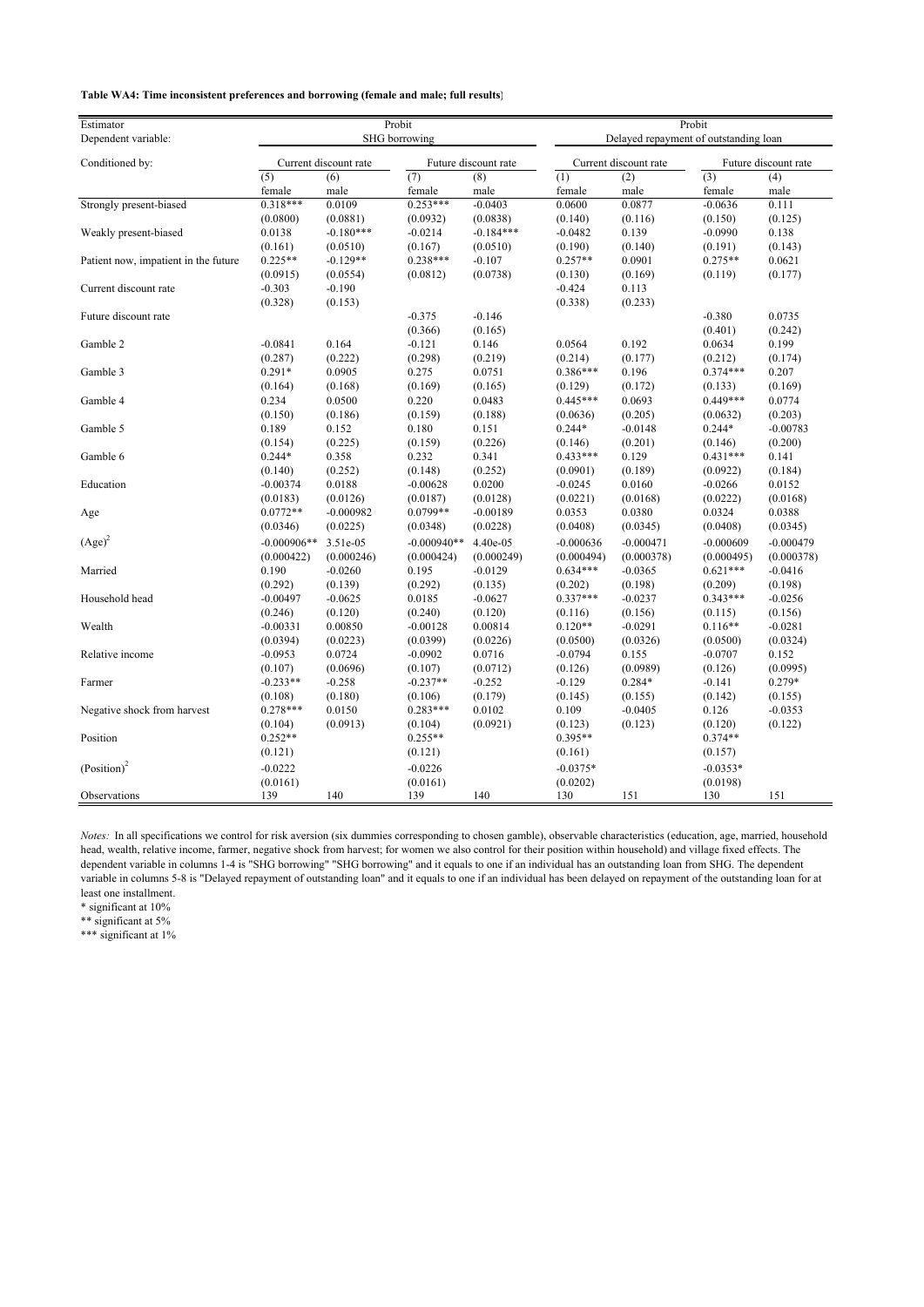#### **Table WA4: Time inconsistent preferences and borrowing (female and male; full results)**

| Estimator                            |               | Probit                |                            |                      | Probit        |                                       |                            |             |
|--------------------------------------|---------------|-----------------------|----------------------------|----------------------|---------------|---------------------------------------|----------------------------|-------------|
| Dependent variable:                  |               | SHG borrowing         |                            |                      |               | Delayed repayment of outstanding loan |                            |             |
| Conditioned by:                      |               | Current discount rate |                            | Future discount rate |               | Current discount rate                 | Future discount rate       |             |
|                                      | (5)<br>female | (6)<br>male           | $\overline{(7)}$<br>female | (8)<br>male          | (1)<br>female | (2)<br>male                           | $\overline{(3)}$<br>female | (4)<br>male |
| Strongly present-biased              | $0.318***$    | 0.0109                | $0.253***$                 | $-0.0403$            | 0.0600        | 0.0877                                | $-0.0636$                  | 0.111       |
|                                      | (0.0800)      | (0.0881)              | (0.0932)                   | (0.0838)             | (0.140)       | (0.116)                               | (0.150)                    | (0.125)     |
| Weakly present-biased                | 0.0138        | $-0.180***$           | $-0.0214$                  | $-0.184***$          | $-0.0482$     | 0.139                                 | $-0.0990$                  | 0.138       |
|                                      | (0.161)       | (0.0510)              | (0.167)                    | (0.0510)             | (0.190)       | (0.140)                               | (0.191)                    | (0.143)     |
| Patient now, impatient in the future | $0.225**$     | $-0.129**$            | $0.238***$                 | $-0.107$             | $0.257**$     | 0.0901                                | $0.275**$                  | 0.0621      |
|                                      | (0.0915)      | (0.0554)              | (0.0812)                   | (0.0738)             | (0.130)       | (0.169)                               | (0.119)                    | (0.177)     |
| Current discount rate                | $-0.303$      | $-0.190$              |                            |                      | $-0.424$      | 0.113                                 |                            |             |
|                                      | (0.328)       | (0.153)               |                            |                      | (0.338)       | (0.233)                               |                            |             |
| Future discount rate                 |               |                       | $-0.375$                   | $-0.146$             |               |                                       | $-0.380$                   | 0.0735      |
|                                      |               |                       | (0.366)                    | (0.165)              |               |                                       | (0.401)                    | (0.242)     |
| Gamble 2                             | $-0.0841$     | 0.164                 | $-0.121$                   | 0.146                | 0.0564        | 0.192                                 | 0.0634                     | 0.199       |
|                                      | (0.287)       | (0.222)               | (0.298)                    | (0.219)              | (0.214)       | (0.177)                               | (0.212)                    | (0.174)     |
| Gamble 3                             | $0.291*$      | 0.0905                | 0.275                      | 0.0751               | $0.386***$    | 0.196                                 | $0.374***$                 | 0.207       |
|                                      | (0.164)       | (0.168)               | (0.169)                    | (0.165)              | (0.129)       | (0.172)                               | (0.133)                    | (0.169)     |
| Gamble 4                             | 0.234         | 0.0500                | 0.220                      | 0.0483               | $0.445***$    | 0.0693                                | $0.449***$                 | 0.0774      |
|                                      | (0.150)       | (0.186)               | (0.159)                    | (0.188)              | (0.0636)      | (0.205)                               | (0.0632)                   | (0.203)     |
| Gamble 5                             | 0.189         | 0.152                 | 0.180                      | 0.151                | $0.244*$      | $-0.0148$                             | $0.244*$                   | $-0.00783$  |
|                                      | (0.154)       | (0.225)               | (0.159)                    | (0.226)              | (0.146)       | (0.201)                               | (0.146)                    | (0.200)     |
| Gamble 6                             | $0.244*$      | 0.358                 | 0.232                      | 0.341                | $0.433***$    | 0.129                                 | $0.431***$                 | 0.141       |
|                                      | (0.140)       | (0.252)               | (0.148)                    | (0.252)              | (0.0901)      | (0.189)                               | (0.0922)                   | (0.184)     |
| Education                            | $-0.00374$    | 0.0188                | $-0.00628$                 | 0.0200               | $-0.0245$     | 0.0160                                | $-0.0266$                  | 0.0152      |
|                                      | (0.0183)      | (0.0126)              | (0.0187)                   | (0.0128)             | (0.0221)      | (0.0168)                              | (0.0222)                   | (0.0168)    |
| Age                                  | $0.0772**$    | $-0.000982$           | 0.0799**                   | $-0.00189$           | 0.0353        | 0.0380                                | 0.0324                     | 0.0388      |
|                                      | (0.0346)      | (0.0225)              | (0.0348)                   | (0.0228)             | (0.0408)      | (0.0345)                              | (0.0408)                   | (0.0345)    |
| $(Age)^2$                            | $-0.000906**$ | 3.51e-05              | $-0.000940**$              | 4.40e-05             | $-0.000636$   | $-0.000471$                           | $-0.000609$                | $-0.000479$ |
|                                      |               |                       |                            |                      |               |                                       |                            |             |
| Married                              | (0.000422)    | (0.000246)            | (0.000424)                 | (0.000249)           | (0.000494)    | (0.000378)                            | (0.000495)                 | (0.000378)  |
|                                      | 0.190         | $-0.0260$             | 0.195                      | $-0.0129$            | $0.634***$    | $-0.0365$                             | $0.621***$                 | $-0.0416$   |
|                                      | (0.292)       | (0.139)               | (0.292)                    | (0.135)              | (0.202)       | (0.198)                               | (0.209)                    | (0.198)     |
| Household head                       | $-0.00497$    | $-0.0625$             | 0.0185                     | $-0.0627$            | $0.337***$    | $-0.0237$                             | $0.343***$                 | $-0.0256$   |
|                                      | (0.246)       | (0.120)               | (0.240)                    | (0.120)              | (0.116)       | (0.156)                               | (0.115)                    | (0.156)     |
| Wealth                               | $-0.00331$    | 0.00850               | $-0.00128$                 | 0.00814              | $0.120**$     | $-0.0291$                             | $0.116**$                  | $-0.0281$   |
|                                      | (0.0394)      | (0.0223)              | (0.0399)                   | (0.0226)             | (0.0500)      | (0.0326)                              | (0.0500)                   | (0.0324)    |
| Relative income                      | $-0.0953$     | 0.0724                | $-0.0902$                  | 0.0716               | $-0.0794$     | 0.155                                 | $-0.0707$                  | 0.152       |
|                                      | (0.107)       | (0.0696)              | (0.107)                    | (0.0712)             | (0.126)       | (0.0989)                              | (0.126)                    | (0.0995)    |
| Farmer                               | $-0.233**$    | $-0.258$              | $-0.237**$                 | $-0.252$             | $-0.129$      | 0.284*                                | $-0.141$                   | 0.279*      |
|                                      | (0.108)       | (0.180)               | (0.106)                    | (0.179)              | (0.145)       | (0.155)                               | (0.142)                    | (0.155)     |
| Negative shock from harvest          | $0.278***$    | 0.0150                | $0.283***$                 | 0.0102               | 0.109         | $-0.0405$                             | 0.126                      | $-0.0353$   |
|                                      | (0.104)       | (0.0913)              | (0.104)                    | (0.0921)             | (0.123)       | (0.123)                               | (0.120)                    | (0.122)     |
| Position                             | $0.252**$     |                       | $0.255**$                  |                      | $0.395**$     |                                       | 0.374**                    |             |
|                                      | (0.121)       |                       | (0.121)                    |                      | (0.161)       |                                       | (0.157)                    |             |
| (Position) <sup>2</sup>              | $-0.0222$     |                       | $-0.0226$                  |                      | $-0.0375*$    |                                       | $-0.0353*$                 |             |
|                                      | (0.0161)      |                       | (0.0161)                   |                      | (0.0202)      |                                       | (0.0198)                   |             |
| Observations                         | 139           | 140                   | 139                        | 140                  | 130           | 151                                   | 130                        | 151         |

*Notes:* In all specifications we control for risk aversion (six dummies corresponding to chosen gamble), observable characteristics (education, age, married, household head, wealth, relative income, farmer, negative shock from harvest; for women we also control for their position within household) and village fixed effects. The dependent variable in columns 1-4 is "SHG borrowing" "SHG borrowing" and it equals to one if an individual has an outstanding loan from SHG. The dependent variable in columns 5-8 is "Delayed repayment of outstanding loan" and it equals to one if an individual has been delayed on repayment of the outstanding loan for at least one installment.

\* significant at 10%

\*\* significant at 5%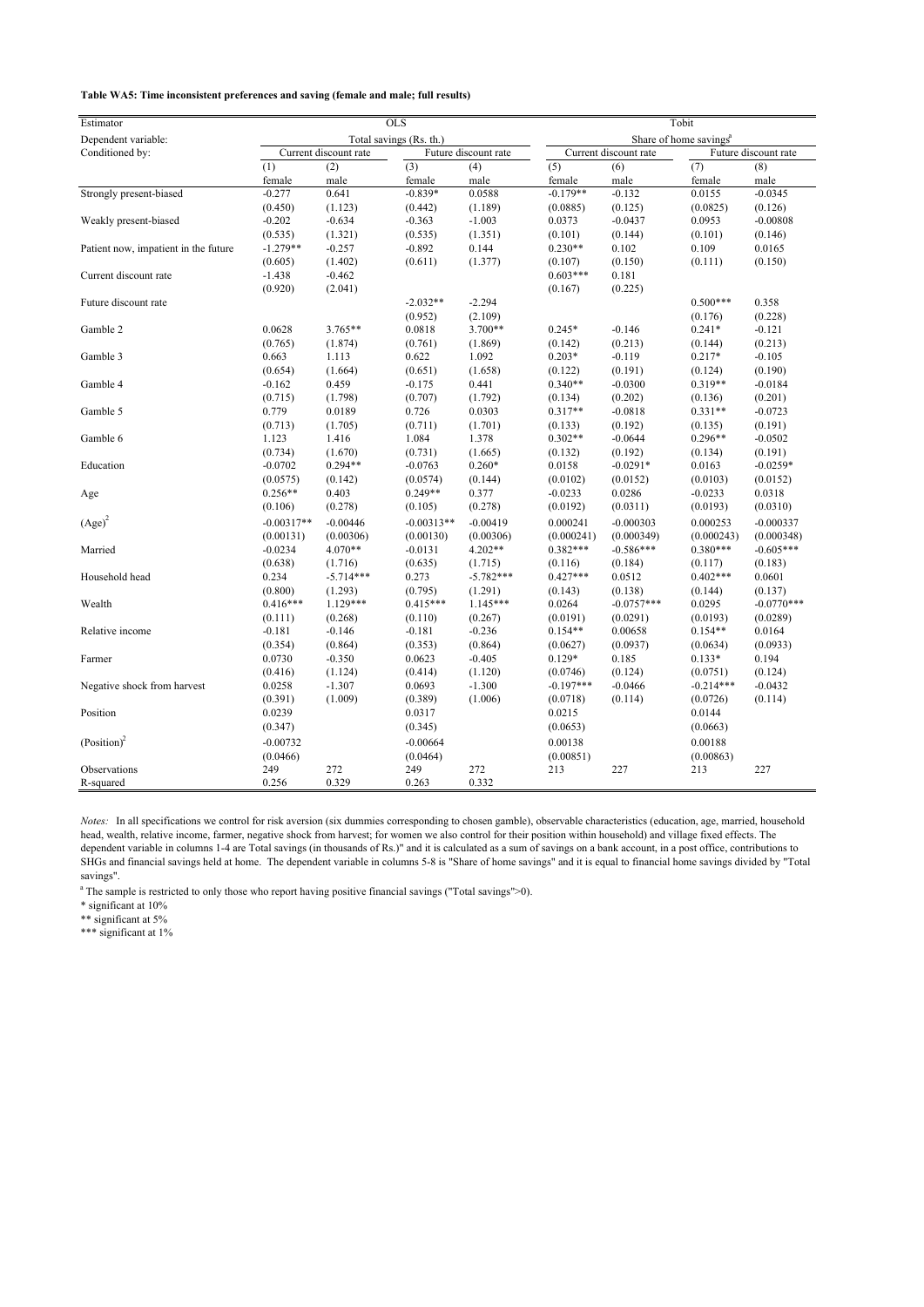**Table WA5: Time inconsistent preferences and saving (female and male; full results)**

| Estimator                            |              |                       | $OLS$                   |                      |                                    |                       | Tobit       |                      |
|--------------------------------------|--------------|-----------------------|-------------------------|----------------------|------------------------------------|-----------------------|-------------|----------------------|
| Dependent variable:                  |              |                       | Total savings (Rs. th.) |                      | Share of home savings <sup>a</sup> |                       |             |                      |
| Conditioned by:                      |              | Current discount rate |                         | Future discount rate |                                    | Current discount rate |             | Future discount rate |
|                                      | (1)          | (2)                   | (3)                     | (4)                  | (5)                                | (6)                   | (7)         | (8)                  |
|                                      | female       | male                  | female                  | male                 | female                             | male                  | female      | male                 |
| Strongly present-biased              | $-0.277$     | 0.641                 | $-0.839*$               | 0.0588               | $-0.179**$                         | $-0.132$              | 0.0155      | $-0.0345$            |
|                                      | (0.450)      | (1.123)               | (0.442)                 | (1.189)              | (0.0885)                           | (0.125)               | (0.0825)    | (0.126)              |
| Weakly present-biased                | $-0.202$     | $-0.634$              | $-0.363$                | $-1.003$             | 0.0373                             | $-0.0437$             | 0.0953      | $-0.00808$           |
|                                      | (0.535)      | (1.321)               | (0.535)                 | (1.351)              | (0.101)                            | (0.144)               | (0.101)     | (0.146)              |
| Patient now, impatient in the future | $-1.279**$   | $-0.257$              | $-0.892$                | 0.144                | $0.230**$                          | 0.102                 | 0.109       | 0.0165               |
|                                      | (0.605)      | (1.402)               | (0.611)                 | (1.377)              | (0.107)                            | (0.150)               | (0.111)     | (0.150)              |
| Current discount rate                | $-1.438$     | $-0.462$              |                         |                      | $0.603***$                         | 0.181                 |             |                      |
|                                      | (0.920)      | (2.041)               |                         |                      | (0.167)                            | (0.225)               |             |                      |
| Future discount rate                 |              |                       | $-2.032**$              | $-2.294$             |                                    |                       | $0.500***$  | 0.358                |
|                                      |              |                       | (0.952)                 | (2.109)              |                                    |                       | (0.176)     | (0.228)              |
| Gamble 2                             | 0.0628       | 3.765**               | 0.0818                  | 3.700**              | $0.245*$                           | $-0.146$              | $0.241*$    | $-0.121$             |
|                                      | (0.765)      | (1.874)               | (0.761)                 | (1.869)              | (0.142)                            | (0.213)               | (0.144)     | (0.213)              |
| Gamble 3                             | 0.663        | 1.113                 | 0.622                   | 1.092                | $0.203*$                           | $-0.119$              | $0.217*$    | $-0.105$             |
|                                      | (0.654)      | (1.664)               | (0.651)                 | (1.658)              | (0.122)                            | (0.191)               | (0.124)     | (0.190)              |
| Gamble 4                             | $-0.162$     | 0.459                 | $-0.175$                | 0.441                | $0.340**$                          | $-0.0300$             | $0.319**$   | $-0.0184$            |
|                                      | (0.715)      | (1.798)               | (0.707)                 | (1.792)              | (0.134)                            | (0.202)               | (0.136)     | (0.201)              |
| Gamble 5                             | 0.779        | 0.0189                | 0.726                   | 0.0303               | $0.317**$                          | $-0.0818$             | $0.331**$   | $-0.0723$            |
|                                      | (0.713)      | (1.705)               | (0.711)                 | (1.701)              | (0.133)                            | (0.192)               | (0.135)     | (0.191)              |
| Gamble 6                             | 1.123        | 1.416                 | 1.084                   | 1.378                | $0.302**$                          | $-0.0644$             | $0.296**$   | $-0.0502$            |
|                                      | (0.734)      | (1.670)               | (0.731)                 | (1.665)              | (0.132)                            | (0.192)               | (0.134)     | (0.191)              |
| Education                            | $-0.0702$    | $0.294**$             | $-0.0763$               | $0.260*$             | 0.0158                             | $-0.0291*$            | 0.0163      | $-0.0259*$           |
|                                      | (0.0575)     | (0.142)               | (0.0574)                | (0.144)              | (0.0102)                           | (0.0152)              | (0.0103)    | (0.0152)             |
| Age                                  | $0.256**$    | 0.403                 | $0.249**$               | 0.377                | $-0.0233$                          | 0.0286                | $-0.0233$   | 0.0318               |
|                                      | (0.106)      | (0.278)               | (0.105)                 | (0.278)              | (0.0192)                           | (0.0311)              | (0.0193)    | (0.0310)             |
| $(Age)^2$                            | $-0.00317**$ | $-0.00446$            | $-0.00313**$            | $-0.00419$           | 0.000241                           | $-0.000303$           | 0.000253    | $-0.000337$          |
|                                      | (0.00131)    | (0.00306)             | (0.00130)               | (0.00306)            | (0.000241)                         | (0.000349)            | (0.000243)  | (0.000348)           |
| Married                              | $-0.0234$    | 4.070**               | $-0.0131$               | 4.202**              | $0.382***$                         | $-0.586***$           | $0.380***$  | $-0.605***$          |
|                                      | (0.638)      | (1.716)               | (0.635)                 | (1.715)              | (0.116)                            | (0.184)               | (0.117)     | (0.183)              |
| Household head                       | 0.234        | $-5.714***$           | 0.273                   | $-5.782***$          | $0.427***$                         | 0.0512                | $0.402***$  | 0.0601               |
|                                      | (0.800)      | (1.293)               | (0.795)                 | (1.291)              | (0.143)                            | (0.138)               | (0.144)     | (0.137)              |
| Wealth                               | $0.416***$   | $1.129***$            | $0.415***$              | $1.145***$           | 0.0264                             | $-0.0757***$          | 0.0295      | $-0.0770***$         |
|                                      | (0.111)      | (0.268)               | (0.110)                 | (0.267)              | (0.0191)                           | (0.0291)              | (0.0193)    | (0.0289)             |
| Relative income                      | $-0.181$     | $-0.146$              | $-0.181$                | $-0.236$             | $0.154**$                          | 0.00658               | $0.154**$   | 0.0164               |
|                                      | (0.354)      | (0.864)               | (0.353)                 | (0.864)              | (0.0627)                           | (0.0937)              | (0.0634)    | (0.0933)             |
| Farmer                               | 0.0730       | $-0.350$              | 0.0623                  | $-0.405$             | $0.129*$                           | 0.185                 | $0.133*$    | 0.194                |
|                                      | (0.416)      | (1.124)               | (0.414)                 | (1.120)              | (0.0746)                           | (0.124)               | (0.0751)    | (0.124)              |
| Negative shock from harvest          | 0.0258       | $-1.307$              | 0.0693                  | $-1.300$             | $-0.197***$                        | $-0.0466$             | $-0.214***$ | $-0.0432$            |
|                                      | (0.391)      | (1.009)               | (0.389)                 | (1.006)              | (0.0718)                           | (0.114)               | (0.0726)    | (0.114)              |
| Position                             | 0.0239       |                       | 0.0317                  |                      | 0.0215                             |                       | 0.0144      |                      |
|                                      | (0.347)      |                       | (0.345)                 |                      | (0.0653)                           |                       | (0.0663)    |                      |
| (Position) <sup>2</sup>              | $-0.00732$   |                       | $-0.00664$              |                      | 0.00138                            |                       | 0.00188     |                      |
|                                      | (0.0466)     |                       | (0.0464)                |                      | (0.00851)                          |                       | (0.00863)   |                      |
| Observations                         | 249          | 272                   | 249                     | 272                  | 213                                | 227                   | 213         | 227                  |
| R-squared                            | 0.256        | 0.329                 | 0.263                   | 0.332                |                                    |                       |             |                      |

*Notes:* In all specifications we control for risk aversion (six dummies corresponding to chosen gamble), observable characteristics (education, age, married, household head, wealth, relative income, farmer, negative shock from harvest; for women we also control for their position within household) and village fixed effects. The dependent variable in columns 1-4 are Total savings (in thousands of Rs.)" and it is calculated as a sum of savings on a bank account, in a post office, contributions to SHGs and financial savings held at home. The dependent variable in columns 5-8 is "Share of home savings" and it is equal to financial home savings divided by "Total savings".

<sup>a</sup> The sample is restricted to only those who report having positive financial savings ("Total savings">0).

\* significant at 10%

\*\* significant at 5%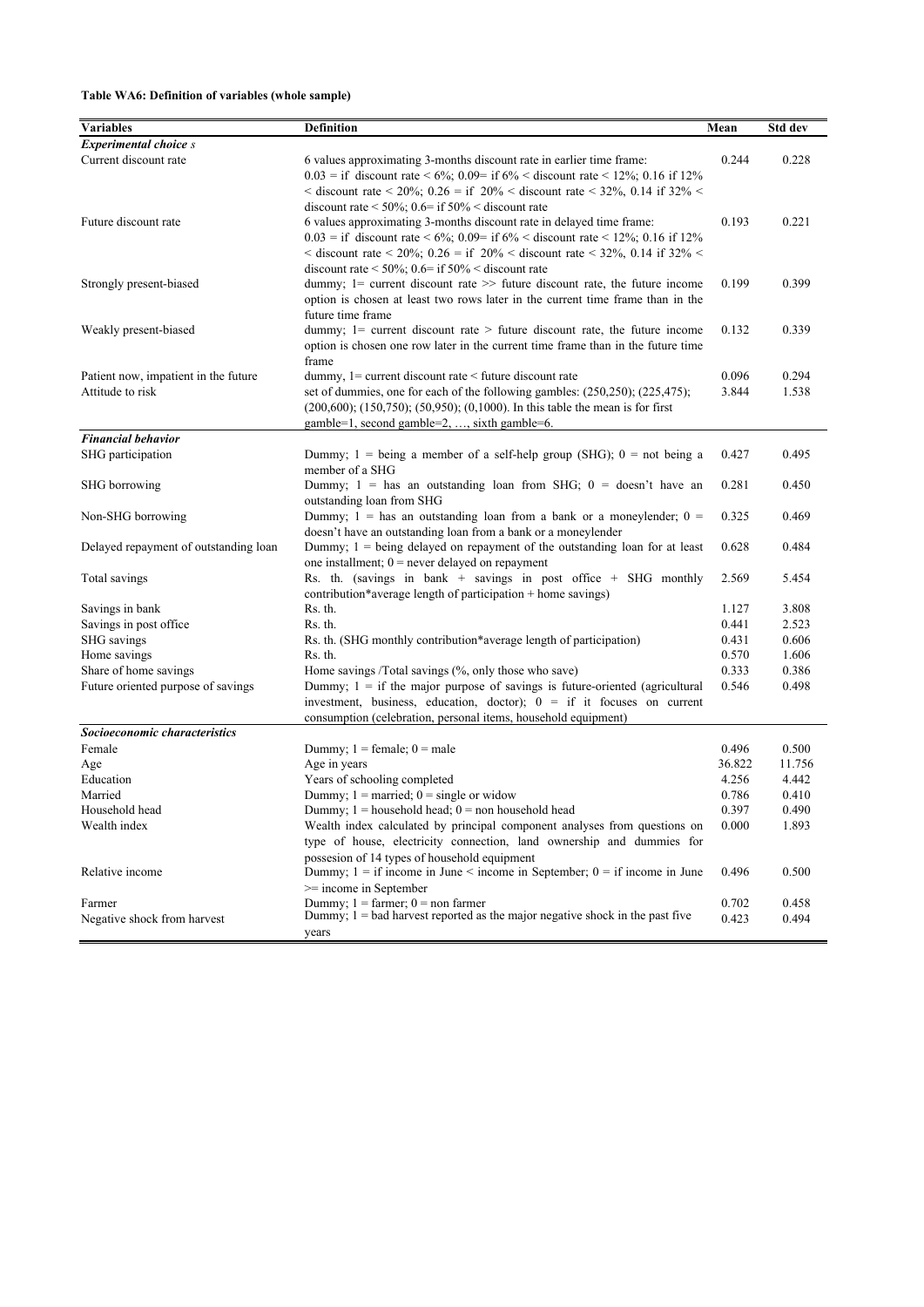### **Table WA6: Definition of variables (whole sample)**

|                                       |                                                                                                              |        | Std dev |
|---------------------------------------|--------------------------------------------------------------------------------------------------------------|--------|---------|
| <b>Variables</b>                      | <b>Definition</b>                                                                                            | Mean   |         |
| <b>Experimental choice s</b>          |                                                                                                              |        |         |
| Current discount rate                 | 6 values approximating 3-months discount rate in earlier time frame:                                         | 0.244  | 0.228   |
|                                       | $0.03 =$ if discount rate < 6%; 0.09= if 6% < discount rate < 12%; 0.16 if 12%                               |        |         |
|                                       | $\alpha$ discount rate $\alpha$ 20%; 0.26 = if 20% $\alpha$ discount rate $\alpha$ 32%, 0.14 if 32% $\alpha$ |        |         |
|                                       | discount rate < $50\%$ ; 0.6= if $50\%$ < discount rate                                                      |        |         |
| Future discount rate                  | 6 values approximating 3-months discount rate in delayed time frame:                                         | 0.193  | 0.221   |
|                                       | $0.03 =$ if discount rate < 6%; 0.09= if 6% < discount rate < 12%; 0.16 if 12%                               |        |         |
|                                       | < discount rate < 20%; 0.26 = if 20% < discount rate < 32%, 0.14 if 32% <                                    |        |         |
| Strongly present-biased               | discount rate $\leq 50\%$ ; 0.6= if 50% $\leq$ discount rate                                                 |        | 0.399   |
|                                       | dummy; $1$ = current discount rate $\gg$ future discount rate, the future income                             | 0.199  |         |
|                                       | option is chosen at least two rows later in the current time frame than in the<br>future time frame          |        |         |
| Weakly present-biased                 | dummy; $1 =$ current discount rate $>$ future discount rate, the future income                               | 0.132  | 0.339   |
|                                       | option is chosen one row later in the current time frame than in the future time                             |        |         |
|                                       | frame                                                                                                        |        |         |
| Patient now, impatient in the future  | dummy, $1$ = current discount rate < future discount rate                                                    | 0.096  | 0.294   |
| Attitude to risk                      | set of dummies, one for each of the following gambles: (250,250); (225,475);                                 | 3.844  | 1.538   |
|                                       | $(200,600)$ ; $(150,750)$ ; $(50,950)$ ; $(0,1000)$ . In this table the mean is for first                    |        |         |
|                                       | gamble=1, second gamble=2, , sixth gamble=6.                                                                 |        |         |
| <b>Financial behavior</b>             |                                                                                                              |        |         |
| SHG participation                     | Dummy; $1 = \text{being a member of a self-help group (SHG); } 0 = \text{not being a}$                       | 0.427  | 0.495   |
|                                       | member of a SHG                                                                                              |        |         |
| SHG borrowing                         | Dummy; $1 =$ has an outstanding loan from SHG; $0 =$ doesn't have an                                         | 0.281  | 0.450   |
|                                       | outstanding loan from SHG                                                                                    |        |         |
| Non-SHG borrowing                     | Dummy; $1 =$ has an outstanding loan from a bank or a moneylender; $0 =$                                     | 0.325  | 0.469   |
|                                       | doesn't have an outstanding loan from a bank or a moneylender                                                |        |         |
| Delayed repayment of outstanding loan | Dummy; $1 = \text{being delayed on repayment of the outstanding loan for at least}$                          | 0.628  | 0.484   |
|                                       | one installment; $0$ = never delayed on repayment                                                            |        |         |
| Total savings                         | Rs. th. (savings in bank + savings in post office + SHG monthly                                              | 2.569  | 5.454   |
|                                       | contribution*average length of participation + home savings)                                                 |        |         |
| Savings in bank                       | Rs. th.                                                                                                      | 1.127  | 3.808   |
| Savings in post office                | Rs. th.                                                                                                      | 0.441  | 2.523   |
| SHG savings                           | Rs. th. (SHG monthly contribution*average length of participation)                                           | 0.431  | 0.606   |
| Home savings                          | Rs. th.                                                                                                      | 0.570  | 1.606   |
| Share of home savings                 | Home savings /Total savings (%, only those who save)                                                         | 0.333  | 0.386   |
| Future oriented purpose of savings    | Dummy; $1 =$ if the major purpose of savings is future-oriented (agricultural                                | 0.546  | 0.498   |
|                                       | investment, business, education, doctor); $0 = if$ it focuses on current                                     |        |         |
|                                       | consumption (celebration, personal items, household equipment)                                               |        |         |
| Socioeconomic characteristics         |                                                                                                              |        |         |
| Female                                | Dummy; $1 = \text{female}$ ; $0 = \text{male}$                                                               | 0.496  | 0.500   |
| Age                                   | Age in years                                                                                                 | 36.822 | 11.756  |
| Education                             | Years of schooling completed                                                                                 | 4.256  | 4.442   |
| Married                               | Dummy; $1 =$ married; $0 =$ single or widow                                                                  | 0.786  | 0.410   |
| Household head                        | Dummy; $1 =$ household head; $0 =$ non household head                                                        | 0.397  | 0.490   |
| Wealth index                          | Wealth index calculated by principal component analyses from questions on                                    | 0.000  | 1.893   |
|                                       | type of house, electricity connection, land ownership and dummies for                                        |        |         |
|                                       | possesion of 14 types of household equipment                                                                 |        |         |
| Relative income                       | Dummy; $1 =$ if income in June < income in September; $0 =$ if income in June                                | 0.496  | 0.500   |
|                                       | $>=$ income in September                                                                                     |        |         |
| Farmer                                | Dummy; $1 = \text{farrner}$ ; $0 = \text{non farmer}$                                                        | 0.702  | 0.458   |
| Negative shock from harvest           | Dummy, $1 =$ bad harvest reported as the major negative shock in the past five                               | 0.423  | 0.494   |
|                                       | years                                                                                                        |        |         |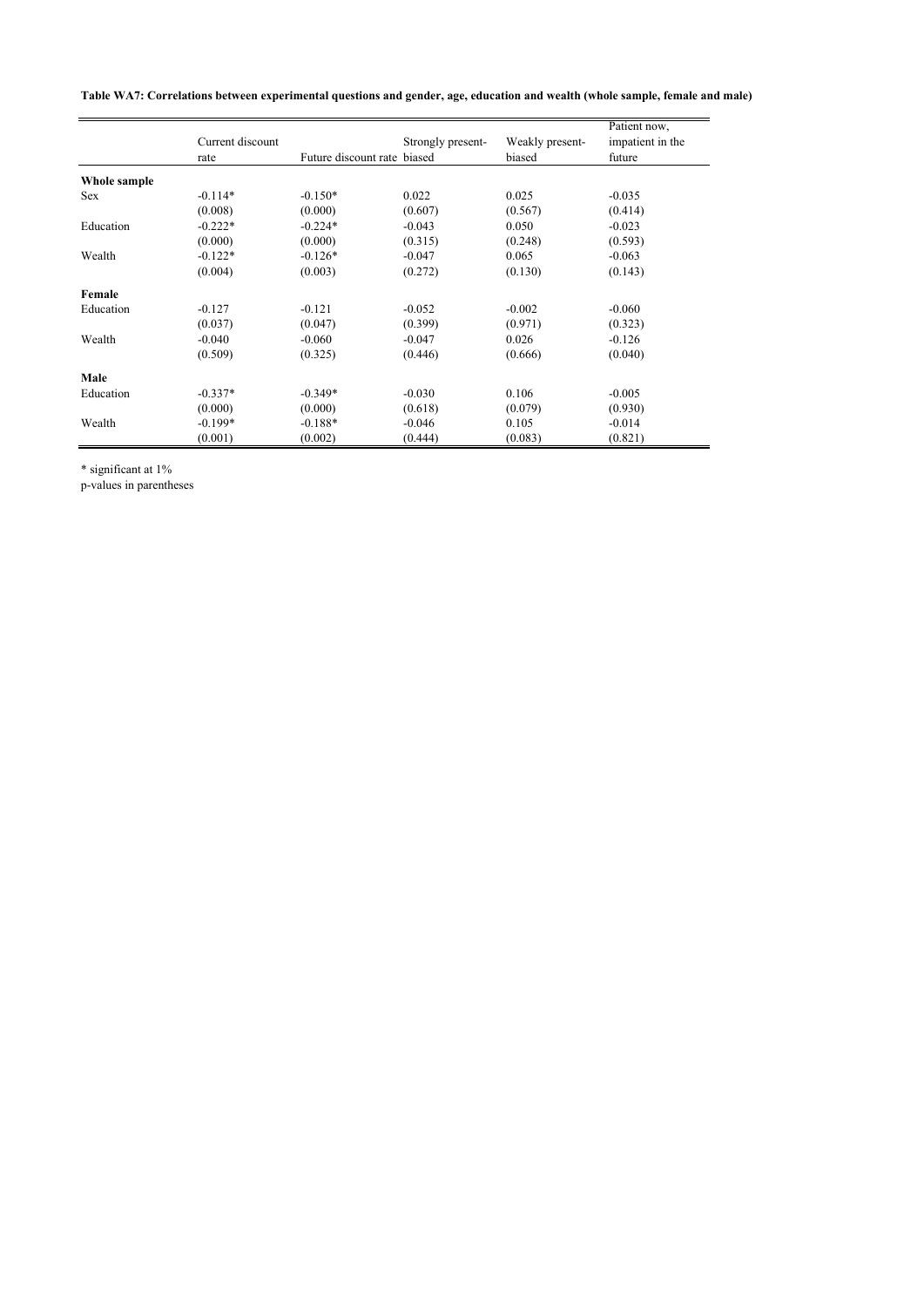**Table WA7: Correlations between experimental questions and gender, age, education and wealth (whole sample, female and male)**

|              |                  |                             |                   |                 | Patient now,     |
|--------------|------------------|-----------------------------|-------------------|-----------------|------------------|
|              | Current discount |                             | Strongly present- | Weakly present- | impatient in the |
|              | rate             | Future discount rate biased |                   | biased          | future           |
| Whole sample |                  |                             |                   |                 |                  |
| <b>Sex</b>   | $-0.114*$        | $-0.150*$                   | 0.022             | 0.025           | $-0.035$         |
|              | (0.008)          | (0.000)                     | (0.607)           | (0.567)         | (0.414)          |
| Education    | $-0.222*$        | $-0.224*$                   | $-0.043$          | 0.050           | $-0.023$         |
|              | (0.000)          | (0.000)                     | (0.315)           | (0.248)         | (0.593)          |
| Wealth       | $-0.122*$        | $-0.126*$                   | $-0.047$          | 0.065           | $-0.063$         |
|              | (0.004)          | (0.003)                     | (0.272)           | (0.130)         | (0.143)          |
| Female       |                  |                             |                   |                 |                  |
| Education    | $-0.127$         | $-0.121$                    | $-0.052$          | $-0.002$        | $-0.060$         |
|              | (0.037)          | (0.047)                     | (0.399)           | (0.971)         | (0.323)          |
| Wealth       | $-0.040$         | $-0.060$                    | $-0.047$          | 0.026           | $-0.126$         |
|              | (0.509)          | (0.325)                     | (0.446)           | (0.666)         | (0.040)          |
| Male         |                  |                             |                   |                 |                  |
| Education    | $-0.337*$        | $-0.349*$                   | $-0.030$          | 0.106           | $-0.005$         |
|              | (0.000)          | (0.000)                     | (0.618)           | (0.079)         | (0.930)          |
| Wealth       | $-0.199*$        | $-0.188*$                   | $-0.046$          | 0.105           | $-0.014$         |
|              | (0.001)          | (0.002)                     | (0.444)           | (0.083)         | (0.821)          |

\* significant at 1%

p-values in parentheses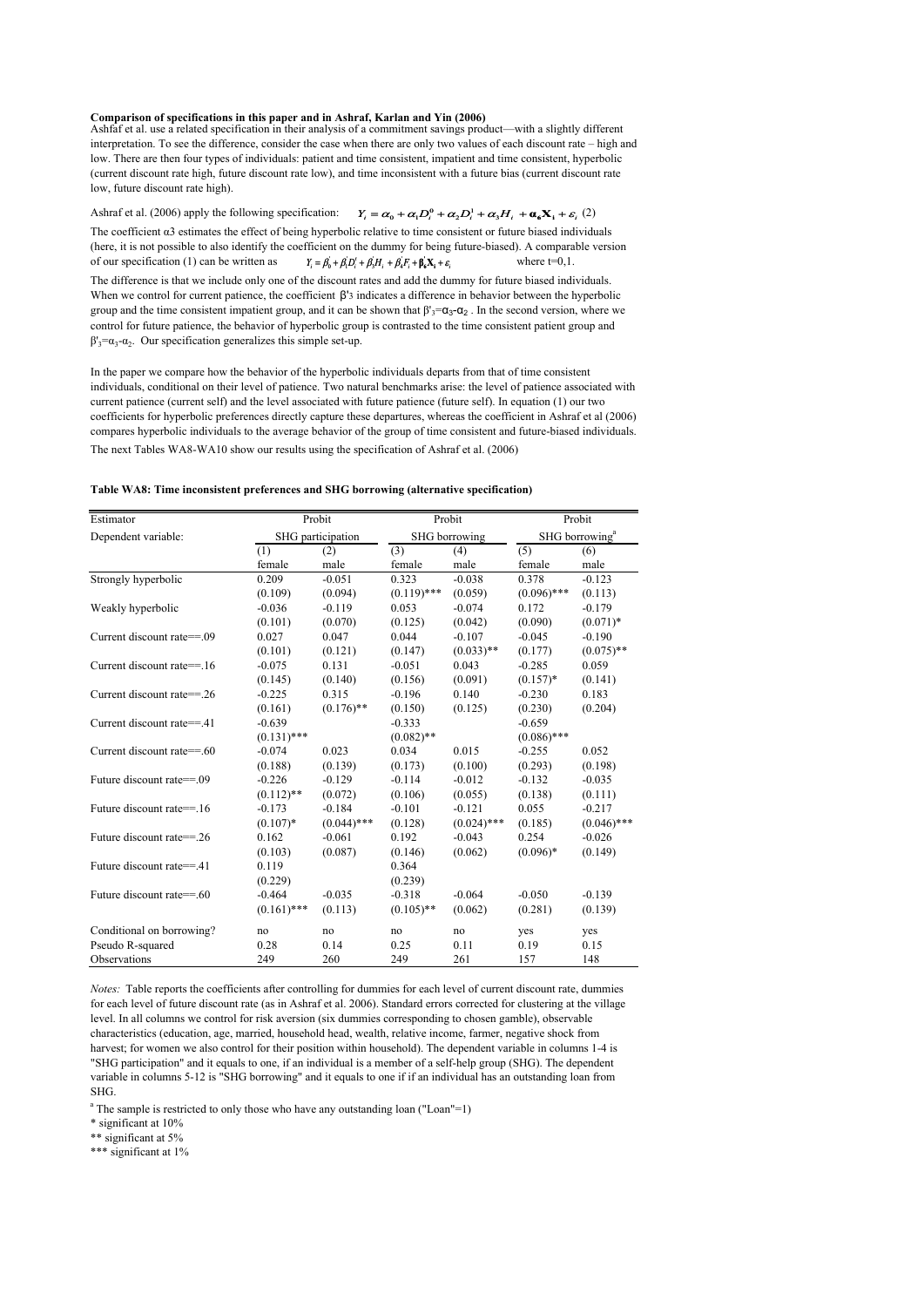# **Comparison of specifications in this paper and in Ashraf, Karlan and Yin (2006)** Ashfaf et al. use a related specification in their analysis of a commitment savings product—with a slightly different

interpretation. To see the difference, consider the case when there are only two values of each discount rate – high and low. There are then four types of individuals: patient and time consistent, impatient and time consistent, hyperbolic (current discount rate high, future discount rate low), and time inconsistent with a future bias (current discount rate low, future discount rate high).

Ashraf et al. (2006) apply the following specification:  $Y_i = \alpha_0 + \alpha_1 D_i^0 + \alpha_2 D_i^1 + \alpha_3 H_i + \alpha_6 X_i + \varepsilon_i$  (2) The coefficient α3 estimates the effect of being hyperbolic relative to time consistent or future biased individuals (here, it is not possible to also identify the coefficient on the dummy for being future-biased). A comparable version of our specification (1) can be written as  $Y_i = \beta_0 + \beta_1 D'_i + \beta_2 H_i + \beta_3 F_i + \beta_4 X_i + \varepsilon_i$  where  $t=0,1$ . The difference is that we include only one of the discount rates and add the dummy for future biased individuals. When we control for current patience, the coefficient β'3 indicates a difference in behavior between the hyperbolic group and the time consistent impatient group, and it can be shown that  $\beta'_{3} = \alpha_{3} - \alpha_{2}$ . In the second version, where we control for future patience, the behavior of hyperbolic group is contrasted to the time consistent patient group and  $β'_{3} = α_{3} - α_{2}$ . Our specification generalizes this simple set-up.  $Y_i = \beta_0^{\prime} + \beta_1^{\prime} D_i^{\prime} + \beta_3^{\prime} H_i^{} + \beta_4^{\prime} F_i^{} + \beta_6^{\prime} X_i^{} + \varepsilon_i^{}$ 

The next Tables WA8-WA10 show our results using the specification of Ashraf et al. (2006) In the paper we compare how the behavior of the hyperbolic individuals departs from that of time consistent individuals, conditional on their level of patience. Two natural benchmarks arise: the level of patience associated with current patience (current self) and the level associated with future patience (future self). In equation (1) our two coefficients for hyperbolic preferences directly capture these departures, whereas the coefficient in Ashraf et al (2006) compares hyperbolic individuals to the average behavior of the group of time consistent and future-biased individuals.

#### **Table WA8: Time inconsistent preferences and SHG borrowing (alternative specification)**

| Estimator                  | Probit        |                   | Probit        |               | Probit        |                            |  |
|----------------------------|---------------|-------------------|---------------|---------------|---------------|----------------------------|--|
| Dependent variable:        |               | SHG participation | SHG borrowing |               |               | SHG borrowing <sup>a</sup> |  |
|                            | (1)           | (2)               | (3)           | (4)           | (5)           | (6)                        |  |
|                            | female        | male              | female        | male          | female        | male                       |  |
| Strongly hyperbolic        | 0.209         | $-0.051$          | 0.323         | $-0.038$      | 0.378         | $-0.123$                   |  |
|                            | (0.109)       | (0.094)           | $(0.119)$ *** | (0.059)       | $(0.096)$ *** | (0.113)                    |  |
| Weakly hyperbolic          | $-0.036$      | $-0.119$          | 0.053         | $-0.074$      | 0.172         | $-0.179$                   |  |
|                            | (0.101)       | (0.070)           | (0.125)       | (0.042)       | (0.090)       | $(0.071)$ *                |  |
| Current discount rate==.09 | 0.027         | 0.047             | 0.044         | $-0.107$      | $-0.045$      | $-0.190$                   |  |
|                            | (0.101)       | (0.121)           | (0.147)       | $(0.033)$ **  | (0.177)       | $(0.075)$ **               |  |
| Current discount rate==.16 | $-0.075$      | 0.131             | $-0.051$      | 0.043         | $-0.285$      | 0.059                      |  |
|                            | (0.145)       | (0.140)           | (0.156)       | (0.091)       | $(0.157)*$    | (0.141)                    |  |
| Current discount rate==.26 | $-0.225$      | 0.315             | $-0.196$      | 0.140         | $-0.230$      | 0.183                      |  |
|                            | (0.161)       | $(0.176)$ **      | (0.150)       | (0.125)       | (0.230)       | (0.204)                    |  |
| Current discount rate==.41 | $-0.639$      |                   | $-0.333$      |               | $-0.659$      |                            |  |
|                            | $(0.131)$ *** |                   | $(0.082)$ **  |               | $(0.086)$ *** |                            |  |
| Current discount rate==.60 | $-0.074$      | 0.023             | 0.034         | 0.015         | $-0.255$      | 0.052                      |  |
|                            | (0.188)       | (0.139)           | (0.173)       | (0.100)       | (0.293)       | (0.198)                    |  |
| Future discount rate==.09  | $-0.226$      | $-0.129$          | $-0.114$      | $-0.012$      | $-0.132$      | $-0.035$                   |  |
|                            | $(0.112)$ **  | (0.072)           | (0.106)       | (0.055)       | (0.138)       | (0.111)                    |  |
| Future discount rate==.16  | $-0.173$      | $-0.184$          | $-0.101$      | $-0.121$      | 0.055         | $-0.217$                   |  |
|                            | $(0.107)*$    | $(0.044)$ ***     | (0.128)       | $(0.024)$ *** | (0.185)       | $(0.046)$ ***              |  |
| Future discount rate==.26  | 0.162         | $-0.061$          | 0.192         | $-0.043$      | 0.254         | $-0.026$                   |  |
|                            | (0.103)       | (0.087)           | (0.146)       | (0.062)       | $(0.096)*$    | (0.149)                    |  |
| Future discount rate==.41  | 0.119         |                   | 0.364         |               |               |                            |  |
|                            | (0.229)       |                   | (0.239)       |               |               |                            |  |
| Future discount rate==.60  | $-0.464$      | $-0.035$          | $-0.318$      | $-0.064$      | $-0.050$      | $-0.139$                   |  |
|                            | $(0.161)$ *** | (0.113)           | $(0.105)$ **  | (0.062)       | (0.281)       | (0.139)                    |  |
| Conditional on borrowing?  | no            | no                | no            | no            | yes           | yes                        |  |
| Pseudo R-squared           | 0.28          | 0.14              | 0.25          | 0.11          | 0.19          | 0.15                       |  |
| Observations               | 249           | 260               | 249           | 261           | 157           | 148                        |  |

*Notes:* Table reports the coefficients after controlling for dummies for each level of current discount rate, dummies for each level of future discount rate (as in Ashraf et al. 2006). Standard errors corrected for clustering at the village level. In all columns we control for risk aversion (six dummies corresponding to chosen gamble), observable characteristics (education, age, married, household head, wealth, relative income, farmer, negative shock from harvest; for women we also control for their position within household). The dependent variable in columns 1-4 is "SHG participation" and it equals to one, if an individual is a member of a self-help group (SHG). The dependent variable in columns 5-12 is "SHG borrowing" and it equals to one if if an individual has an outstanding loan from SHG.

<sup>a</sup> The sample is restricted to only those who have any outstanding loan ("Loan"=1)

\* significant at 10%

\*\* significant at 5%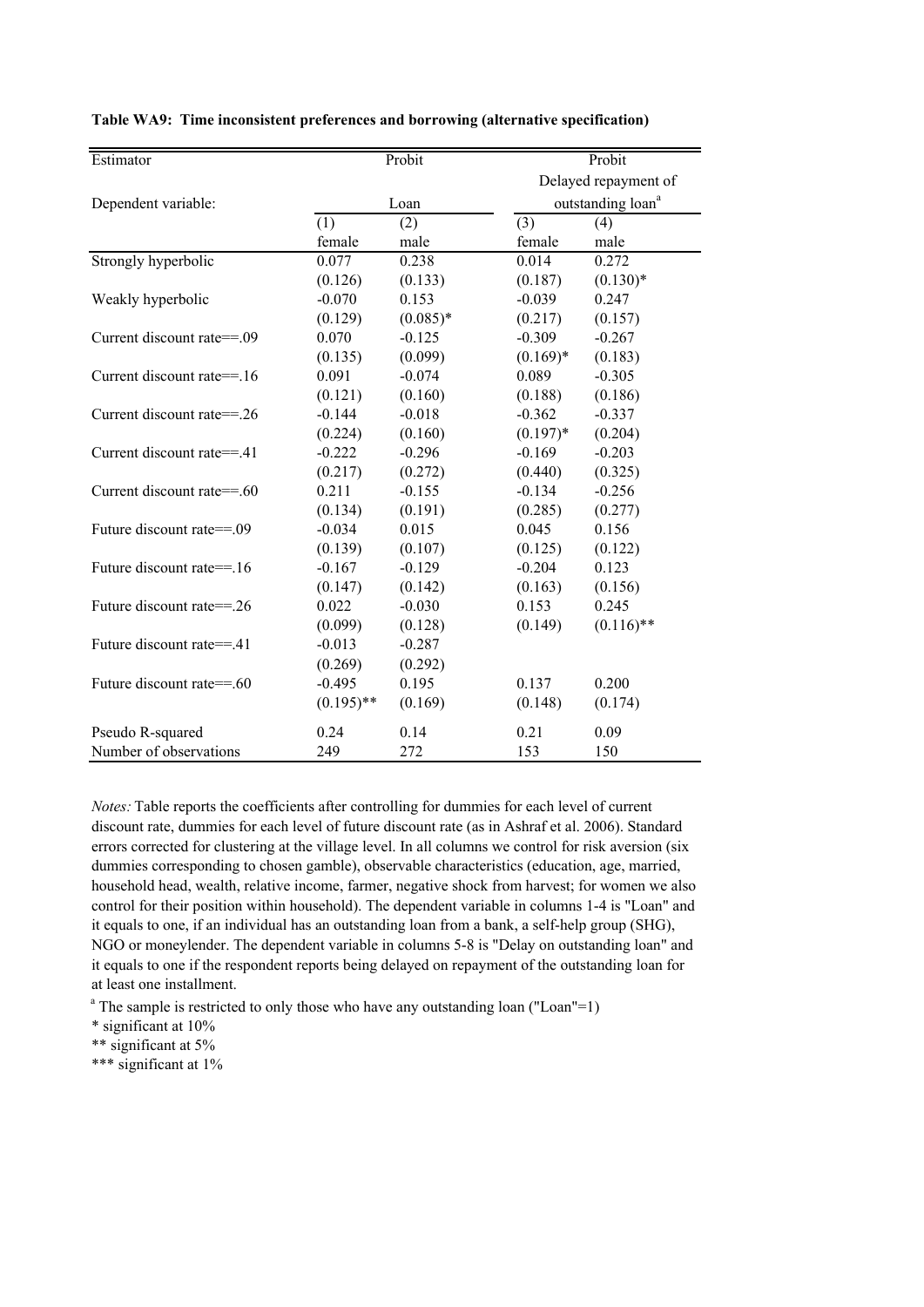| Estimator                  |              | Probit     |             | Probit                        |
|----------------------------|--------------|------------|-------------|-------------------------------|
|                            |              |            |             | Delayed repayment of          |
| Dependent variable:        |              | Loan       |             | outstanding loan <sup>a</sup> |
|                            | (1)          | (2)        | (3)         | (4)                           |
|                            | female       | male       | female      | male                          |
| Strongly hyperbolic        | 0.077        | 0.238      | 0.014       | 0.272                         |
|                            | (0.126)      | (0.133)    | (0.187)     | $(0.130)*$                    |
| Weakly hyperbolic          | $-0.070$     | 0.153      | $-0.039$    | 0.247                         |
|                            | (0.129)      | $(0.085)*$ | (0.217)     | (0.157)                       |
| Current discount rate==.09 | 0.070        | $-0.125$   | $-0.309$    | $-0.267$                      |
|                            | (0.135)      | (0.099)    | $(0.169)*$  | (0.183)                       |
| Current discount rate==.16 | 0.091        | $-0.074$   | 0.089       | $-0.305$                      |
|                            | (0.121)      | (0.160)    | (0.188)     | (0.186)                       |
| Current discount rate==.26 | $-0.144$     | $-0.018$   | $-0.362$    | $-0.337$                      |
|                            | (0.224)      | (0.160)    | $(0.197)$ * | (0.204)                       |
| Current discount rate==.41 | $-0.222$     | $-0.296$   | $-0.169$    | $-0.203$                      |
|                            | (0.217)      | (0.272)    | (0.440)     | (0.325)                       |
| Current discount rate==.60 | 0.211        | $-0.155$   | $-0.134$    | $-0.256$                      |
|                            | (0.134)      | (0.191)    | (0.285)     | (0.277)                       |
| Future discount rate==.09  | $-0.034$     | 0.015      | 0.045       | 0.156                         |
|                            | (0.139)      | (0.107)    | (0.125)     | (0.122)                       |
| Future discount rate==.16  | $-0.167$     | $-0.129$   | $-0.204$    | 0.123                         |
|                            | (0.147)      | (0.142)    | (0.163)     | (0.156)                       |
| Future discount rate==.26  | 0.022        | $-0.030$   | 0.153       | 0.245                         |
|                            | (0.099)      | (0.128)    | (0.149)     | $(0.116)$ **                  |
| Future discount rate==.41  | $-0.013$     | $-0.287$   |             |                               |
|                            | (0.269)      | (0.292)    |             |                               |
| Future discount rate==.60  | $-0.495$     | 0.195      | 0.137       | 0.200                         |
|                            | $(0.195)$ ** | (0.169)    | (0.148)     | (0.174)                       |
| Pseudo R-squared           | 0.24         | 0.14       | 0.21        | 0.09                          |
| Number of observations     | 249          | 272        | 153         | 150                           |

**Table WA9: Time inconsistent preferences and borrowing (alternative specification)**

*Notes:* Table reports the coefficients after controlling for dummies for each level of current discount rate, dummies for each level of future discount rate (as in Ashraf et al. 2006). Standard errors corrected for clustering at the village level. In all columns we control for risk aversion (six dummies corresponding to chosen gamble), observable characteristics (education, age, married, household head, wealth, relative income, farmer, negative shock from harvest; for women we also control for their position within household). The dependent variable in columns 1-4 is "Loan" and it equals to one, if an individual has an outstanding loan from a bank, a self-help group (SHG), NGO or moneylender. The dependent variable in columns 5-8 is "Delay on outstanding loan" and it equals to one if the respondent reports being delayed on repayment of the outstanding loan for at least one installment.

<sup>a</sup> The sample is restricted to only those who have any outstanding loan ("Loan"=1)

\* significant at 10%

\*\* significant at 5%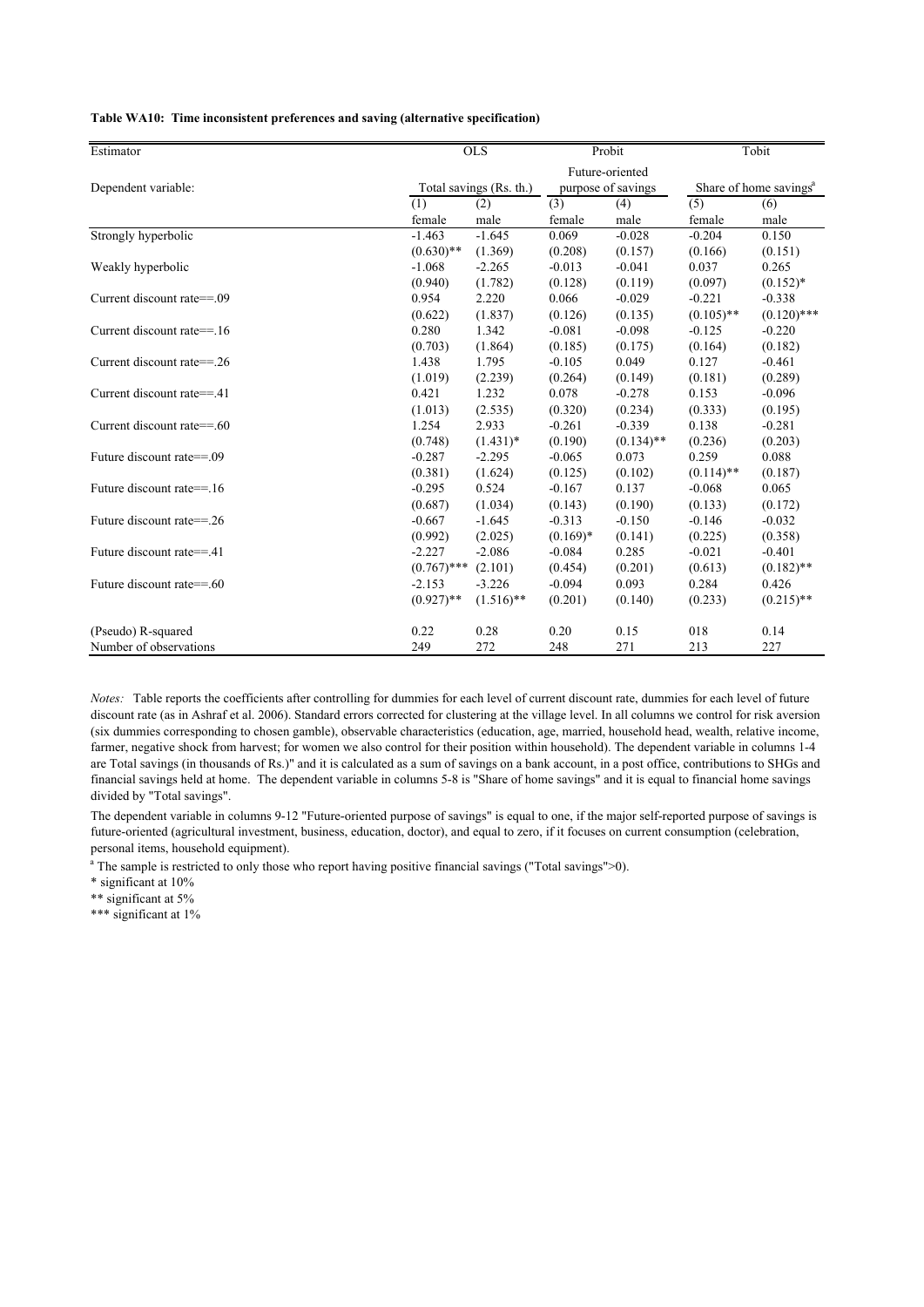|  | Table WA10: Time inconsistent preferences and saving (alternative specification) |  |  |  |  |
|--|----------------------------------------------------------------------------------|--|--|--|--|
|--|----------------------------------------------------------------------------------|--|--|--|--|

| Estimator                  |               | <b>OLS</b>              | Probit             |              |                                    | Tobit         |
|----------------------------|---------------|-------------------------|--------------------|--------------|------------------------------------|---------------|
|                            |               |                         | Future-oriented    |              |                                    |               |
| Dependent variable:        |               | Total savings (Rs. th.) | purpose of savings |              | Share of home savings <sup>a</sup> |               |
|                            | (1)           | (2)                     | (3)                | (4)          | (5)                                | (6)           |
|                            | female        | male                    | female             | male         | female                             | male          |
| Strongly hyperbolic        | $-1.463$      | $-1.645$                | 0.069              | $-0.028$     | $-0.204$                           | 0.150         |
|                            | $(0.630)$ **  | (1.369)                 | (0.208)            | (0.157)      | (0.166)                            | (0.151)       |
| Weakly hyperbolic          | $-1.068$      | $-2.265$                | $-0.013$           | $-0.041$     | 0.037                              | 0.265         |
|                            | (0.940)       | (1.782)                 | (0.128)            | (0.119)      | (0.097)                            | $(0.152)^*$   |
| Current discount rate==.09 | 0.954         | 2.220                   | 0.066              | $-0.029$     | $-0.221$                           | $-0.338$      |
|                            | (0.622)       | (1.837)                 | (0.126)            | (0.135)      | $(0.105)$ **                       | $(0.120)$ *** |
| Current discount rate==.16 | 0.280         | 1.342                   | $-0.081$           | $-0.098$     | $-0.125$                           | $-0.220$      |
|                            | (0.703)       | (1.864)                 | (0.185)            | (0.175)      | (0.164)                            | (0.182)       |
| Current discount rate==.26 | 1.438         | 1.795                   | $-0.105$           | 0.049        | 0.127                              | $-0.461$      |
|                            | (1.019)       | (2.239)                 | (0.264)            | (0.149)      | (0.181)                            | (0.289)       |
| Current discount rate==.41 | 0.421         | 1.232                   | 0.078              | $-0.278$     | 0.153                              | $-0.096$      |
|                            | (1.013)       | (2.535)                 | (0.320)            | (0.234)      | (0.333)                            | (0.195)       |
| Current discount rate==.60 | 1.254         | 2.933                   | $-0.261$           | $-0.339$     | 0.138                              | $-0.281$      |
|                            | (0.748)       | $(1.431)^*$             | (0.190)            | $(0.134)$ ** | (0.236)                            | (0.203)       |
| Future discount rate==.09  | $-0.287$      | $-2.295$                | $-0.065$           | 0.073        | 0.259                              | 0.088         |
|                            | (0.381)       | (1.624)                 | (0.125)            | (0.102)      | $(0.114)$ **                       | (0.187)       |
| Future discount rate==.16  | $-0.295$      | 0.524                   | $-0.167$           | 0.137        | $-0.068$                           | 0.065         |
|                            | (0.687)       | (1.034)                 | (0.143)            | (0.190)      | (0.133)                            | (0.172)       |
| Future discount rate==.26  | $-0.667$      | $-1.645$                | $-0.313$           | $-0.150$     | $-0.146$                           | $-0.032$      |
|                            | (0.992)       | (2.025)                 | $(0.169)^*$        | (0.141)      | (0.225)                            | (0.358)       |
| Future discount rate==.41  | $-2.227$      | $-2.086$                | $-0.084$           | 0.285        | $-0.021$                           | $-0.401$      |
|                            | $(0.767)$ *** | (2.101)                 | (0.454)            | (0.201)      | (0.613)                            | $(0.182)$ **  |
| Future discount rate==.60  | $-2.153$      | $-3.226$                | $-0.094$           | 0.093        | 0.284                              | 0.426         |
|                            | $(0.927)$ **  | $(1.516)$ **            | (0.201)            | (0.140)      | (0.233)                            | $(0.215)$ **  |
| (Pseudo) R-squared         | 0.22          | 0.28                    | 0.20               | 0.15         | 018                                | 0.14          |
| Number of observations     | 249           | 272                     | 248                | 271          | 213                                | 227           |

*Notes:* Table reports the coefficients after controlling for dummies for each level of current discount rate, dummies for each level of future discount rate (as in Ashraf et al. 2006). Standard errors corrected for clustering at the village level. In all columns we control for risk aversion (six dummies corresponding to chosen gamble), observable characteristics (education, age, married, household head, wealth, relative income, farmer, negative shock from harvest; for women we also control for their position within household). The dependent variable in columns 1-4 are Total savings (in thousands of Rs.)" and it is calculated as a sum of savings on a bank account, in a post office, contributions to SHGs and financial savings held at home. The dependent variable in columns 5-8 is "Share of home savings" and it is equal to financial home savings divided by "Total savings".

The dependent variable in columns 9-12 "Future-oriented purpose of savings" is equal to one, if the major self-reported purpose of savings is future-oriented (agricultural investment, business, education, doctor), and equal to zero, if it focuses on current consumption (celebration, personal items, household equipment).

<sup>a</sup> The sample is restricted to only those who report having positive financial savings ("Total savings">0).

\* significant at 10%

\*\* significant at 5%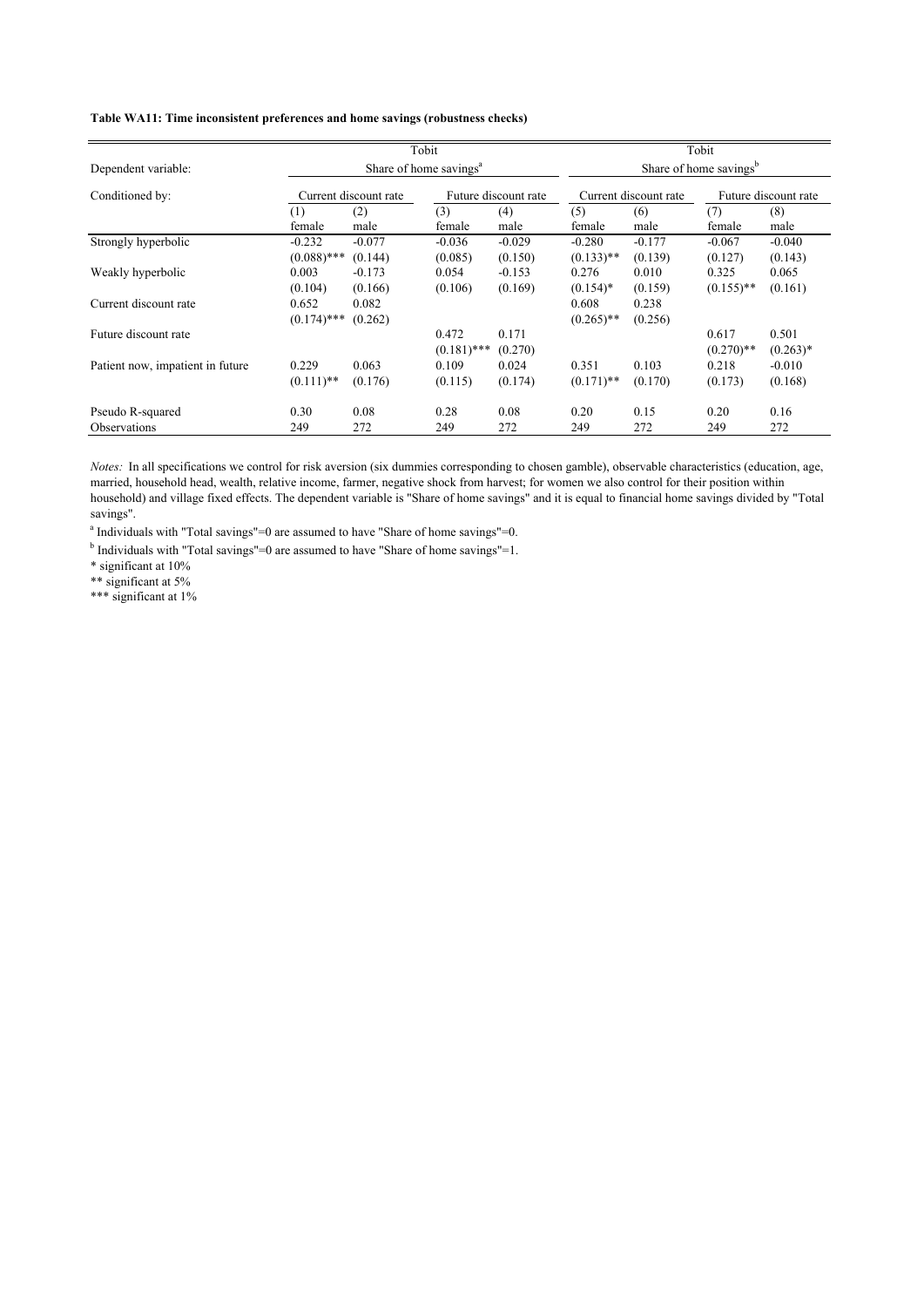### **Table WA11: Time inconsistent preferences and home savings (robustness checks)**

|                                  |                         |                       | Tobit                              |                      |                                    |                       | Tobit        |                      |  |  |
|----------------------------------|-------------------------|-----------------------|------------------------------------|----------------------|------------------------------------|-----------------------|--------------|----------------------|--|--|
| Dependent variable:              |                         |                       | Share of home savings <sup>a</sup> |                      | Share of home savings <sup>b</sup> |                       |              |                      |  |  |
| Conditioned by:                  |                         | Current discount rate |                                    | Future discount rate |                                    | Current discount rate |              | Future discount rate |  |  |
|                                  | (1)                     | (2)                   | (3)                                | (4)                  | (5)                                | (6)                   | (7)          | (8)                  |  |  |
|                                  | female                  | male                  | female                             | male                 | female                             | male                  | female       | male                 |  |  |
| Strongly hyperbolic              | $-0.232$                | $-0.077$              | $-0.036$                           | $-0.029$             | $-0.280$                           | $-0.177$              | $-0.067$     | $-0.040$             |  |  |
|                                  | $(0.088)$ ***           | (0.144)               | (0.085)                            | (0.150)              | $(0.133)$ **                       | (0.139)               | (0.127)      | (0.143)              |  |  |
| Weakly hyperbolic                | 0.003                   | $-0.173$              | 0.054                              | $-0.153$             | 0.276                              | 0.010                 | 0.325        | 0.065                |  |  |
|                                  | (0.104)                 | (0.166)               | (0.106)                            | (0.169)              | $(0.154)^*$                        | (0.159)               | $(0.155)$ ** | (0.161)              |  |  |
| Current discount rate            | 0.652                   | 0.082                 |                                    |                      | 0.608                              | 0.238                 |              |                      |  |  |
|                                  | $(0.174)$ ***           | (0.262)               |                                    |                      | $(0.265)$ **                       | (0.256)               |              |                      |  |  |
| Future discount rate             |                         |                       | 0.472                              | 0.171                |                                    |                       | 0.617        | 0.501                |  |  |
|                                  |                         |                       | $(0.181)$ ***                      | (0.270)              |                                    |                       | $(0.270)$ ** | $(0.263)*$           |  |  |
| Patient now, impatient in future | 0.229                   | 0.063                 | 0.109                              | 0.024                | 0.351                              | 0.103                 | 0.218        | $-0.010$             |  |  |
|                                  | $(0.111)$ <sup>**</sup> | (0.176)               | (0.115)                            | (0.174)              | $(0.171)$ **                       | (0.170)               | (0.173)      | (0.168)              |  |  |
| Pseudo R-squared                 | 0.30                    | 0.08                  | 0.28                               | 0.08                 | 0.20                               | 0.15                  | 0.20         | 0.16                 |  |  |
| <b>Observations</b>              | 249                     | 272                   | 249                                | 272                  | 249                                | 272                   | 249          | 272                  |  |  |

*Notes:* In all specifications we control for risk aversion (six dummies corresponding to chosen gamble), observable characteristics (education, age, married, household head, wealth, relative income, farmer, negative shock from harvest; for women we also control for their position within household) and village fixed effects. The dependent variable is "Share of home savings" and it is equal to financial home savings divided by "Total savings".

<sup>a</sup> Individuals with "Total savings"=0 are assumed to have "Share of home savings"=0.

 $<sup>b</sup>$  Individuals with "Total savings"=0 are assumed to have "Share of home savings"=1.</sup>

\* significant at 10%

\*\* significant at 5%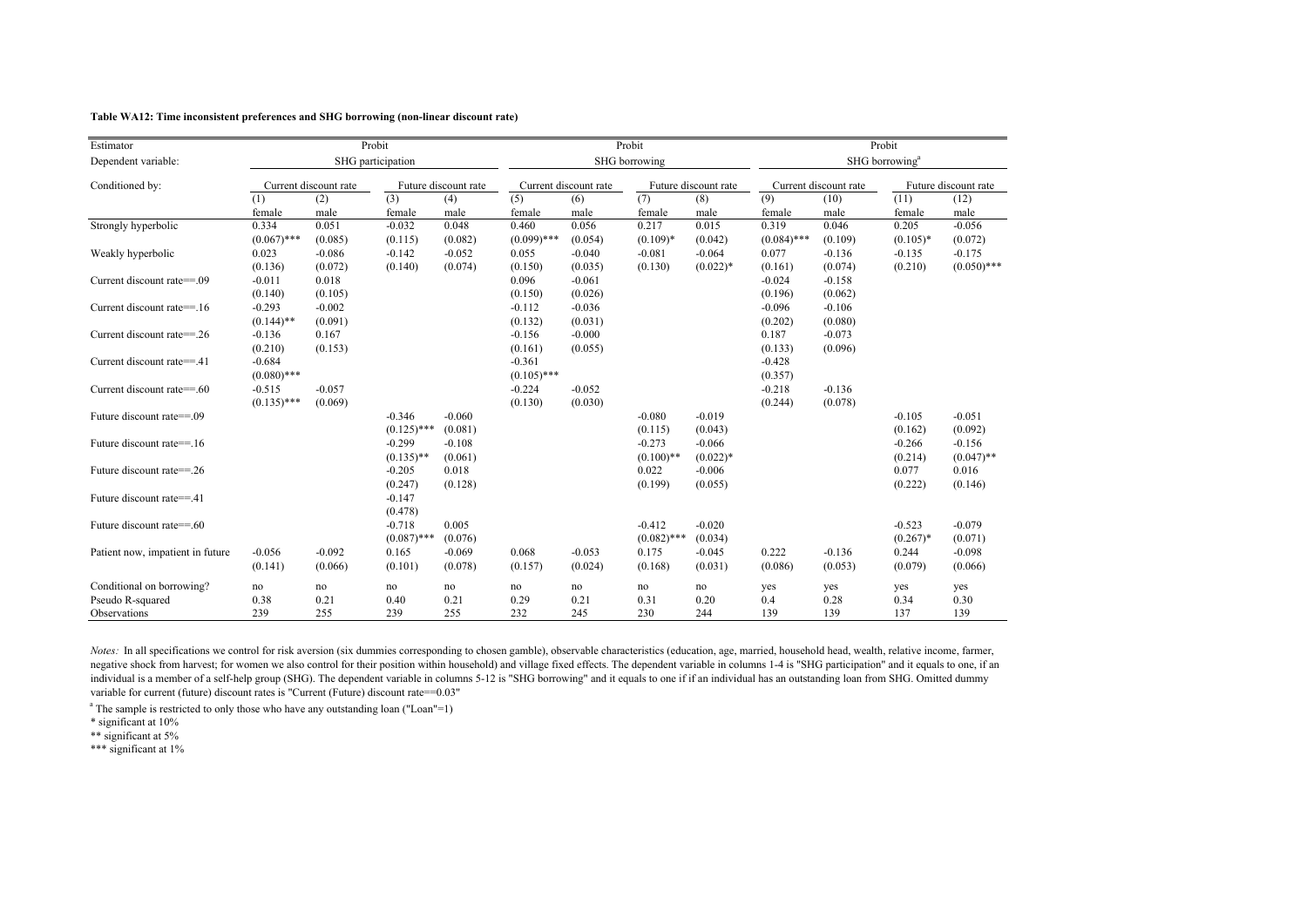#### **Table WA12: Time inconsistent preferences and SHG borrowing (non-linear discount rate)**

| Estimator                        |               |                       | Probit            |                      |               |                       | Probit        |                      | Probit        |                       |                            |                      |
|----------------------------------|---------------|-----------------------|-------------------|----------------------|---------------|-----------------------|---------------|----------------------|---------------|-----------------------|----------------------------|----------------------|
| Dependent variable:              |               |                       | SHG participation |                      |               |                       | SHG borrowing |                      |               |                       | SHG borrowing <sup>a</sup> |                      |
| Conditioned by:                  |               | Current discount rate |                   | Future discount rate |               | Current discount rate |               | Future discount rate |               | Current discount rate |                            | Future discount rate |
|                                  | (1)           | (2)                   | (3)               | (4)                  | (5)           | (6)                   | (7)           | (8)                  | (9)           | (10)                  | (11)                       | (12)                 |
|                                  | female        | male                  | female            | male                 | female        | male                  | female        | male                 | female        | male                  | female                     | male                 |
| Strongly hyperbolic              | 0.334         | 0.051                 | $-0.032$          | 0.048                | 0.460         | 0.056                 | 0.217         | 0.015                | 0.319         | 0.046                 | 0.205                      | $-0.056$             |
|                                  | $(0.067)$ *** | (0.085)               | (0.115)           | (0.082)              | $(0.099)$ *** | (0.054)               | $(0.109)*$    | (0.042)              | $(0.084)$ *** | (0.109)               | $(0.105)$ *                | (0.072)              |
| Weakly hyperbolic                | 0.023         | $-0.086$              | $-0.142$          | $-0.052$             | 0.055         | $-0.040$              | $-0.081$      | $-0.064$             | 0.077         | $-0.136$              | $-0.135$                   | $-0.175$             |
|                                  | (0.136)       | (0.072)               | (0.140)           | (0.074)              | (0.150)       | (0.035)               | (0.130)       | $(0.022)*$           | (0.161)       | (0.074)               | (0.210)                    | $(0.050)$ ***        |
| Current discount rate==.09       | $-0.011$      | 0.018                 |                   |                      | 0.096         | $-0.061$              |               |                      | $-0.024$      | $-0.158$              |                            |                      |
|                                  | (0.140)       | (0.105)               |                   |                      | (0.150)       | (0.026)               |               |                      | (0.196)       | (0.062)               |                            |                      |
| Current discount rate==.16       | $-0.293$      | $-0.002$              |                   |                      | $-0.112$      | $-0.036$              |               |                      | $-0.096$      | $-0.106$              |                            |                      |
|                                  | $(0.144)$ **  | (0.091)               |                   |                      | (0.132)       | (0.031)               |               |                      | (0.202)       | (0.080)               |                            |                      |
| Current discount rate==26        | $-0.136$      | 0.167                 |                   |                      | $-0.156$      | $-0.000$              |               |                      | 0.187         | $-0.073$              |                            |                      |
|                                  | (0.210)       | (0.153)               |                   |                      | (0.161)       | (0.055)               |               |                      | (0.133)       | (0.096)               |                            |                      |
| Current discount rate==.41       | $-0.684$      |                       |                   |                      | $-0.361$      |                       |               |                      | $-0.428$      |                       |                            |                      |
|                                  | $(0.080)$ *** |                       |                   |                      | $(0.105)$ *** |                       |               |                      | (0.357)       |                       |                            |                      |
| Current discount rate==.60       | $-0.515$      | $-0.057$              |                   |                      | $-0.224$      | $-0.052$              |               |                      | $-0.218$      | $-0.136$              |                            |                      |
|                                  | $(0.135)$ *** | (0.069)               |                   |                      | (0.130)       | (0.030)               |               |                      | (0.244)       | (0.078)               |                            |                      |
| Future discount rate==.09        |               |                       | $-0.346$          | $-0.060$             |               |                       | $-0.080$      | $-0.019$             |               |                       | $-0.105$                   | $-0.051$             |
|                                  |               |                       | $(0.125)$ ***     | (0.081)              |               |                       | (0.115)       | (0.043)              |               |                       | (0.162)                    | (0.092)              |
| Future discount rate==.16        |               |                       | $-0.299$          | $-0.108$             |               |                       | $-0.273$      | $-0.066$             |               |                       | $-0.266$                   | $-0.156$             |
|                                  |               |                       | $(0.135)$ **      | (0.061)              |               |                       | $(0.100)$ **  | $(0.022)*$           |               |                       | (0.214)                    | $(0.047)$ **         |
| Future discount rate==.26        |               |                       | $-0.205$          | 0.018                |               |                       | 0.022         | $-0.006$             |               |                       | 0.077                      | 0.016                |
|                                  |               |                       | (0.247)           | (0.128)              |               |                       | (0.199)       | (0.055)              |               |                       | (0.222)                    | (0.146)              |
| Future discount rate==.41        |               |                       | $-0.147$          |                      |               |                       |               |                      |               |                       |                            |                      |
|                                  |               |                       | (0.478)           |                      |               |                       |               |                      |               |                       |                            |                      |
| Future discount rate==.60        |               |                       | $-0.718$          | 0.005                |               |                       | $-0.412$      | $-0.020$             |               |                       | $-0.523$                   | $-0.079$             |
|                                  |               |                       | $(0.087)$ ***     | (0.076)              |               |                       | $(0.082)$ *** | (0.034)              |               |                       | $(0.267)$ *                | (0.071)              |
| Patient now, impatient in future | $-0.056$      | $-0.092$              | 0.165             | $-0.069$             | 0.068         | $-0.053$              | 0.175         | $-0.045$             | 0.222         | $-0.136$              | 0.244                      | $-0.098$             |
|                                  | (0.141)       | (0.066)               | (0.101)           | (0.078)              | (0.157)       | (0.024)               | (0.168)       | (0.031)              | (0.086)       | (0.053)               | (0.079)                    | (0.066)              |
| Conditional on borrowing?        | no            | no                    | no                | no                   | no            | no                    | no            | no                   | yes           | yes                   | yes                        | yes                  |
| Pseudo R-squared                 | 0.38          | 0.21                  | 0.40              | 0.21                 | 0.29          | 0.21                  | 0.31          | 0.20                 | 0.4           | 0.28                  | 0.34                       | 0.30                 |
| Observations                     | 239           | 255                   | 239               | 255                  | 232           | 245                   | 230           | 244                  | 139           | 139                   | 137                        | 139                  |

*Notes:* In all specifications we control for risk aversion (six dummies corresponding to chosen gamble), observable characteristics (education, age, married, household head, wealth, relative income, farmer, negative shock from harvest; for women we also control for their position within household) and village fixed effects. The dependent variable in columns 1-4 is "SHG participation" and it equals to one, if an individual is a member of a self-help group (SHG). The dependent variable in columns 5-12 is "SHG borrowing" and it equals to one if if an individual has an outstanding loan from SHG. Omitted dummy variable for current (future) discount rates is "Current (Future) discount rate==0.03"

<sup>a</sup> The sample is restricted to only those who have any outstanding loan ("Loan"=1)

\* significant at 10%

\*\* significant at 5%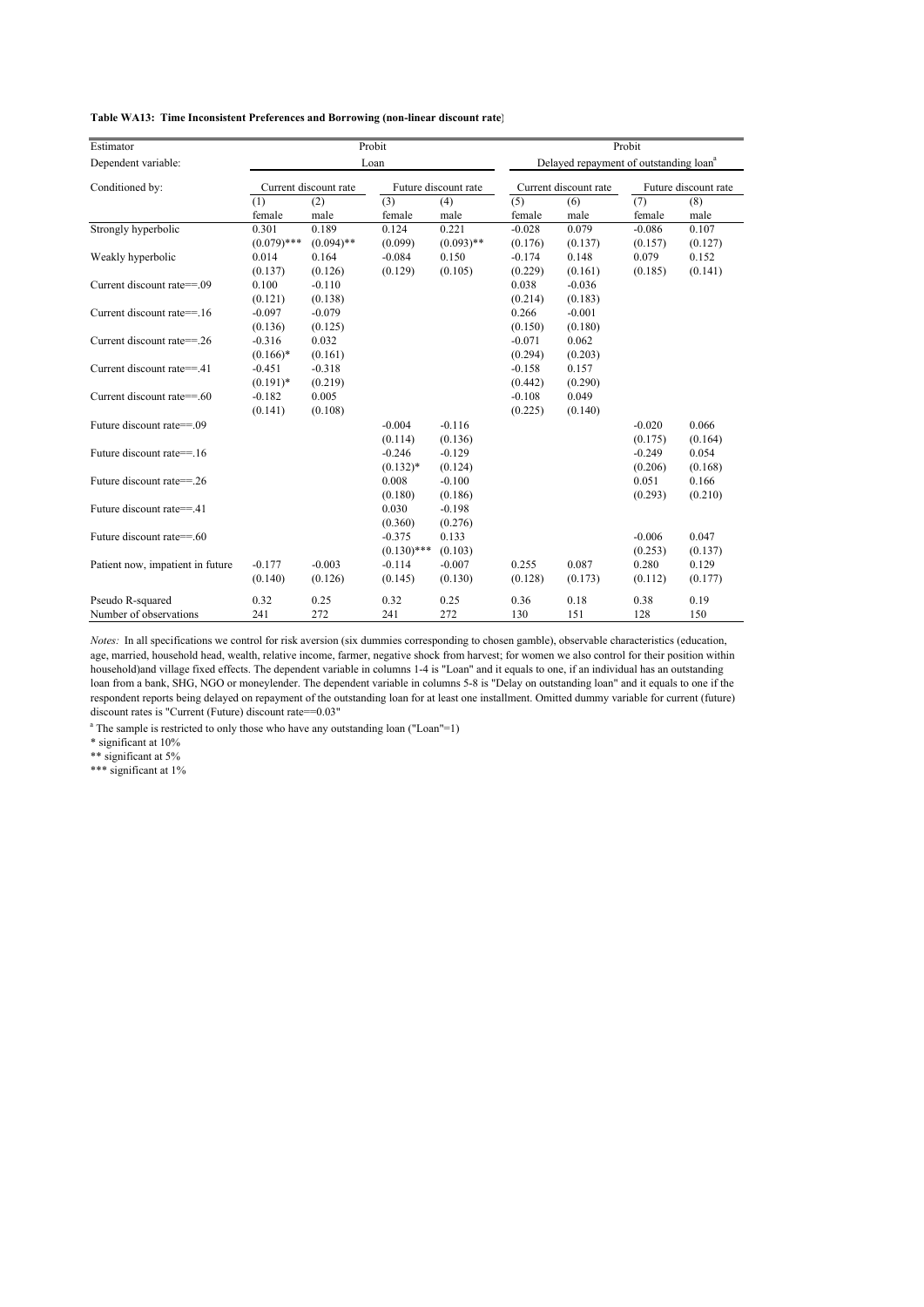| Estimator                        |               |                       | Probit        |                      | Probit   |                                                    |          |                      |  |  |  |
|----------------------------------|---------------|-----------------------|---------------|----------------------|----------|----------------------------------------------------|----------|----------------------|--|--|--|
| Dependent variable:              |               |                       | Loan          |                      |          | Delayed repayment of outstanding loan <sup>a</sup> |          |                      |  |  |  |
| Conditioned by:                  |               | Current discount rate |               | Future discount rate |          | Current discount rate                              |          | Future discount rate |  |  |  |
|                                  | (1)           | (2)                   | (3)           | (4)                  | (5)      | (6)                                                | (7)      | (8)                  |  |  |  |
|                                  | female        | male                  | female        | male                 | female   | male                                               | female   | male                 |  |  |  |
| Strongly hyperbolic              | 0.301         | 0.189                 | 0.124         | 0.221                | $-0.028$ | 0.079                                              | $-0.086$ | 0.107                |  |  |  |
|                                  | $(0.079)$ *** | $(0.094)$ **          | (0.099)       | $(0.093)$ **         | (0.176)  | (0.137)                                            | (0.157)  | (0.127)              |  |  |  |
| Weakly hyperbolic                | 0.014         | 0.164                 | $-0.084$      | 0.150                | $-0.174$ | 0.148                                              | 0.079    | 0.152                |  |  |  |
|                                  | (0.137)       | (0.126)               | (0.129)       | (0.105)              | (0.229)  | (0.161)                                            | (0.185)  | (0.141)              |  |  |  |
| Current discount rate==.09       | 0.100         | $-0.110$              |               |                      | 0.038    | $-0.036$                                           |          |                      |  |  |  |
|                                  | (0.121)       | (0.138)               |               |                      | (0.214)  | (0.183)                                            |          |                      |  |  |  |
| Current discount rate==.16       | $-0.097$      | $-0.079$              |               |                      | 0.266    | $-0.001$                                           |          |                      |  |  |  |
|                                  | (0.136)       | (0.125)               |               |                      | (0.150)  | (0.180)                                            |          |                      |  |  |  |
| Current discount rate==.26       | $-0.316$      | 0.032                 |               |                      | $-0.071$ | 0.062                                              |          |                      |  |  |  |
|                                  | $(0.166)*$    | (0.161)               |               |                      | (0.294)  | (0.203)                                            |          |                      |  |  |  |
| Current discount rate==.41       | $-0.451$      | $-0.318$              |               |                      | $-0.158$ | 0.157                                              |          |                      |  |  |  |
|                                  | $(0.191)$ *   | (0.219)               |               |                      | (0.442)  | (0.290)                                            |          |                      |  |  |  |
| Current discount rate==.60       | $-0.182$      | 0.005                 |               |                      | $-0.108$ | 0.049                                              |          |                      |  |  |  |
|                                  | (0.141)       | (0.108)               |               |                      | (0.225)  | (0.140)                                            |          |                      |  |  |  |
| Future discount rate==.09        |               |                       | $-0.004$      | $-0.116$             |          |                                                    | $-0.020$ | 0.066                |  |  |  |
|                                  |               |                       | (0.114)       | (0.136)              |          |                                                    | (0.175)  | (0.164)              |  |  |  |
| Future discount rate==.16        |               |                       | $-0.246$      | $-0.129$             |          |                                                    | $-0.249$ | 0.054                |  |  |  |
|                                  |               |                       | $(0.132)*$    | (0.124)              |          |                                                    | (0.206)  | (0.168)              |  |  |  |
| Future discount rate==.26        |               |                       | 0.008         | $-0.100$             |          |                                                    | 0.051    | 0.166                |  |  |  |
|                                  |               |                       | (0.180)       | (0.186)              |          |                                                    | (0.293)  | (0.210)              |  |  |  |
| Future discount rate==.41        |               |                       | 0.030         | $-0.198$             |          |                                                    |          |                      |  |  |  |
|                                  |               |                       | (0.360)       | (0.276)              |          |                                                    |          |                      |  |  |  |
| Future discount rate==.60        |               |                       | $-0.375$      | 0.133                |          |                                                    | $-0.006$ | 0.047                |  |  |  |
|                                  |               |                       | $(0.130)$ *** | (0.103)              |          |                                                    | (0.253)  | (0.137)              |  |  |  |
| Patient now, impatient in future | $-0.177$      | $-0.003$              | $-0.114$      | $-0.007$             | 0.255    | 0.087                                              | 0.280    | 0.129                |  |  |  |
|                                  | (0.140)       | (0.126)               | (0.145)       | (0.130)              | (0.128)  | (0.173)                                            | (0.112)  | (0.177)              |  |  |  |
| Pseudo R-squared                 | 0.32          | 0.25                  | 0.32          | 0.25                 | 0.36     | 0.18                                               | 0.38     | 0.19                 |  |  |  |
| Number of observations           | 241           | 272                   | 241           | 272                  | 130      | 151                                                | 128      | 150                  |  |  |  |

*Notes:* In all specifications we control for risk aversion (six dummies corresponding to chosen gamble), observable characteristics (education, age, married, household head, wealth, relative income, farmer, negative shock from harvest; for women we also control for their position within household)and village fixed effects. The dependent variable in columns 1-4 is "Loan" and it equals to one, if an individual has an outstanding loan from a bank, SHG, NGO or moneylender. The dependent variable in columns 5-8 is "Delay on outstanding loan" and it equals to one if the respondent reports being delayed on repayment of the outstanding loan for at least one installment. Omitted dummy variable for current (future) discount rates is "Current (Future) discount rate==0.03"

<sup>a</sup> The sample is restricted to only those who have any outstanding loan ("Loan"=1)

\* significant at 10%

\*\* significant at 5%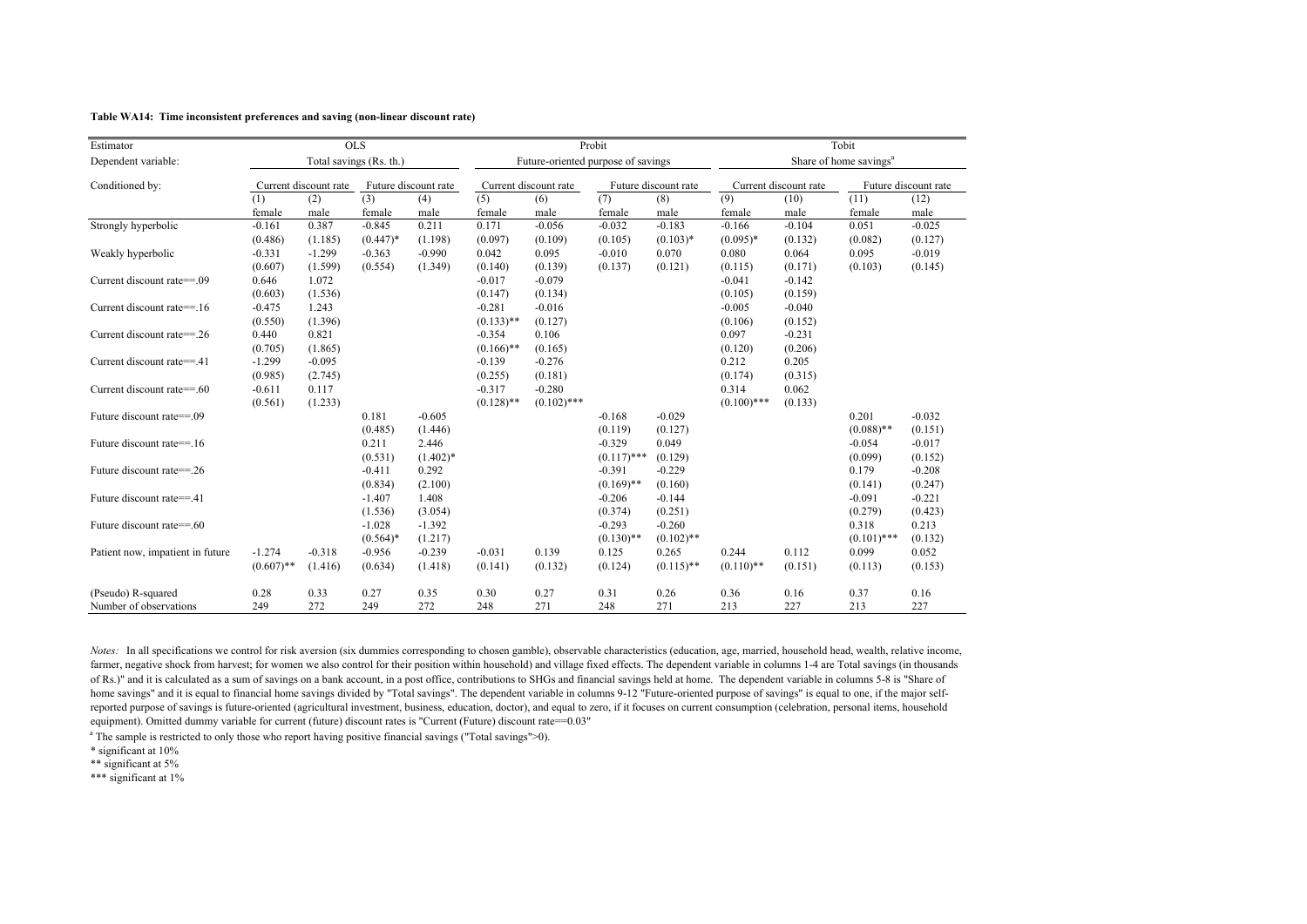#### **Table WA14: Time inconsistent preferences and saving (non-linear discount rate)**

| Estimator                        |              | <b>OLS</b>              |             |                      |              |                                    | Probit        |                      | Tobit         |                       |                                    |                      |
|----------------------------------|--------------|-------------------------|-------------|----------------------|--------------|------------------------------------|---------------|----------------------|---------------|-----------------------|------------------------------------|----------------------|
| Dependent variable:              |              | Total savings (Rs. th.) |             |                      |              | Future-oriented purpose of savings |               |                      |               |                       | Share of home savings <sup>a</sup> |                      |
| Conditioned by:                  |              | Current discount rate   |             | Future discount rate |              | Current discount rate              |               | Future discount rate |               | Current discount rate |                                    | Future discount rate |
|                                  | (1)          | (2)                     | (3)         | (4)                  | (5)          | (6)                                | (7)           | (8)                  | (9)           | (10)                  | (11)                               | (12)                 |
|                                  | female       | male                    | female      | male                 | female       | male                               | female        | male                 | female        | male                  | female                             | male                 |
| Strongly hyperbolic              | $-0.161$     | 0.387                   | $-0.845$    | 0.211                | 0.171        | $-0.056$                           | $-0.032$      | $-0.183$             | $-0.166$      | $-0.104$              | 0.051                              | $-0.025$             |
|                                  | (0.486)      | (1.185)                 | $(0.447)^*$ | (1.198)              | (0.097)      | (0.109)                            | (0.105)       | $(0.103)*$           | $(0.095)*$    | (0.132)               | (0.082)                            | (0.127)              |
| Weakly hyperbolic                | $-0.331$     | $-1.299$                | $-0.363$    | $-0.990$             | 0.042        | 0.095                              | $-0.010$      | 0.070                | 0.080         | 0.064                 | 0.095                              | $-0.019$             |
|                                  | (0.607)      | (1.599)                 | (0.554)     | (1.349)              | (0.140)      | (0.139)                            | (0.137)       | (0.121)              | (0.115)       | (0.171)               | (0.103)                            | (0.145)              |
| Current discount rate==.09       | 0.646        | 1.072                   |             |                      | $-0.017$     | $-0.079$                           |               |                      | $-0.041$      | $-0.142$              |                                    |                      |
|                                  | (0.603)      | (1.536)                 |             |                      | (0.147)      | (0.134)                            |               |                      | (0.105)       | (0.159)               |                                    |                      |
| Current discount rate==.16       | $-0.475$     | 1.243                   |             |                      | $-0.281$     | $-0.016$                           |               |                      | $-0.005$      | $-0.040$              |                                    |                      |
|                                  | (0.550)      | (1.396)                 |             |                      | $(0.133)$ ** | (0.127)                            |               |                      | (0.106)       | (0.152)               |                                    |                      |
| Current discount rate==.26       | 0.440        | 0.821                   |             |                      | $-0.354$     | 0.106                              |               |                      | 0.097         | $-0.231$              |                                    |                      |
|                                  | (0.705)      | (1.865)                 |             |                      | $(0.166)$ ** | (0.165)                            |               |                      | (0.120)       | (0.206)               |                                    |                      |
| Current discount rate==.41       | $-1.299$     | $-0.095$                |             |                      | $-0.139$     | $-0.276$                           |               |                      | 0.212         | 0.205                 |                                    |                      |
|                                  | (0.985)      | (2.745)                 |             |                      | (0.255)      | (0.181)                            |               |                      | (0.174)       | (0.315)               |                                    |                      |
| Current discount rate==.60       | $-0.611$     | 0.117                   |             |                      | $-0.317$     | $-0.280$                           |               |                      | 0.314         | 0.062                 |                                    |                      |
|                                  | (0.561)      | (1.233)                 |             |                      | $(0.128)$ ** | $(0.102)$ ***                      |               |                      | $(0.100)$ *** | (0.133)               |                                    |                      |
| Future discount rate==.09        |              |                         | 0.181       | $-0.605$             |              |                                    | $-0.168$      | $-0.029$             |               |                       | 0.201                              | $-0.032$             |
|                                  |              |                         | (0.485)     | (1.446)              |              |                                    | (0.119)       | (0.127)              |               |                       | $(0.088)$ **                       | (0.151)              |
| Future discount rate==.16        |              |                         | 0.211       | 2.446                |              |                                    | $-0.329$      | 0.049                |               |                       | $-0.054$                           | $-0.017$             |
|                                  |              |                         | (0.531)     | $(1.402)*$           |              |                                    | $(0.117)$ *** | (0.129)              |               |                       | (0.099)                            | (0.152)              |
| Future discount rate==.26        |              |                         | $-0.411$    | 0.292                |              |                                    | $-0.391$      | $-0.229$             |               |                       | 0.179                              | $-0.208$             |
|                                  |              |                         | (0.834)     | (2.100)              |              |                                    | $(0.169)$ **  | (0.160)              |               |                       | (0.141)                            | (0.247)              |
| Future discount rate==.41        |              |                         | $-1.407$    | 1.408                |              |                                    | $-0.206$      | $-0.144$             |               |                       | $-0.091$                           | $-0.221$             |
|                                  |              |                         | (1.536)     | (3.054)              |              |                                    | (0.374)       | (0.251)              |               |                       | (0.279)                            | (0.423)              |
| Future discount rate==.60        |              |                         | $-1.028$    | $-1.392$             |              |                                    | $-0.293$      | $-0.260$             |               |                       | 0.318                              | 0.213                |
|                                  |              |                         | $(0.564)$ * | (1.217)              |              |                                    | $(0.130)$ **  | $(0.102)$ **         |               |                       | $(0.101)$ ***                      | (0.132)              |
| Patient now, impatient in future | $-1.274$     | $-0.318$                | $-0.956$    | $-0.239$             | $-0.031$     | 0.139                              | 0.125         | 0.265                | 0.244         | 0.112                 | 0.099                              | 0.052                |
|                                  | $(0.607)$ ** | (1.416)                 | (0.634)     | (1.418)              | (0.141)      | (0.132)                            | (0.124)       | $(0.115)$ **         | $(0.110)$ **  | (0.151)               | (0.113)                            | (0.153)              |
| (Pseudo) R-squared               | 0.28         | 0.33                    | 0.27        | 0.35                 | 0.30         | 0.27                               | 0.31          | 0.26                 | 0.36          | 0.16                  | 0.37                               | 0.16                 |
| Number of observations           | 249          | 272                     | 249         | 272                  | 248          | 271                                | 248           | 271                  | 213           | 227                   | 213                                | 227                  |

*Notes:* In all specifications we control for risk aversion (six dummies corresponding to chosen gamble), observable characteristics (education, age, married, household head, wealth, relative income, farmer, negative shock from harvest; for women we also control for their position within household) and village fixed effects. The dependent variable in columns 1-4 are Total savings (in thousands of Rs.)" and it is calculated as a sum of savings on a bank account, in a post office, contributions to SHGs and financial savings held at home. The dependent variable in columns 5-8 is "Share of home savings" and it is equal to financial home savings divided by "Total savings". The dependent variable in columns 9-12 "Future-oriented purpose of savings" is equal to one, if the major selfreported purpose of savings is future-oriented (agricultural investment, business, education, doctor), and equal to zero, if it focuses on current consumption (celebration, personal items, household equipment). Omitted dummy variable for current (future) discount rates is "Current (Future) discount rate==0.03"

<sup>a</sup> The sample is restricted to only those who report having positive financial savings ("Total savings">0).

\* significant at 10%

\*\* significant at 5%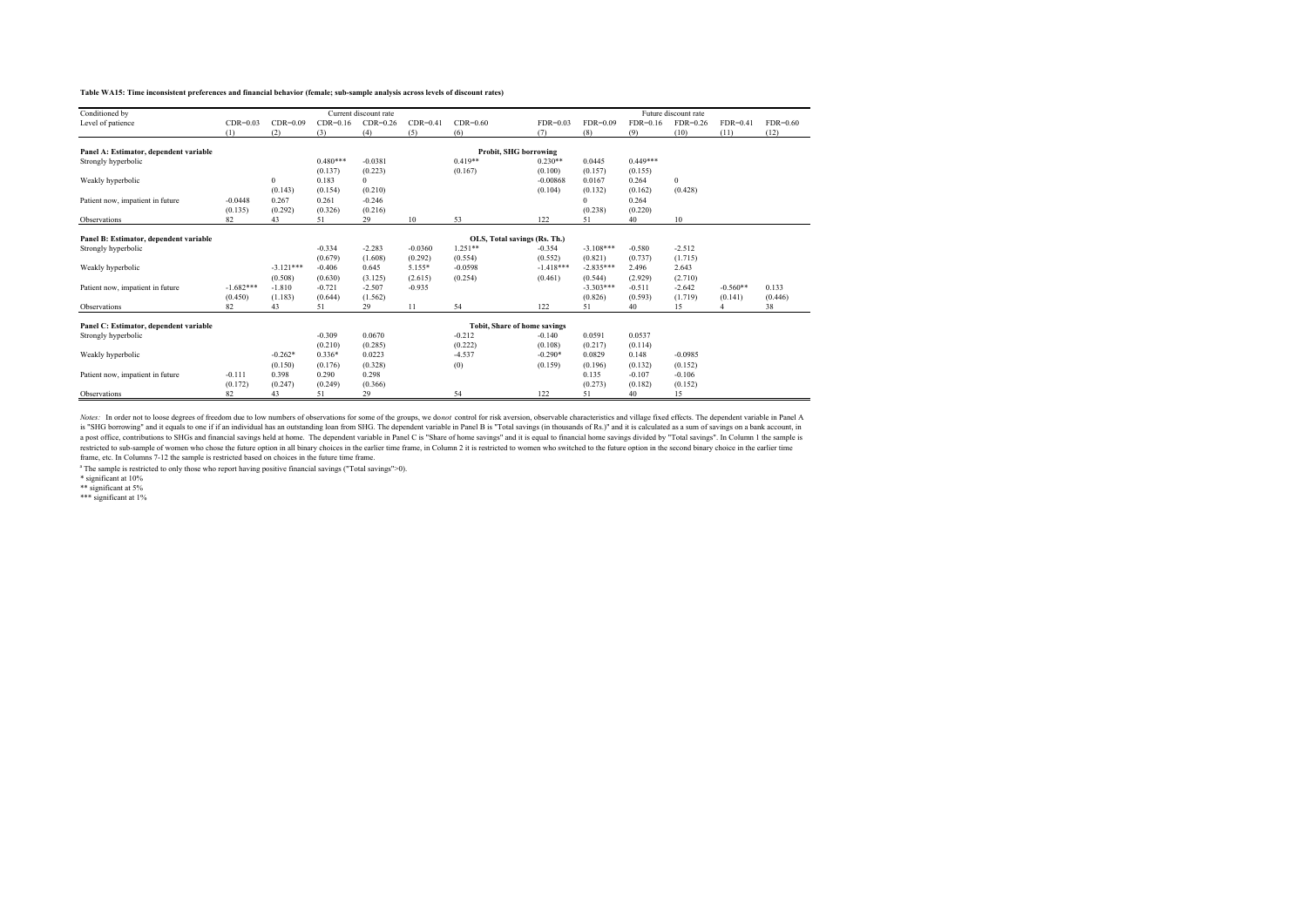#### **Table WA15: Time inconsistent preferences and financial behavior (female; sub-sample analysis across levels of discount rates)**

| Conditioned by                         |             |              |            | Current discount rate |            |                              |             |             |            | Future discount rate |            |            |
|----------------------------------------|-------------|--------------|------------|-----------------------|------------|------------------------------|-------------|-------------|------------|----------------------|------------|------------|
| Level of patience                      | $CDR=0.03$  | $CDR=0.09$   | $CDR=0.16$ | $CDR=0.26$            | $CDR=0.41$ | $CDR=0.60$                   | $FDR=0.03$  | $FDR=0.09$  | $FDR=0.16$ | $FDR=0.26$           | $FDR=0.41$ | $FDR=0.60$ |
|                                        | (1)         | (2)          | (3)        | (4)                   | (5)        | (6)                          | (7)         | (8)         | (9)        | (10)                 | (11)       | (12)       |
|                                        |             |              |            |                       |            |                              |             |             |            |                      |            |            |
| Panel A: Estimator, dependent variable |             |              |            |                       |            | Probit, SHG borrowing        |             |             |            |                      |            |            |
| Strongly hyperbolic                    |             |              | $0.480***$ | $-0.0381$             |            | $0.419**$                    | $0.230**$   | 0.0445      | $0.449***$ |                      |            |            |
|                                        |             |              | (0.137)    | (0.223)               |            | (0.167)                      | (0.100)     | (0.157)     | (0.155)    |                      |            |            |
| Weakly hyperbolic                      |             | $\mathbf{0}$ | 0.183      | $\Omega$              |            |                              | $-0.00868$  | 0.0167      | 0.264      | $\mathbf{0}$         |            |            |
|                                        |             | (0.143)      | (0.154)    | (0.210)               |            |                              | (0.104)     | (0.132)     | (0.162)    | (0.428)              |            |            |
| Patient now, impatient in future       | $-0.0448$   | 0.267        | 0.261      | $-0.246$              |            |                              |             | $\Omega$    | 0.264      |                      |            |            |
|                                        | (0.135)     | (0.292)      | (0.326)    | (0.216)               |            |                              |             | (0.238)     | (0.220)    |                      |            |            |
| Observations                           | 82          | 43           | 51         | 29                    | 10         | 53                           | 122         | 51          | 40         | 10                   |            |            |
|                                        |             |              |            |                       |            |                              |             |             |            |                      |            |            |
| Panel B: Estimator, dependent variable |             |              |            |                       |            | OLS, Total savings (Rs. Th.) |             |             |            |                      |            |            |
| Strongly hyperbolic                    |             |              | $-0.334$   | $-2.283$              | $-0.0360$  | $1.251**$                    | $-0.354$    | $-3.108***$ | $-0.580$   | $-2.512$             |            |            |
|                                        |             |              | (0.679)    | (1.608)               | (0.292)    | (0.554)                      | (0.552)     | (0.821)     | (0.737)    | (1.715)              |            |            |
| Weakly hyperbolic                      |             | $-3.121***$  | $-0.406$   | 0.645                 | 5.155*     | $-0.0598$                    | $-1.418***$ | $-2.835***$ | 2.496      | 2.643                |            |            |
|                                        |             | (0.508)      | (0.630)    | (3.125)               | (2.615)    | (0.254)                      | (0.461)     | (0.544)     | (2.929)    | (2.710)              |            |            |
| Patient now, impatient in future       | $-1.682***$ | $-1.810$     | $-0.721$   | $-2.507$              | $-0.935$   |                              |             | $-3.303***$ | $-0.511$   | $-2.642$             | $-0.560**$ | 0.133      |
|                                        | (0.450)     | (1.183)      | (0.644)    | (1.562)               |            |                              |             | (0.826)     | (0.593)    | (1.719)              | (0.141)    | (0.446)    |
| Observations                           | 82          | 43           | 51         | 29                    | 11         | 54                           | 122         | 51          | 40         | 15                   |            | 38         |
|                                        |             |              |            |                       |            |                              |             |             |            |                      |            |            |
| Panel C: Estimator, dependent variable |             |              |            |                       |            | Tobit, Share of home savings |             |             |            |                      |            |            |
| Strongly hyperbolic                    |             |              | $-0.309$   | 0.0670                |            | $-0.212$                     | $-0.140$    | 0.0591      | 0.0537     |                      |            |            |
|                                        |             |              | (0.210)    | (0.285)               |            | (0.222)                      | (0.108)     | (0.217)     | (0.114)    |                      |            |            |
| Weakly hyperbolic                      |             | $-0.262*$    | $0.336*$   | 0.0223                |            | $-4.537$                     | $-0.290*$   | 0.0829      | 0.148      | $-0.0985$            |            |            |
|                                        |             | (0.150)      | (0.176)    | (0.328)               |            | (0)                          | (0.159)     | (0.196)     | (0.132)    | (0.152)              |            |            |
| Patient now, impatient in future       | $-0.111$    | 0.398        | 0.290      | 0.298                 |            |                              |             | 0.135       | $-0.107$   | $-0.106$             |            |            |
|                                        | (0.172)     | (0.247)      | (0.249)    | (0.366)               |            |                              |             | (0.273)     | (0.182)    | (0.152)              |            |            |
| Observations                           | 82          | 43           | 51         | 29                    |            | 54                           | 122         | 51          | 40         | 15                   |            |            |

Notes: In order not to loose degrees of freedom due to low numbers of observations for some of the groups, we donot control for risk aversion, observable characteristics and village fixed effects. The dependent variable in restricted to sub-sample of women who chose the future option in all binary choices in the earlier time frame, in Column 2 it is restricted to women who switched to the future option in the second binary choices in the ear frame, etc. In Columns 7-12 the sample is restricted based on choices in the future time frame.

<sup>a</sup> The sample is restricted to only those who report having positive financial savings ("Total savings">0).

\* significant at 10%

\*\* significant at 5% \*\*\* significant at 1%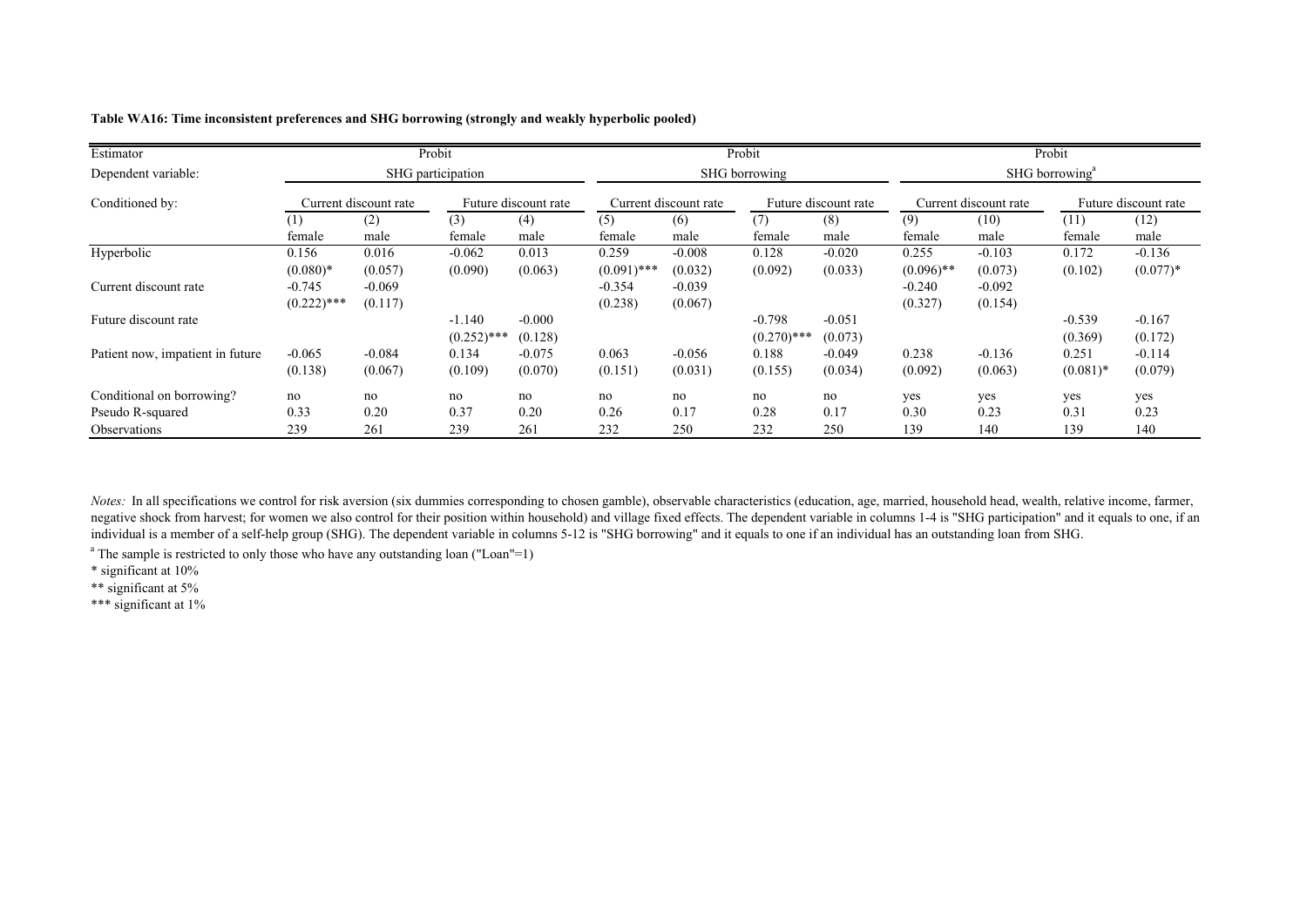| Estimator                        |                           |                                                                        | Probit                    |                      |                        |                       | Probit                    |                      |                            |                     | Probit                          |                        |
|----------------------------------|---------------------------|------------------------------------------------------------------------|---------------------------|----------------------|------------------------|-----------------------|---------------------------|----------------------|----------------------------|---------------------|---------------------------------|------------------------|
| Dependent variable:              |                           |                                                                        | SHG participation         |                      | SHG borrowing          |                       |                           |                      | SHG borrowing <sup>a</sup> |                     |                                 |                        |
| Conditioned by:                  |                           | Future discount rate<br>Current discount rate<br>Current discount rate |                           | Future discount rate |                        | Current discount rate |                           | Future discount rate |                            |                     |                                 |                        |
|                                  | female                    | (2)<br>male                                                            | (3)<br>female             | (4)<br>male          | (5)<br>female          | (6)<br>male           | (7)<br>female             | (8)<br>male          | (9)<br>female              | (10)<br>male        | (11)<br>female                  | (12)<br>male           |
| Hyperbolic                       | 0.156<br>$(0.080)*$       | 0.016<br>(0.057)                                                       | $-0.062$<br>(0.090)       | 0.013<br>(0.063)     | 0.259<br>$(0.091)$ *** | $-0.008$<br>(0.032)   | 0.128<br>(0.092)          | $-0.020$<br>(0.033)  | 0.255<br>$(0.096)$ **      | $-0.103$<br>(0.073) | 0.172<br>(0.102)                | $-0.136$<br>$(0.077)*$ |
| Current discount rate            | $-0.745$<br>$(0.222)$ *** | $-0.069$<br>(0.117)                                                    |                           |                      | $-0.354$<br>(0.238)    | $-0.039$<br>(0.067)   |                           |                      | $-0.240$<br>(0.327)        | $-0.092$<br>(0.154) |                                 |                        |
| Future discount rate             |                           |                                                                        | $-1.140$<br>$(0.252)$ *** | $-0.000$<br>(0.128)  |                        |                       | $-0.798$<br>$(0.270)$ *** | $-0.051$<br>(0.073)  |                            |                     | $-0.539$<br>(0.369)             | $-0.167$<br>(0.172)    |
| Patient now, impatient in future | $-0.065$<br>(0.138)       | $-0.084$<br>(0.067)                                                    | 0.134<br>(0.109)          | $-0.075$<br>(0.070)  | 0.063<br>(0.151)       | $-0.056$<br>(0.031)   | 0.188<br>(0.155)          | $-0.049$<br>(0.034)  | 0.238<br>(0.092)           | $-0.136$<br>(0.063) | 0.251<br>$(0.081)$ <sup>*</sup> | $-0.114$<br>(0.079)    |
| Conditional on borrowing?        | no                        | no                                                                     | no                        | no                   | no                     | no                    | no                        | no                   | yes                        | yes                 | yes                             | yes                    |
| Pseudo R-squared                 | 0.33                      | 0.20                                                                   | 0.37                      | 0.20                 | 0.26                   | 0.17                  | 0.28                      | 0.17                 | 0.30                       | 0.23                | 0.31                            | 0.23                   |
| <i><b>Observations</b></i>       | 239                       | 261                                                                    | 239                       | 261                  | 232                    | 250                   | 232                       | 250                  | 139                        | 140                 | 139                             | 140                    |

**Table WA16: Time inconsistent preferences and SHG borrowing (strongly and weakly hyperbolic pooled)**

*Notes*: In all specifications we control for risk aversion (six dummies corresponding to chosen gamble), observable characteristics (education, age, married, household head, wealth, relative income, farmer, negative shock from harvest; for women we also control for their position within household) and village fixed effects. The dependent variable in columns 1-4 is "SHG participation" and it equals to one, if an individual is a member of a self-help group (SHG). The dependent variable in columns 5-12 is "SHG borrowing" and it equals to one if an individual has an outstanding loan from SHG.

<sup>a</sup> The sample is restricted to only those who have any outstanding loan ("Loan"=1)

\* significant at 10%

\*\* significant at 5%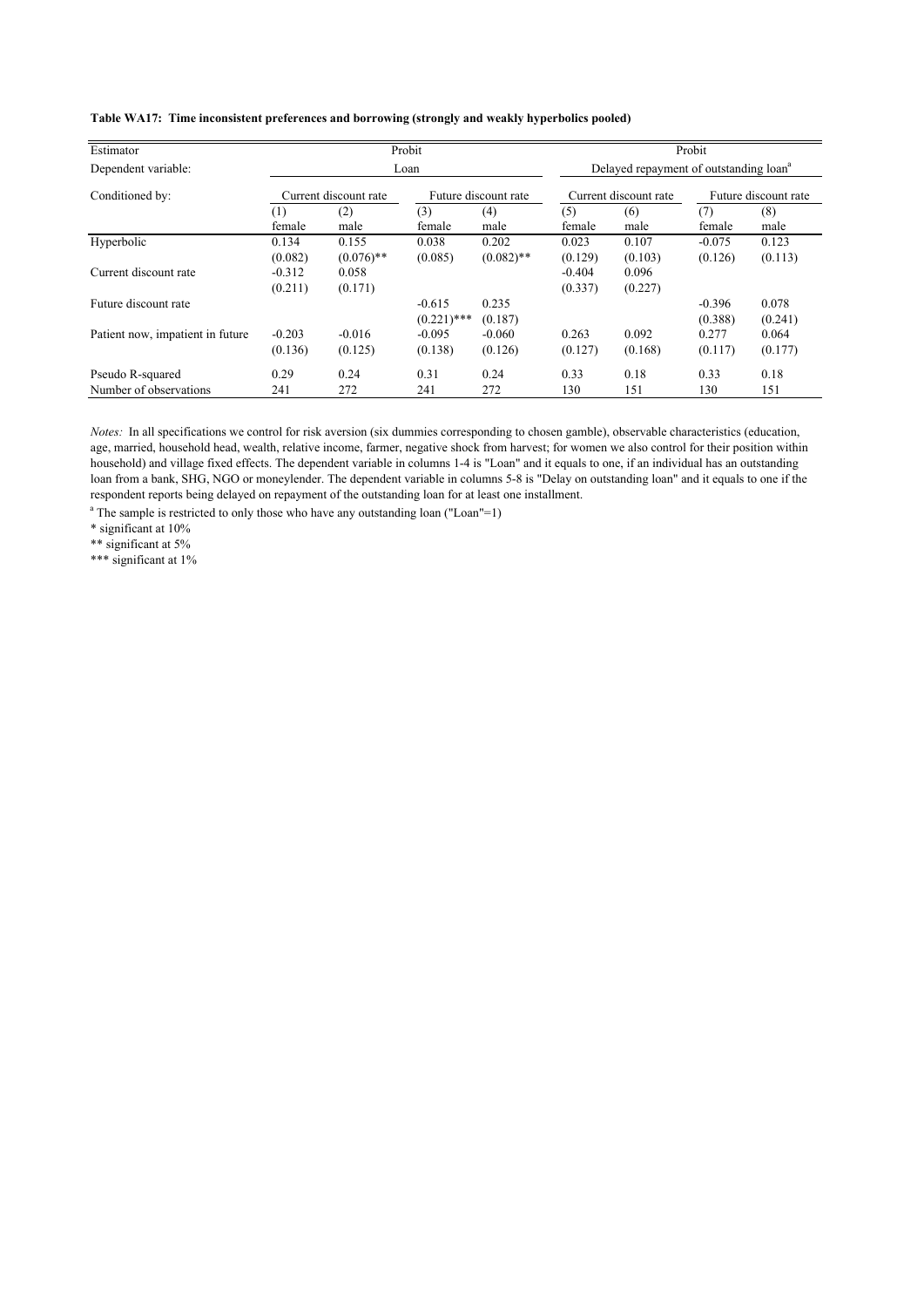| Estimator                                  |                     |                       | Probit                    |                       |                     |                                                    | Probit               |                  |
|--------------------------------------------|---------------------|-----------------------|---------------------------|-----------------------|---------------------|----------------------------------------------------|----------------------|------------------|
| Dependent variable:                        |                     |                       | Loan                      |                       |                     | Delayed repayment of outstanding loan <sup>a</sup> |                      |                  |
| Conditioned by:                            |                     | Current discount rate |                           | Future discount rate  |                     | Current discount rate                              | Future discount rate |                  |
|                                            | $^{(1)}$<br>female  | (2)<br>male           | (3)<br>female             | (4)<br>male           | (5)<br>female       | (6)<br>male                                        | (7)<br>female        | (8)<br>male      |
| Hyperbolic                                 | 0.134<br>(0.082)    | 0.155<br>$(0.076)$ ** | 0.038<br>(0.085)          | 0.202<br>$(0.082)$ ** | 0.023<br>(0.129)    | 0.107<br>(0.103)                                   | $-0.075$<br>(0.126)  | 0.123<br>(0.113) |
| Current discount rate                      | $-0.312$<br>(0.211) | 0.058<br>(0.171)      |                           |                       | $-0.404$<br>(0.337) | 0.096<br>(0.227)                                   |                      |                  |
| Future discount rate                       |                     |                       | $-0.615$<br>$(0.221)$ *** | 0.235<br>(0.187)      |                     |                                                    | $-0.396$<br>(0.388)  | 0.078<br>(0.241) |
| Patient now, impatient in future           | $-0.203$<br>(0.136) | $-0.016$<br>(0.125)   | $-0.095$<br>(0.138)       | $-0.060$<br>(0.126)   | 0.263<br>(0.127)    | 0.092<br>(0.168)                                   | 0.277<br>(0.117)     | 0.064<br>(0.177) |
| Pseudo R-squared<br>Number of observations | 0.29<br>241         | 0.24<br>272           | 0.31<br>241               | 0.24<br>272           | 0.33<br>130         | 0.18<br>151                                        | 0.33<br>130          | 0.18<br>151      |

*Notes:* In all specifications we control for risk aversion (six dummies corresponding to chosen gamble), observable characteristics (education, age, married, household head, wealth, relative income, farmer, negative shock from harvest; for women we also control for their position within household) and village fixed effects. The dependent variable in columns 1-4 is "Loan" and it equals to one, if an individual has an outstanding loan from a bank, SHG, NGO or moneylender. The dependent variable in columns 5-8 is "Delay on outstanding loan" and it equals to one if the respondent reports being delayed on repayment of the outstanding loan for at least one installment.

<sup>a</sup> The sample is restricted to only those who have any outstanding loan ("Loan"=1)

\* significant at 10%

\*\* significant at 5%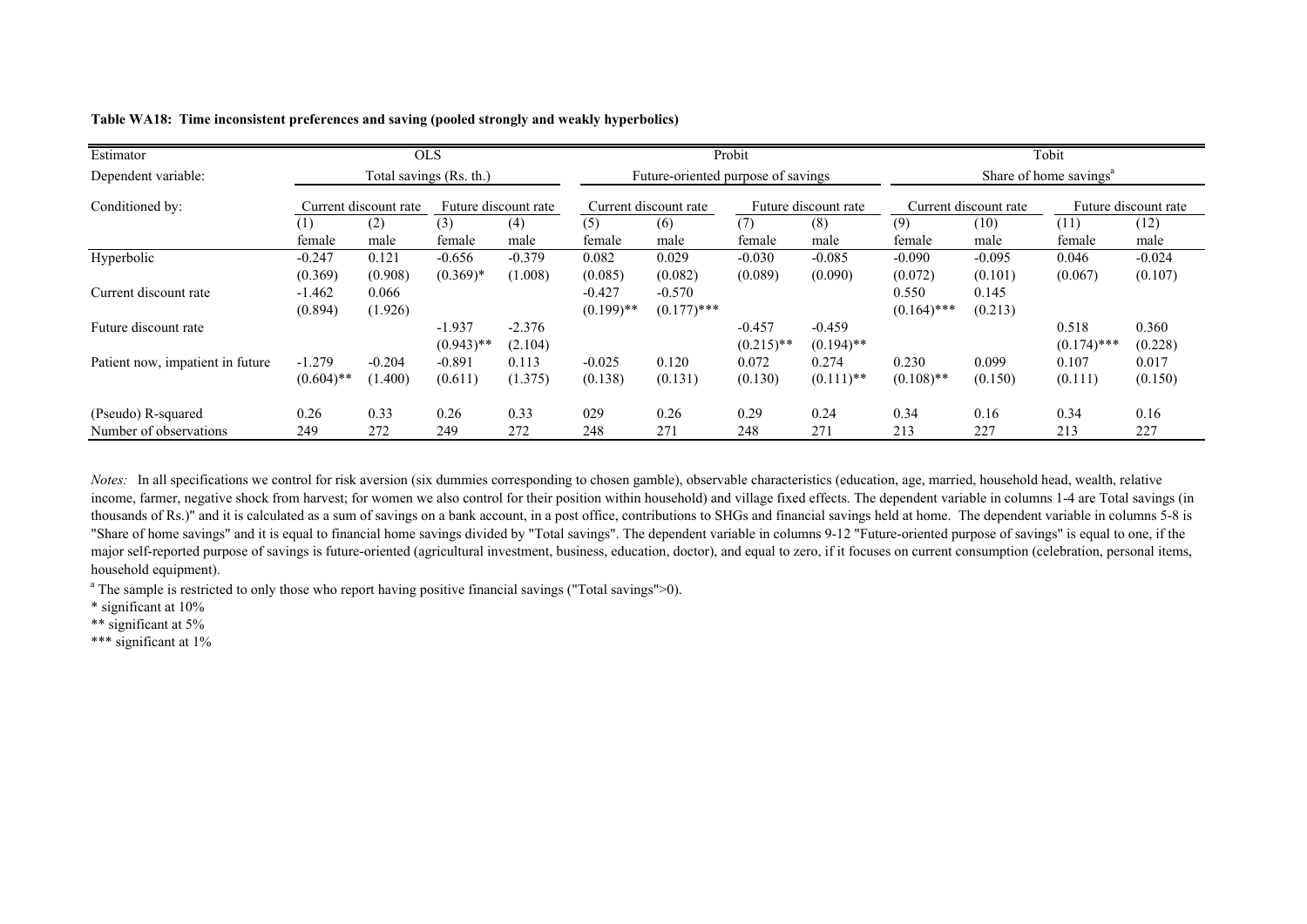| Estimator                                    |                          |                         | <b>OLS</b>               |                      |                          |                                    | Probit                   |                                  |                        |                                               | Tobit                              |                     |
|----------------------------------------------|--------------------------|-------------------------|--------------------------|----------------------|--------------------------|------------------------------------|--------------------------|----------------------------------|------------------------|-----------------------------------------------|------------------------------------|---------------------|
| Dependent variable:                          |                          | Total savings (Rs. th.) |                          |                      |                          | Future-oriented purpose of savings |                          |                                  |                        |                                               | Share of home savings <sup>a</sup> |                     |
| Conditioned by:                              |                          | Current discount rate   |                          | Future discount rate |                          | Current discount rate              |                          | Future discount rate             |                        | Current discount rate<br>Future discount rate |                                    |                     |
|                                              | $^{(1)}$<br>female       | (2)<br>male             | (3)<br>female            | (4)<br>male          | (5)<br>female            | (6)<br>male                        | (7)<br>female            | (8)<br>male                      | (9)<br>female          | (10)<br>male                                  | (11)<br>female                     | (12)<br>male        |
| Hyperbolic                                   | $-0.247$<br>(0.369)      | 0.121<br>(0.908)        | $-0.656$<br>$(0.369)*$   | $-0.379$<br>(1.008)  | 0.082<br>(0.085)         | 0.029<br>(0.082)                   | $-0.030$<br>(0.089)      | $-0.085$<br>(0.090)              | $-0.090$<br>(0.072)    | $-0.095$<br>(0.101)                           | 0.046<br>(0.067)                   | $-0.024$<br>(0.107) |
| Current discount rate                        | $-1.462$<br>(0.894)      | 0.066<br>(1.926)        |                          |                      | $-0.427$<br>$(0.199)$ ** | $-0.570$<br>$(0.177)$ ***          |                          |                                  | 0.550<br>$(0.164)$ *** | 0.145<br>(0.213)                              |                                    |                     |
| Future discount rate                         |                          |                         | $-1.937$<br>$(0.943)$ ** | $-2.376$<br>(2.104)  |                          |                                    | $-0.457$<br>$(0.215)$ ** | $-0.459$<br>$(0.194)$ **         |                        |                                               | 0.518<br>$(0.174)$ ***             | 0.360<br>(0.228)    |
| Patient now, impatient in future             | $-1.279$<br>$(0.604)$ ** | $-0.204$<br>(1.400)     | $-0.891$<br>(0.611)      | 0.113<br>(1.375)     | $-0.025$<br>(0.138)      | 0.120<br>(0.131)                   | 0.072<br>(0.130)         | 0.274<br>$(0.111)$ <sup>**</sup> | 0.230<br>$(0.108)$ **  | 0.099<br>(0.150)                              | 0.107<br>(0.111)                   | 0.017<br>(0.150)    |
| (Pseudo) R-squared<br>Number of observations | 0.26<br>249              | 0.33<br>272             | 0.26<br>249              | 0.33<br>272          | 029<br>248               | 0.26<br>271                        | 0.29<br>248              | 0.24<br>271                      | 0.34<br>213            | 0.16<br>227                                   | 0.34<br>213                        | 0.16<br>227         |

### **Table WA18: Time inconsistent preferences and saving (pooled strongly and weakly hyperbolics)**

*Notes:* In all specifications we control for risk aversion (six dummies corresponding to chosen gamble), observable characteristics (education, age, married, household head, wealth, relative income, farmer, negative shock from harvest; for women we also control for their position within household) and village fixed effects. The dependent variable in columns 1-4 are Total savings (in thousands of Rs.)" and it is calculated as a sum of savings on a bank account, in a post office, contributions to SHGs and financial savings held at home. The dependent variable in columns 5-8 is "Share of home savings" and it is equal to financial home savings divided by "Total savings". The dependent variable in columns 9-12 "Future-oriented purpose of savings" is equal to one, if the major self-reported purpose of savings is future-oriented (agricultural investment, business, education, doctor), and equal to zero, if it focuses on current consumption (celebration, personal items, household equipment).

<sup>a</sup> The sample is restricted to only those who report having positive financial savings ("Total savings">0).

\* significant at 10%

\*\* significant at 5%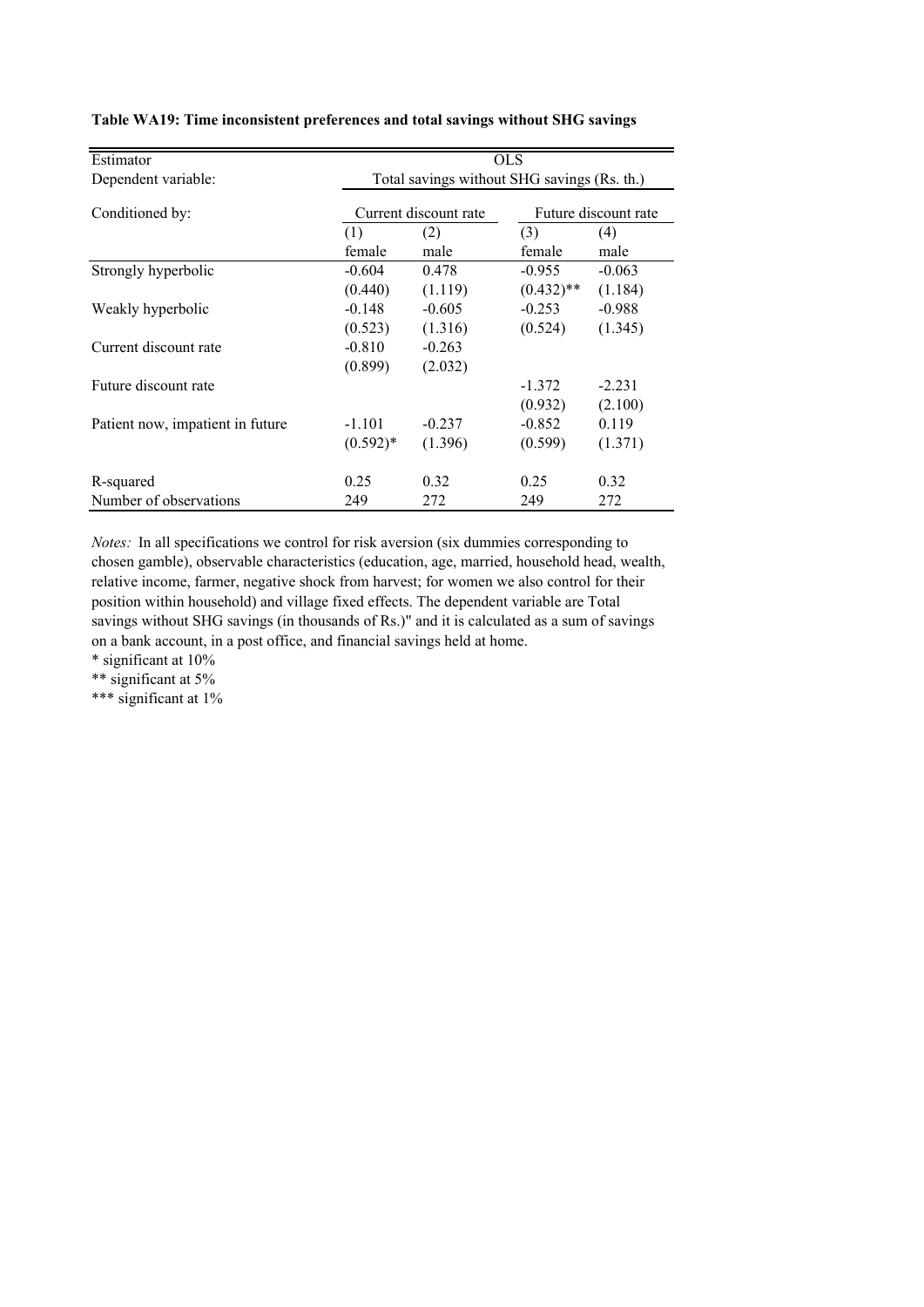| Estimator                        |            | <b>OLS</b>                                  |                      |          |  |
|----------------------------------|------------|---------------------------------------------|----------------------|----------|--|
| Dependent variable:              |            | Total savings without SHG savings (Rs. th.) |                      |          |  |
| Conditioned by:                  |            | Current discount rate                       | Future discount rate |          |  |
|                                  | (1)        | (2)                                         | (3)                  | (4)      |  |
|                                  | female     | male                                        | female               | male     |  |
| Strongly hyperbolic              | $-0.604$   | 0.478                                       | $-0.955$             | $-0.063$ |  |
|                                  | (0.440)    | (1.119)                                     | $(0.432)$ **         | (1.184)  |  |
| Weakly hyperbolic                | $-0.148$   | $-0.605$                                    | $-0.253$             | $-0.988$ |  |
|                                  | (0.523)    | (1.316)                                     | (0.524)              | (1.345)  |  |
| Current discount rate            | $-0.810$   | $-0.263$                                    |                      |          |  |
|                                  | (0.899)    | (2.032)                                     |                      |          |  |
| Future discount rate             |            |                                             | $-1.372$             | $-2.231$ |  |
|                                  |            |                                             | (0.932)              | (2.100)  |  |
| Patient now, impatient in future | $-1.101$   | $-0.237$                                    | $-0.852$             | 0.119    |  |
|                                  | $(0.592)*$ | (1.396)                                     | (0.599)              | (1.371)  |  |
|                                  |            |                                             |                      |          |  |
| R-squared                        | 0.25       | 0.32                                        | 0.25                 | 0.32     |  |
| Number of observations           | 249        | 272                                         | 249                  | 272      |  |

|  | Table WA19: Time inconsistent preferences and total savings without SHG savings |  |  |
|--|---------------------------------------------------------------------------------|--|--|
|--|---------------------------------------------------------------------------------|--|--|

*Notes:* In all specifications we control for risk aversion (six dummies corresponding to chosen gamble), observable characteristics (education, age, married, household head, wealth, relative income, farmer, negative shock from harvest; for women we also control for their position within household) and village fixed effects. The dependent variable are Total savings without SHG savings (in thousands of Rs.)" and it is calculated as a sum of savings on a bank account, in a post office, and financial savings held at home.

\* significant at 10%

\*\* significant at 5%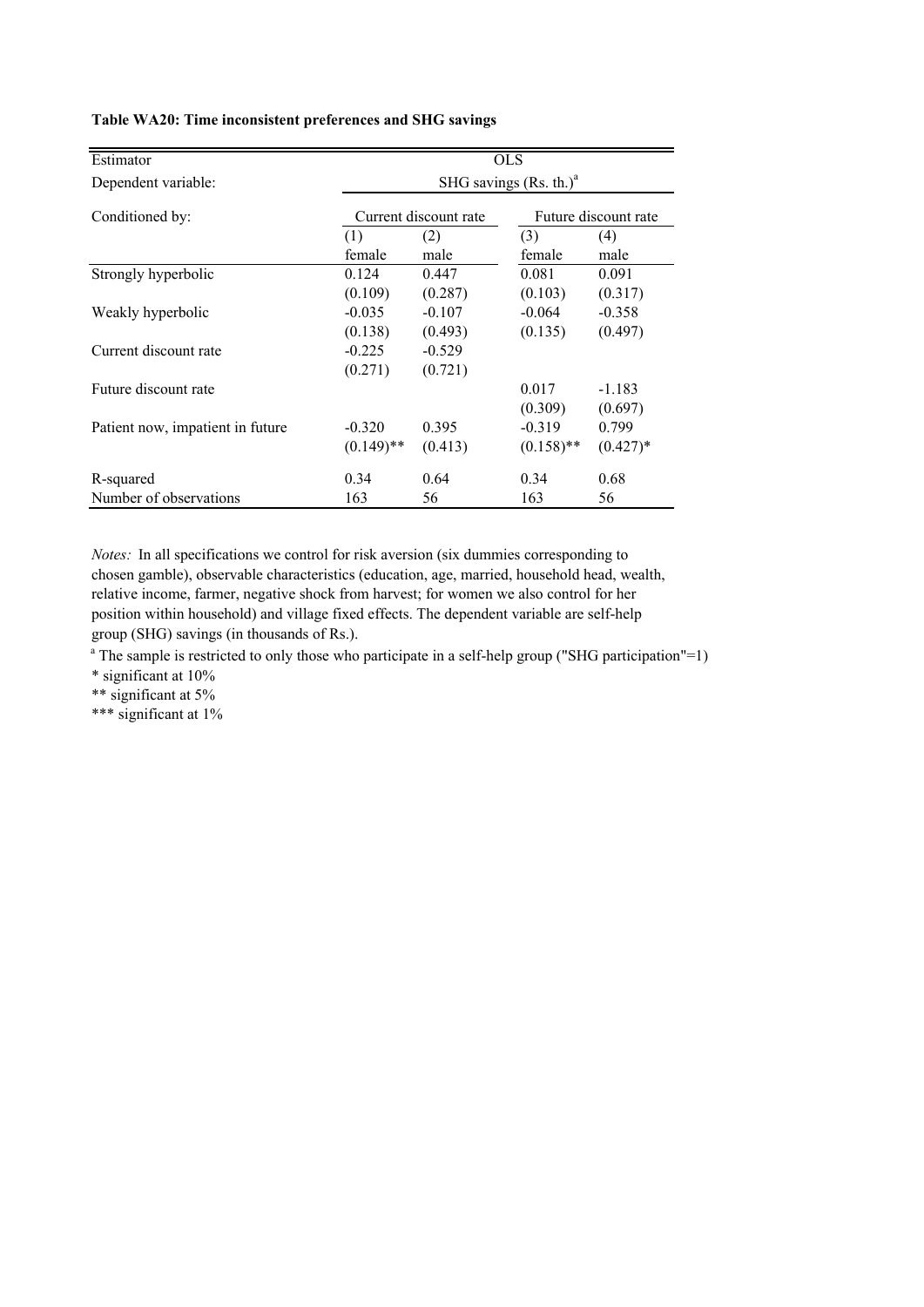| Estimator                        |                          | <b>OLS</b>                                    |              |            |  |  |  |  |
|----------------------------------|--------------------------|-----------------------------------------------|--------------|------------|--|--|--|--|
| Dependent variable:              | SHG savings $(Rs. th.)a$ |                                               |              |            |  |  |  |  |
| Conditioned by:                  |                          | Current discount rate<br>Future discount rate |              |            |  |  |  |  |
|                                  | (1)                      | (2)                                           | (3)          | (4)        |  |  |  |  |
|                                  | female                   | male                                          | female       | male       |  |  |  |  |
| Strongly hyperbolic              | 0.124                    | 0.447                                         | 0.081        | 0.091      |  |  |  |  |
|                                  | (0.109)                  | (0.287)                                       | (0.103)      | (0.317)    |  |  |  |  |
| Weakly hyperbolic                | $-0.035$                 | $-0.107$                                      | $-0.064$     | $-0.358$   |  |  |  |  |
|                                  | (0.138)                  | (0.493)                                       | (0.135)      | (0.497)    |  |  |  |  |
| Current discount rate            | $-0.225$                 | $-0.529$                                      |              |            |  |  |  |  |
|                                  | (0.271)                  | (0.721)                                       |              |            |  |  |  |  |
| Future discount rate             |                          |                                               | 0.017        | $-1.183$   |  |  |  |  |
|                                  |                          |                                               | (0.309)      | (0.697)    |  |  |  |  |
| Patient now, impatient in future | $-0.320$                 | 0.395                                         | $-0.319$     | 0.799      |  |  |  |  |
|                                  | $(0.149)$ **             | (0.413)                                       | $(0.158)$ ** | $(0.427)*$ |  |  |  |  |
| R-squared                        | 0.34                     | 0.64                                          | 0.34         | 0.68       |  |  |  |  |
| Number of observations           | 163                      | 56                                            | 163          | 56         |  |  |  |  |

## **Table WA20: Time inconsistent preferences and SHG savings**

*Notes:* In all specifications we control for risk aversion (six dummies corresponding to chosen gamble), observable characteristics (education, age, married, household head, wealth, relative income, farmer, negative shock from harvest; for women we also control for her position within household) and village fixed effects. The dependent variable are self-help group (SHG) savings (in thousands of Rs.).

<sup>a</sup> The sample is restricted to only those who participate in a self-help group ("SHG participation"=1)

\* significant at 10%

\*\* significant at 5%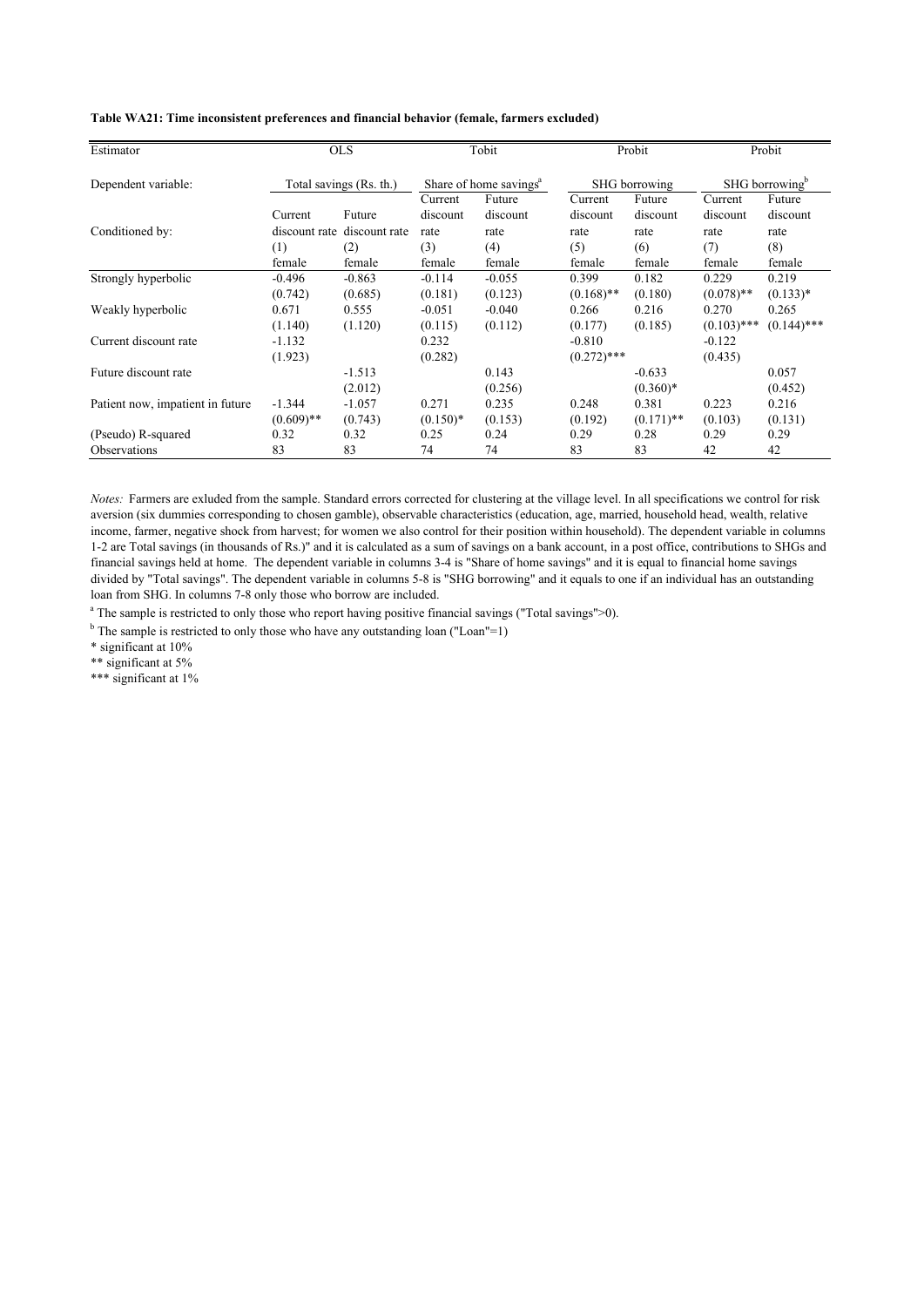|  |  |  |  | Table WA21: Time inconsistent preferences and financial behavior (female, farmers excluded) |  |  |  |  |  |  |  |
|--|--|--|--|---------------------------------------------------------------------------------------------|--|--|--|--|--|--|--|
|--|--|--|--|---------------------------------------------------------------------------------------------|--|--|--|--|--|--|--|

| Estimator                        | <b>OLS</b>    |                         | Tobit                              |          |               | Probit       | Probit                     |               |
|----------------------------------|---------------|-------------------------|------------------------------------|----------|---------------|--------------|----------------------------|---------------|
| Dependent variable:              |               | Total savings (Rs. th.) | Share of home savings <sup>a</sup> |          | SHG borrowing |              | SHG borrowing <sup>b</sup> |               |
|                                  |               |                         | Current                            | Future   | Current       | Future       | Current                    | Future        |
|                                  | Current       | Future                  | discount                           | discount | discount      | discount     | discount                   | discount      |
| Conditioned by:                  | discount rate | discount rate           | rate                               | rate     | rate          | rate         | rate                       | rate          |
|                                  | (1)           | (2)                     | (3)                                | (4)      | (5)           | (6)          | (7)                        | (8)           |
|                                  | female        | female                  | female                             | female   | female        | female       | female                     | female        |
| Strongly hyperbolic              | $-0.496$      | $-0.863$                | $-0.114$                           | $-0.055$ | 0.399         | 0.182        | 0.229                      | 0.219         |
|                                  | (0.742)       | (0.685)                 | (0.181)                            | (0.123)  | $(0.168)$ **  | (0.180)      | $(0.078)$ **               | $(0.133)*$    |
| Weakly hyperbolic                | 0.671         | 0.555                   | $-0.051$                           | $-0.040$ | 0.266         | 0.216        | 0.270                      | 0.265         |
|                                  | (1.140)       | (1.120)                 | (0.115)                            | (0.112)  | (0.177)       | (0.185)      | $(0.103)$ ***              | $(0.144)$ *** |
| Current discount rate            | $-1.132$      |                         | 0.232                              |          | $-0.810$      |              | $-0.122$                   |               |
|                                  | (1.923)       |                         | (0.282)                            |          | $(0.272)$ *** |              | (0.435)                    |               |
| Future discount rate             |               | $-1.513$                |                                    | 0.143    |               | $-0.633$     |                            | 0.057         |
|                                  |               | (2.012)                 |                                    | (0.256)  |               | $(0.360)*$   |                            | (0.452)       |
| Patient now, impatient in future | $-1.344$      | $-1.057$                | 0.271                              | 0.235    | 0.248         | 0.381        | 0.223                      | 0.216         |
|                                  | $(0.609)$ **  | (0.743)                 | $(0.150)*$                         | (0.153)  | (0.192)       | $(0.171)$ ** | (0.103)                    | (0.131)       |
| (Pseudo) R-squared               | 0.32          | 0.32                    | 0.25                               | 0.24     | 0.29          | 0.28         | 0.29                       | 0.29          |
| <b>Observations</b>              | 83            | 83                      | 74                                 | 74       | 83            | 83           | 42                         | 42            |

*Notes:* Farmers are exluded from the sample. Standard errors corrected for clustering at the village level. In all specifications we control for risk aversion (six dummies corresponding to chosen gamble), observable characteristics (education, age, married, household head, wealth, relative income, farmer, negative shock from harvest; for women we also control for their position within household). The dependent variable in columns 1-2 are Total savings (in thousands of Rs.)" and it is calculated as a sum of savings on a bank account, in a post office, contributions to SHGs and financial savings held at home. The dependent variable in columns 3-4 is "Share of home savings" and it is equal to financial home savings divided by "Total savings". The dependent variable in columns 5-8 is "SHG borrowing" and it equals to one if an individual has an outstanding loan from SHG. In columns 7-8 only those who borrow are included.

<sup>a</sup> The sample is restricted to only those who report having positive financial savings ("Total savings">0).

 $b$  The sample is restricted to only those who have any outstanding loan ("Loan"=1)

\* significant at 10%

\*\* significant at 5%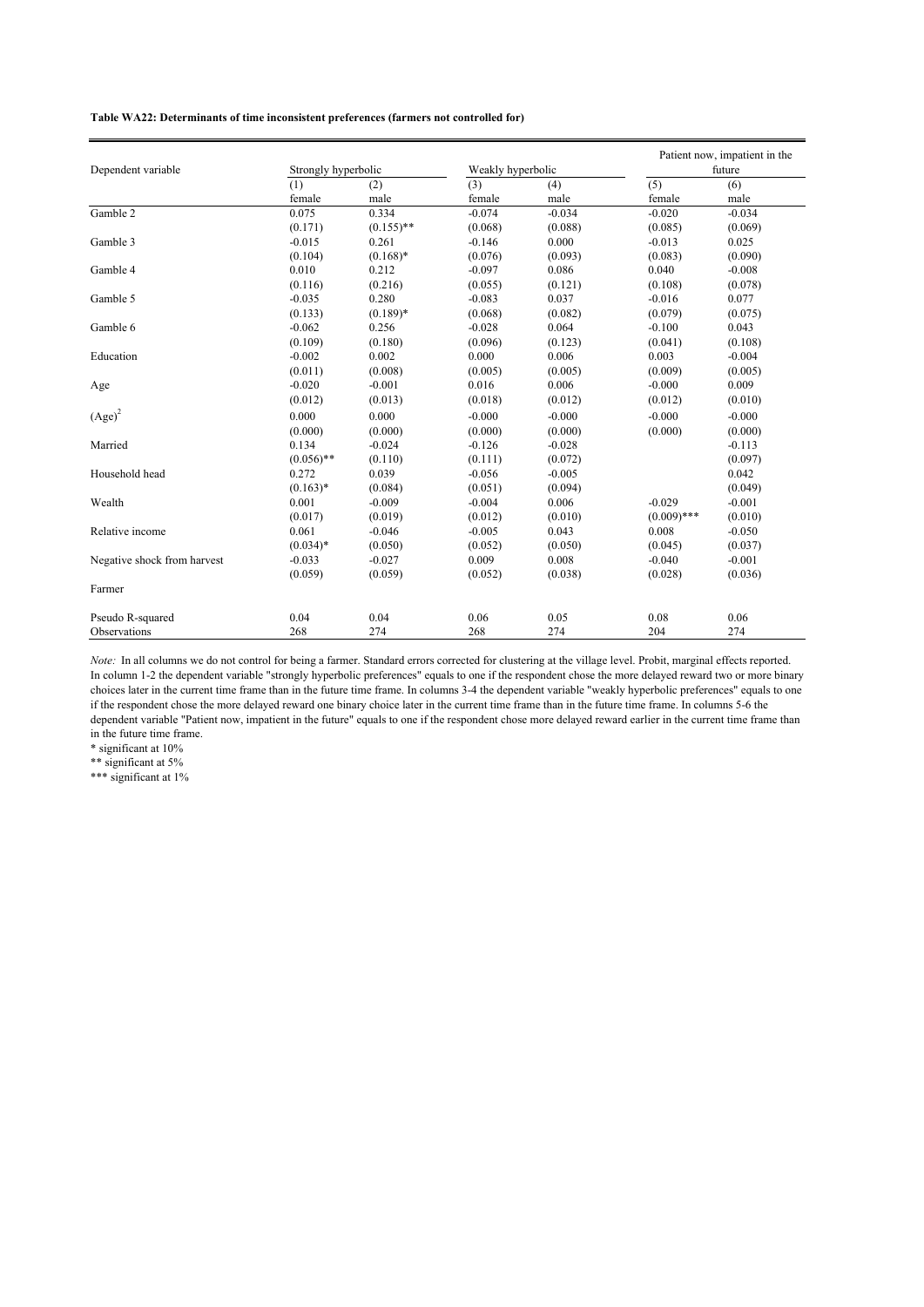#### **Table WA22: Determinants of time inconsistent preferences (farmers not controlled for)**

| Dependent variable          | Strongly hyperbolic |              | Weakly hyperbolic |          | Patient now, impatient in the<br>future |          |  |
|-----------------------------|---------------------|--------------|-------------------|----------|-----------------------------------------|----------|--|
|                             | (1)                 | (2)          | (3)               | (4)      | (5)                                     | (6)      |  |
|                             | female              | male         | female            | male     | female                                  | male     |  |
| Gamble 2                    | 0.075               | 0.334        | $-0.074$          | $-0.034$ | $-0.020$                                | $-0.034$ |  |
|                             | (0.171)             | $(0.155)$ ** | (0.068)           | (0.088)  | (0.085)                                 | (0.069)  |  |
| Gamble 3                    | $-0.015$            | 0.261        | $-0.146$          | 0.000    | $-0.013$                                | 0.025    |  |
|                             | (0.104)             | $(0.168)$ *  | (0.076)           | (0.093)  | (0.083)                                 | (0.090)  |  |
| Gamble 4                    | 0.010               | 0.212        | $-0.097$          | 0.086    | 0.040                                   | $-0.008$ |  |
|                             | (0.116)             | (0.216)      | (0.055)           | (0.121)  | (0.108)                                 | (0.078)  |  |
| Gamble 5                    | $-0.035$            | 0.280        | $-0.083$          | 0.037    | $-0.016$                                | 0.077    |  |
|                             | (0.133)             | $(0.189)*$   | (0.068)           | (0.082)  | (0.079)                                 | (0.075)  |  |
| Gamble 6                    | $-0.062$            | 0.256        | $-0.028$          | 0.064    | $-0.100$                                | 0.043    |  |
|                             | (0.109)             | (0.180)      | (0.096)           | (0.123)  | (0.041)                                 | (0.108)  |  |
| Education                   | $-0.002$            | 0.002        | 0.000             | 0.006    | 0.003                                   | $-0.004$ |  |
|                             | (0.011)             | (0.008)      | (0.005)           | (0.005)  | (0.009)                                 | (0.005)  |  |
| Age                         | $-0.020$            | $-0.001$     | 0.016             | 0.006    | $-0.000$                                | 0.009    |  |
|                             | (0.012)             | (0.013)      | (0.018)           | (0.012)  | (0.012)                                 | (0.010)  |  |
| $(Age)^2$                   | 0.000               | 0.000        | $-0.000$          | $-0.000$ | $-0.000$                                | $-0.000$ |  |
|                             | (0.000)             | (0.000)      | (0.000)           | (0.000)  | (0.000)                                 | (0.000)  |  |
| Married                     | 0.134               | $-0.024$     | $-0.126$          | $-0.028$ |                                         | $-0.113$ |  |
|                             | $(0.056)$ **        | (0.110)      | (0.111)           | (0.072)  |                                         | (0.097)  |  |
| Household head              | 0.272               | 0.039        | $-0.056$          | $-0.005$ |                                         | 0.042    |  |
|                             | $(0.163)*$          | (0.084)      | (0.051)           | (0.094)  |                                         | (0.049)  |  |
| Wealth                      | 0.001               | $-0.009$     | $-0.004$          | 0.006    | $-0.029$                                | $-0.001$ |  |
|                             | (0.017)             | (0.019)      | (0.012)           | (0.010)  | $(0.009)$ ***                           | (0.010)  |  |
| Relative income             | 0.061               | $-0.046$     | $-0.005$          | 0.043    | 0.008                                   | $-0.050$ |  |
|                             | $(0.034)*$          | (0.050)      | (0.052)           | (0.050)  | (0.045)                                 | (0.037)  |  |
| Negative shock from harvest | $-0.033$            | $-0.027$     | 0.009             | 0.008    | $-0.040$                                | $-0.001$ |  |
|                             | (0.059)             | (0.059)      | (0.052)           | (0.038)  | (0.028)                                 | (0.036)  |  |
| Farmer                      |                     |              |                   |          |                                         |          |  |
| Pseudo R-squared            | 0.04                | 0.04         | 0.06              | 0.05     | 0.08                                    | 0.06     |  |
| Observations                | 268                 | 274          | 268               | 274      | 204                                     | 274      |  |

*Note:* In all columns we do not control for being a farmer. Standard errors corrected for clustering at the village level. Probit, marginal effects reported. In column 1-2 the dependent variable "strongly hyperbolic preferences" equals to one if the respondent chose the more delayed reward two or more binary choices later in the current time frame than in the future time frame. In columns 3-4 the dependent variable "weakly hyperbolic preferences" equals to one if the respondent chose the more delayed reward one binary choice later in the current time frame than in the future time frame. In columns 5-6 the dependent variable "Patient now, impatient in the future" equals to one if the respondent chose more delayed reward earlier in the current time frame than in the future time frame.

\* significant at 10%

\*\* significant at 5%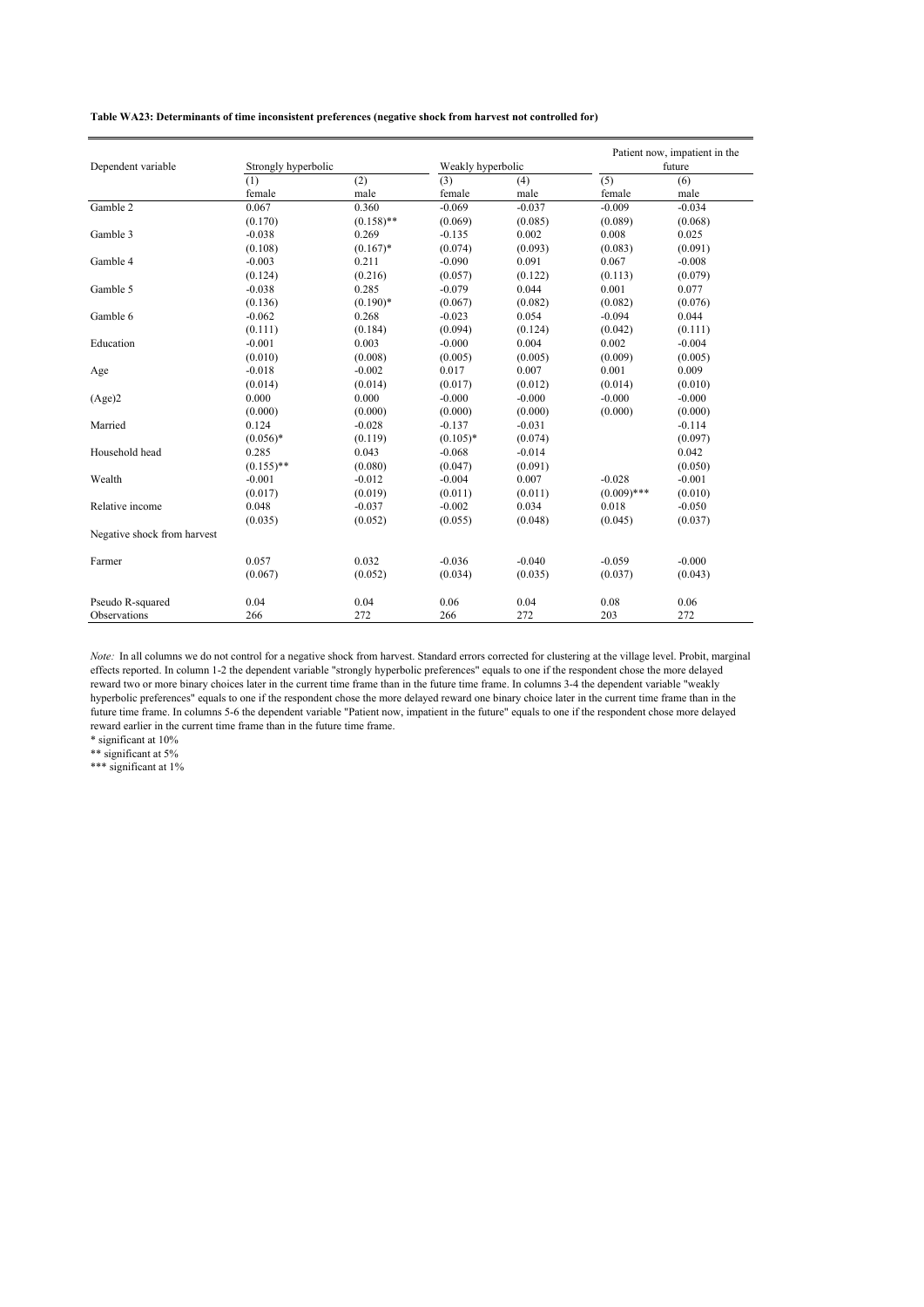**Table WA23: Determinants of time inconsistent preferences (negative shock from harvest not controlled for)**

| Dependent variable          | Strongly hyperbolic |              | Weakly hyperbolic |          | Patient now, impatient in the<br>future |          |  |
|-----------------------------|---------------------|--------------|-------------------|----------|-----------------------------------------|----------|--|
|                             | (1)                 | (2)          | (3)               | (4)      | (5)                                     | (6)      |  |
|                             | female              | male         | female            | male     | female                                  | male     |  |
| Gamble 2                    | 0.067               | 0.360        | $-0.069$          | $-0.037$ | $-0.009$                                | $-0.034$ |  |
|                             | (0.170)             | $(0.158)$ ** | (0.069)           | (0.085)  | (0.089)                                 | (0.068)  |  |
| Gamble 3                    | $-0.038$            | 0.269        | $-0.135$          | 0.002    | 0.008                                   | 0.025    |  |
|                             | (0.108)             | $(0.167)^*$  | (0.074)           | (0.093)  | (0.083)                                 | (0.091)  |  |
| Gamble 4                    | $-0.003$            | 0.211        | $-0.090$          | 0.091    | 0.067                                   | $-0.008$ |  |
|                             | (0.124)             | (0.216)      | (0.057)           | (0.122)  | (0.113)                                 | (0.079)  |  |
| Gamble 5                    | $-0.038$            | 0.285        | $-0.079$          | 0.044    | 0.001                                   | 0.077    |  |
|                             | (0.136)             | $(0.190)*$   | (0.067)           | (0.082)  | (0.082)                                 | (0.076)  |  |
| Gamble 6                    | $-0.062$            | 0.268        | $-0.023$          | 0.054    | $-0.094$                                | 0.044    |  |
|                             | (0.111)             | (0.184)      | (0.094)           | (0.124)  | (0.042)                                 | (0.111)  |  |
| Education                   | $-0.001$            | 0.003        | $-0.000$          | 0.004    | 0.002                                   | $-0.004$ |  |
|                             | (0.010)             | (0.008)      | (0.005)           | (0.005)  | (0.009)                                 | (0.005)  |  |
| Age                         | $-0.018$            | $-0.002$     | 0.017             | 0.007    | 0.001                                   | 0.009    |  |
|                             | (0.014)             | (0.014)      | (0.017)           | (0.012)  | (0.014)                                 | (0.010)  |  |
| (Age)2                      | 0.000               | 0.000        | $-0.000$          | $-0.000$ | $-0.000$                                | $-0.000$ |  |
|                             | (0.000)             | (0.000)      | (0.000)           | (0.000)  | (0.000)                                 | (0.000)  |  |
| Married                     | 0.124               | $-0.028$     | $-0.137$          | $-0.031$ |                                         | $-0.114$ |  |
|                             | $(0.056)*$          | (0.119)      | $(0.105)*$        | (0.074)  |                                         | (0.097)  |  |
| Household head              | 0.285               | 0.043        | $-0.068$          | $-0.014$ |                                         | 0.042    |  |
|                             | $(0.155)$ **        | (0.080)      | (0.047)           | (0.091)  |                                         | (0.050)  |  |
| Wealth                      | $-0.001$            | $-0.012$     | $-0.004$          | 0.007    | $-0.028$                                | $-0.001$ |  |
|                             | (0.017)             | (0.019)      | (0.011)           | (0.011)  | $(0.009)$ ***                           | (0.010)  |  |
| Relative income             | 0.048               | $-0.037$     | $-0.002$          | 0.034    | 0.018                                   | $-0.050$ |  |
|                             | (0.035)             | (0.052)      | (0.055)           | (0.048)  | (0.045)                                 | (0.037)  |  |
| Negative shock from harvest |                     |              |                   |          |                                         |          |  |
| Farmer                      | 0.057               | 0.032        | $-0.036$          | $-0.040$ | $-0.059$                                | $-0.000$ |  |
|                             | (0.067)             | (0.052)      | (0.034)           | (0.035)  | (0.037)                                 | (0.043)  |  |
| Pseudo R-squared            | 0.04                | 0.04         | 0.06              | 0.04     | 0.08                                    | 0.06     |  |
| Observations                | 266                 | 272          | 266               | 272      | 203                                     | 272      |  |

*Note:* In all columns we do not control for a negative shock from harvest. Standard errors corrected for clustering at the village level. Probit, marginal effects reported. In column 1-2 the dependent variable "strongly hyperbolic preferences" equals to one if the respondent chose the more delayed reward two or more binary choices later in the current time frame than in the future time frame. In columns 3-4 the dependent variable "weakly hyperbolic preferences" equals to one if the respondent chose the more delayed reward one binary choice later in the current time frame than in the future time frame. In columns 5-6 the dependent variable "Patient now, impatient in the future" equals to one if the respondent chose more delayed reward earlier in the current time frame than in the future time frame.

\* significant at 10%

\*\* significant at 5%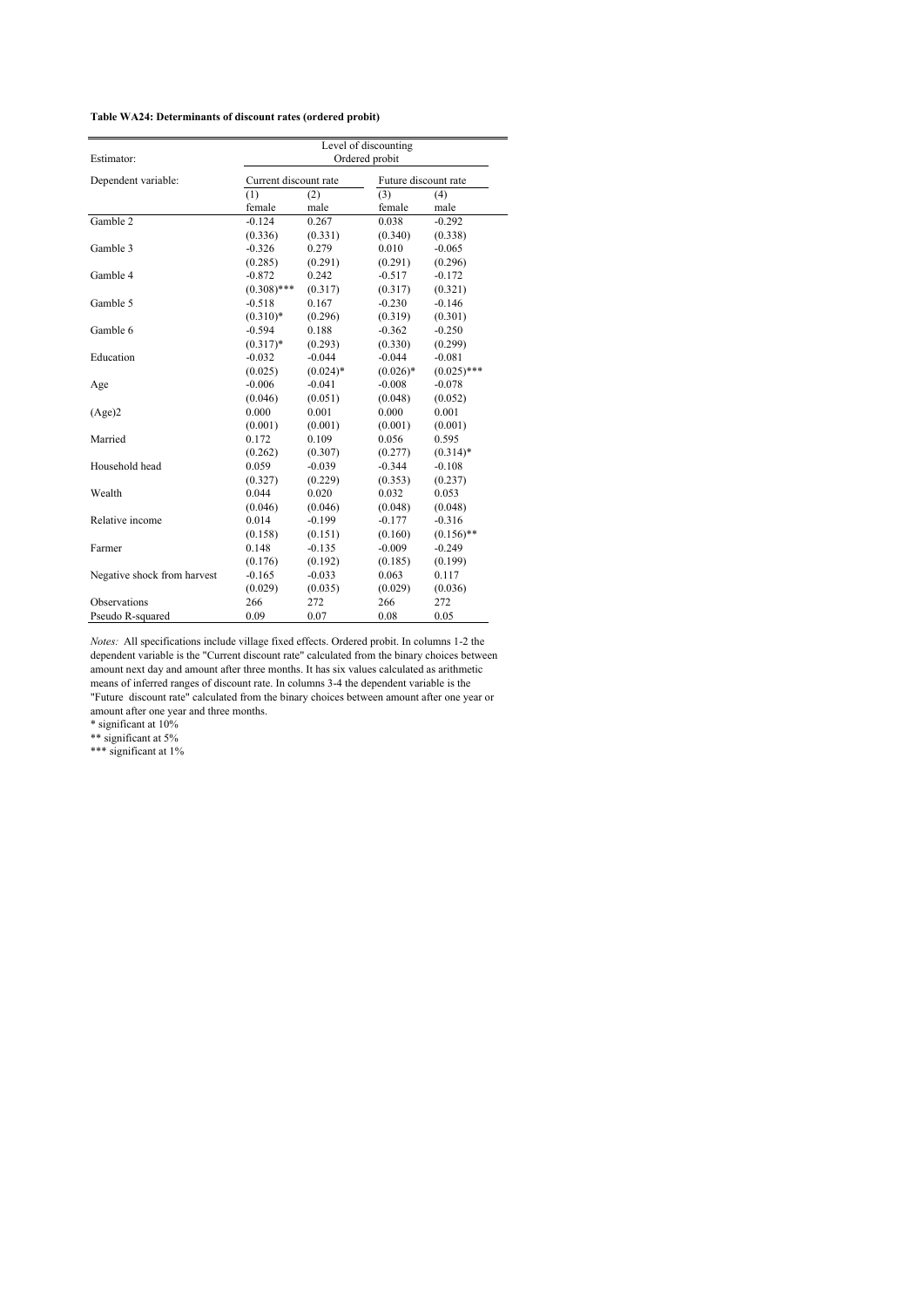| Estimator:                  | Level of discounting<br>Ordered probit |             |                      |               |  |  |  |
|-----------------------------|----------------------------------------|-------------|----------------------|---------------|--|--|--|
| Dependent variable:         | Current discount rate                  |             | Future discount rate |               |  |  |  |
|                             | (1)                                    | (2)         | (3)<br>(4)           |               |  |  |  |
|                             | female                                 | male        | female               | male          |  |  |  |
| Gamble 2                    | $-0.124$                               | 0.267       | 0.038                | $-0.292$      |  |  |  |
|                             | (0.336)                                | (0.331)     | (0.340)              | (0.338)       |  |  |  |
| Gamble 3                    | $-0.326$                               | 0.279       | 0.010                | $-0.065$      |  |  |  |
|                             | (0.285)                                | (0.291)     | (0.291)              | (0.296)       |  |  |  |
| Gamble 4                    | $-0.872$                               | 0.242       | $-0.517$             | $-0.172$      |  |  |  |
|                             | $(0.308)$ ***                          | (0.317)     | (0.317)              | (0.321)       |  |  |  |
| Gamble 5                    | $-0.518$                               | 0.167       | $-0.230$             | $-0.146$      |  |  |  |
|                             | $(0.310)*$                             | (0.296)     | (0.319)              | (0.301)       |  |  |  |
| Gamble 6                    | $-0.594$                               | 0.188       | $-0.362$             | $-0.250$      |  |  |  |
|                             | $(0.317)*$                             | (0.293)     | (0.330)              | (0.299)       |  |  |  |
| Education                   | $-0.032$                               | $-0.044$    | $-0.044$             | $-0.081$      |  |  |  |
|                             | (0.025)                                | $(0.024)$ * | $(0.026)$ *          | $(0.025)$ *** |  |  |  |
| Age                         | $-0.006$                               | $-0.041$    | $-0.008$             | $-0.078$      |  |  |  |
|                             | (0.046)                                | (0.051)     | (0.048)              | (0.052)       |  |  |  |
| (Age)2                      | 0.000                                  | 0.001       | 0.000                | 0.001         |  |  |  |
|                             | (0.001)                                | (0.001)     | (0.001)              | (0.001)       |  |  |  |
| Married                     | 0.172                                  | 0.109       | 0.056                | 0.595         |  |  |  |
|                             | (0.262)                                | (0.307)     | (0.277)              | $(0.314)*$    |  |  |  |
| Household head              | 0.059                                  | $-0.039$    | $-0.344$             | $-0.108$      |  |  |  |
|                             | (0.327)                                | (0.229)     | (0.353)              | (0.237)       |  |  |  |
| Wealth                      | 0.044                                  | 0.020       | 0.032                | 0.053         |  |  |  |
|                             | (0.046)                                | (0.046)     | (0.048)              | (0.048)       |  |  |  |
| Relative income             | 0.014                                  | $-0.199$    | $-0.177$             | $-0.316$      |  |  |  |
|                             | (0.158)                                | (0.151)     | (0.160)              | $(0.156)$ **  |  |  |  |
| Farmer                      | 0.148                                  | $-0.135$    | $-0.009$             | $-0.249$      |  |  |  |
|                             | (0.176)                                | (0.192)     | (0.185)              | (0.199)       |  |  |  |
| Negative shock from harvest | $-0.165$                               | $-0.033$    | 0.063                | 0.117         |  |  |  |
|                             | (0.029)                                | (0.035)     | (0.029)              | (0.036)       |  |  |  |
| Observations                | 266                                    | 272         | 266                  | 272           |  |  |  |
| Pseudo R-squared            | 0.09                                   | 0.07        | 0.08                 | 0.05          |  |  |  |

*Notes:* All specifications include village fixed effects. Ordered probit. In columns 1-2 the dependent variable is the "Current discount rate" calculated from the binary choices between amount next day and amount after three months. It has six values calculated as arithmetic means of inferred ranges of discount rate. In columns 3-4 the dependent variable is the "Future discount rate" calculated from the binary choices between amount after one year or

amount after one year and three months.

\* significant at 10%

\*\* significant at 5%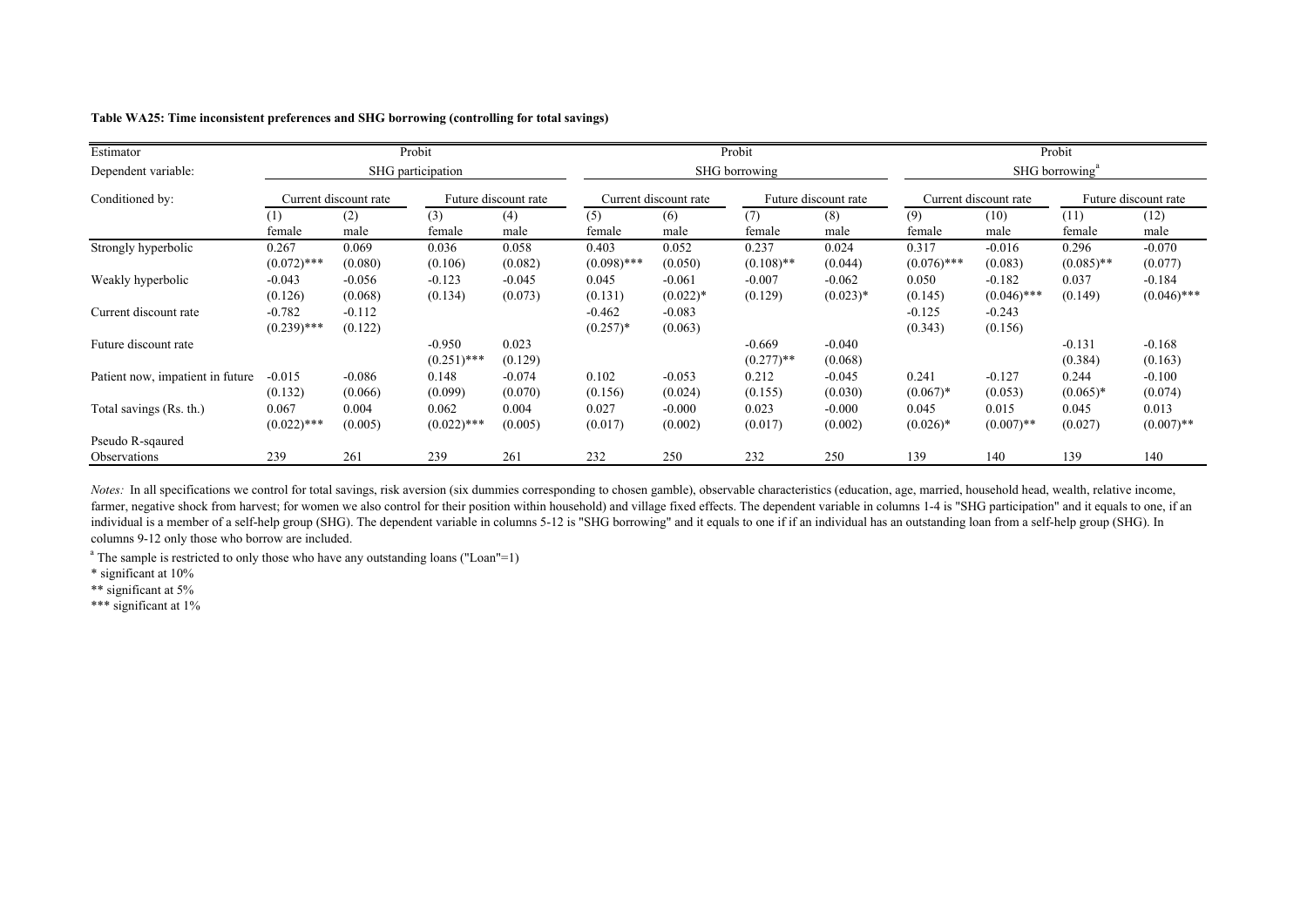|  |  |  |  |  |  | Table WA25: Time inconsistent preferences and SHG borrowing (controlling for total savings) |
|--|--|--|--|--|--|---------------------------------------------------------------------------------------------|
|--|--|--|--|--|--|---------------------------------------------------------------------------------------------|

| Estimator                        |                           |                       | Probit                    |                      |                        |                        | Probit                   |                        |                        |                           | Probit                     |                           |
|----------------------------------|---------------------------|-----------------------|---------------------------|----------------------|------------------------|------------------------|--------------------------|------------------------|------------------------|---------------------------|----------------------------|---------------------------|
| Dependent variable:              |                           |                       | SHG participation         |                      |                        |                        | SHG borrowing            |                        |                        |                           | SHG borrowing <sup>a</sup> |                           |
| Conditioned by:                  |                           | Current discount rate |                           | Future discount rate |                        | Current discount rate  |                          | Future discount rate   |                        | Current discount rate     | Future discount rate       |                           |
|                                  | (1)<br>female             | (2)<br>male           | (3)<br>female             | (4)<br>male          | (5)<br>female          | (6)<br>male            | (7)<br>female            | (8)<br>male            | (9)<br>female          | (10)<br>male              | (11)<br>female             | (12)<br>male              |
| Strongly hyperbolic              | 0.267<br>$(0.072)$ ***    | 0.069<br>(0.080)      | 0.036<br>(0.106)          | 0.058<br>(0.082)     | 0.403<br>$(0.098)$ *** | 0.052<br>(0.050)       | 0.237<br>$(0.108)$ **    | 0.024<br>(0.044)       | 0.317<br>$(0.076)$ *** | $-0.016$<br>(0.083)       | 0.296<br>$(0.085)$ **      | $-0.070$<br>(0.077)       |
| Weakly hyperbolic                | $-0.043$<br>(0.126)       | $-0.056$<br>(0.068)   | $-0.123$<br>(0.134)       | $-0.045$<br>(0.073)  | 0.045<br>(0.131)       | $-0.061$<br>$(0.022)*$ | $-0.007$<br>(0.129)      | $-0.062$<br>$(0.023)*$ | 0.050<br>(0.145)       | $-0.182$<br>$(0.046)$ *** | 0.037<br>(0.149)           | $-0.184$<br>$(0.046)$ *** |
| Current discount rate            | $-0.782$<br>$(0.239)$ *** | $-0.112$<br>(0.122)   |                           |                      | $-0.462$<br>$(0.257)*$ | $-0.083$<br>(0.063)    |                          |                        | $-0.125$<br>(0.343)    | $-0.243$<br>(0.156)       |                            |                           |
| Future discount rate             |                           |                       | $-0.950$<br>$(0.251)$ *** | 0.023<br>(0.129)     |                        |                        | $-0.669$<br>$(0.277)$ ** | $-0.040$<br>(0.068)    |                        |                           | $-0.131$<br>(0.384)        | $-0.168$<br>(0.163)       |
| Patient now, impatient in future | $-0.015$<br>(0.132)       | $-0.086$<br>(0.066)   | 0.148<br>(0.099)          | $-0.074$<br>(0.070)  | 0.102<br>(0.156)       | $-0.053$<br>(0.024)    | 0.212<br>(0.155)         | $-0.045$<br>(0.030)    | 0.241<br>$(0.067)^*$   | $-0.127$<br>(0.053)       | 0.244<br>$(0.065)*$        | $-0.100$<br>(0.074)       |
| Total savings (Rs. th.)          | 0.067<br>$(0.022)$ ***    | 0.004<br>(0.005)      | 0.062<br>$(0.022)$ ***    | 0.004<br>(0.005)     | 0.027<br>(0.017)       | $-0.000$<br>(0.002)    | 0.023<br>(0.017)         | $-0.000$<br>(0.002)    | 0.045<br>$(0.026)^*$   | 0.015<br>$(0.007)$ **     | 0.045<br>(0.027)           | 0.013<br>$(0.007)$ **     |
| Pseudo R-sqaured                 |                           |                       |                           |                      |                        |                        |                          |                        |                        |                           |                            |                           |
| Observations                     | 239                       | 261                   | 239                       | 261                  | 232                    | 250                    | 232                      | 250                    | 139                    | 140                       | 139                        | 140                       |

*Notes*: In all specifications we control for total savings, risk aversion (six dummies corresponding to chosen gamble), observable characteristics (education, age, married, household head, wealth, relative income, farmer, negative shock from harvest; for women we also control for their position within household) and village fixed effects. The dependent variable in columns 1-4 is "SHG participation" and it equals to one, if an individual is a member of a self-help group (SHG). The dependent variable in columns 5-12 is "SHG borrowing" and it equals to one if if an individual has an outstanding loan from a self-help group (SHG). In columns 9-12 only those who borrow are included.

<sup>a</sup> The sample is restricted to only those who have any outstanding loans ("Loan"=1)

\* significant at 10%

\*\* significant at 5%